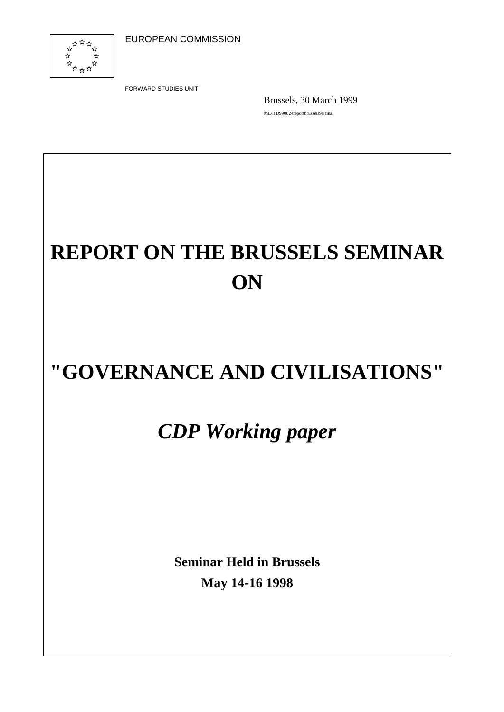

FORWARD STUDIES UNIT

Brussels, 30 March 1999 ML/ll D990024reportbrussels98 final

# **REPORT ON THE BRUSSELS SEMINAR ON**

# **"GOVERNANCE AND CIVILISATIONS"**

## *CDP Working paper*

**Seminar Held in Brussels May 14-16 1998**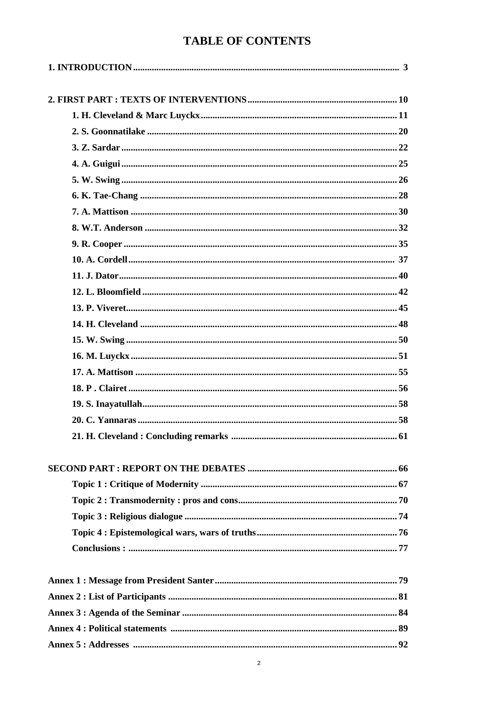### **TABLE OF CONTENTS**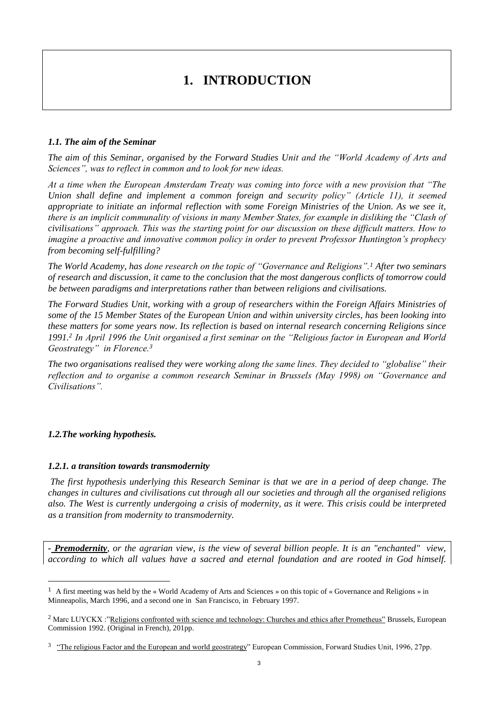### **1. INTRODUCTION**

#### *1.1. The aim of the Seminar*

*The aim of this Seminar, organised by the Forward Studies Unit and the "World Academy of Arts and Sciences", was to reflect in common and to look for new ideas.* 

*At a time when the European Amsterdam Treaty was coming into force with a new provision that "The Union shall define and implement a common foreign and security policy" (Article 11), it seemed appropriate to initiate an informal reflection with some Foreign Ministries of the Union. As we see it, there is an implicit communality of visions in many Member States, for example in disliking the "Clash of civilisations" approach. This was the starting point for our discussion on these difficult matters. How to imagine a proactive and innovative common policy in order to prevent Professor Huntington's prophecy from becoming self-fulfilling?* 

*The World Academy, has done research on the topic of "Governance and Religions".<sup>1</sup> After two seminars of research and discussion, it came to the conclusion that the most dangerous conflicts of tomorrow could be between paradigms and interpretations rather than between religions and civilisations.* 

*The Forward Studies Unit, working with a group of researchers within the Foreign Affairs Ministries of some of the 15 Member States of the European Union and within university circles, has been looking into these matters for some years now. Its reflection is based on internal research concerning Religions since 1991.<sup>2</sup> In April 1996 the Unit organised a first seminar on the "Religious factor in European and World Geostrategy" in Florence.<sup>3</sup>*

*The two organisations realised they were working along the same lines. They decided to "globalise" their reflection and to organise a common research Seminar in Brussels (May 1998) on "Governance and Civilisations".*

#### *1.2.The working hypothesis.*

 $\overline{a}$ 

#### *1.2.1. a transition towards transmodernity*

*The first hypothesis underlying this Research Seminar is that we are in a period of deep change. The changes in cultures and civilisations cut through all our societies and through all the organised religions also. The West is currently undergoing a crisis of modernity, as it were. This crisis could be interpreted as a transition from modernity to transmodernity.*

*- Premodernity, or the agrarian view, is the view of several billion people. It is an "enchanted" view, according to which all values have a sacred and eternal foundation and are rooted in God himself.* 

<sup>1</sup> A first meeting was held by the « World Academy of Arts and Sciences » on this topic of « Governance and Religions » in Minneapolis, March 1996, and a second one in San Francisco, in February 1997.

<sup>&</sup>lt;sup>2</sup> Marc LUYCKX :"Religions confronted with science and technology: Churches and ethics after Prometheus" Brussels, European Commission 1992. (Original in French), 201pp.

<sup>&</sup>lt;sup>3</sup> "The religious Factor and the European and world geostrategy" European Commission, Forward Studies Unit, 1996, 27pp.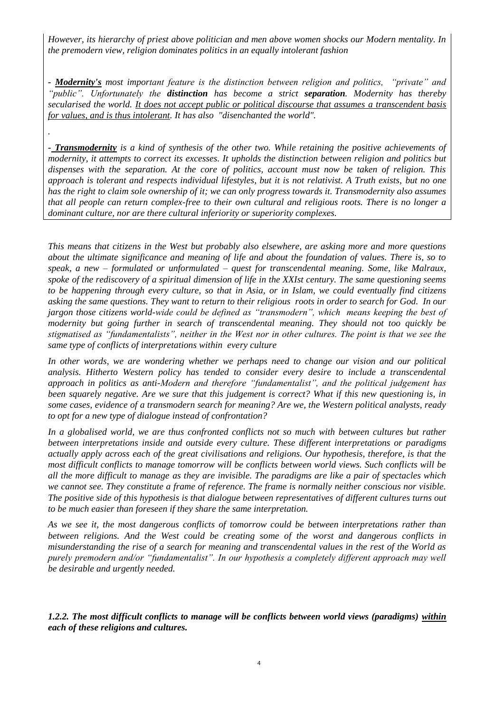*However, its hierarchy of priest above politician and men above women shocks our Modern mentality. In the premodern view, religion dominates politics in an equally intolerant fashion*

*- Modernity's most important feature is the distinction between religion and politics, "private" and "public". Unfortunately the distinction has become a strict separation. Modernity has thereby secularised the world. It does not accept public or political discourse that assumes a transcendent basis for values, and is thus intolerant. It has also "disenchanted the world".* 

*.* 

*- Transmodernity is a kind of synthesis of the other two. While retaining the positive achievements of modernity, it attempts to correct its excesses. It upholds the distinction between religion and politics but dispenses with the separation. At the core of politics, account must now be taken of religion. This approach is tolerant and respects individual lifestyles, but it is not relativist. A Truth exists, but no one has the right to claim sole ownership of it; we can only progress towards it. Transmodernity also assumes that all people can return complex-free to their own cultural and religious roots. There is no longer a dominant culture, nor are there cultural inferiority or superiority complexes.*

*This means that citizens in the West but probably also elsewhere, are asking more and more questions about the ultimate significance and meaning of life and about the foundation of values. There is, so to speak, a new – formulated or unformulated – quest for transcendental meaning. Some, like Malraux, spoke of the rediscovery of a spiritual dimension of life in the XXIst century. The same questioning seems to be happening through every culture, so that in Asia, or in Islam, we could eventually find citizens asking the same questions. They want to return to their religious roots in order to search for God. In our jargon those citizens world-wide could be defined as "transmodern", which means keeping the best of modernity but going further in search of transcendental meaning. They should not too quickly be stigmatised as "fundamentalists", neither in the West nor in other cultures. The point is that we see the same type of conflicts of interpretations within every culture*

In other words, we are wondering whether we perhaps need to change our vision and our political *analysis. Hitherto Western policy has tended to consider every desire to include a transcendental approach in politics as anti-Modern and therefore "fundamentalist", and the political judgement has been squarely negative. Are we sure that this judgement is correct? What if this new questioning is, in some cases, evidence of a transmodern search for meaning? Are we, the Western political analysts, ready to opt for a new type of dialogue instead of confrontation?*

*In a globalised world, we are thus confronted conflicts not so much with between cultures but rather between interpretations inside and outside every culture. These different interpretations or paradigms actually apply across each of the great civilisations and religions. Our hypothesis, therefore, is that the most difficult conflicts to manage tomorrow will be conflicts between world views. Such conflicts will be all the more difficult to manage as they are invisible. The paradigms are like a pair of spectacles which we cannot see. They constitute a frame of reference. The frame is normally neither conscious nor visible. The positive side of this hypothesis is that dialogue between representatives of different cultures turns out to be much easier than foreseen if they share the same interpretation.*

*As we see it, the most dangerous conflicts of tomorrow could be between interpretations rather than between religions. And the West could be creating some of the worst and dangerous conflicts in misunderstanding the rise of a search for meaning and transcendental values in the rest of the World as purely premodern and/or "fundamentalist". In our hypothesis a completely different approach may well be desirable and urgently needed.*

*1.2.2. The most difficult conflicts to manage will be conflicts between world views (paradigms) within each of these religions and cultures.*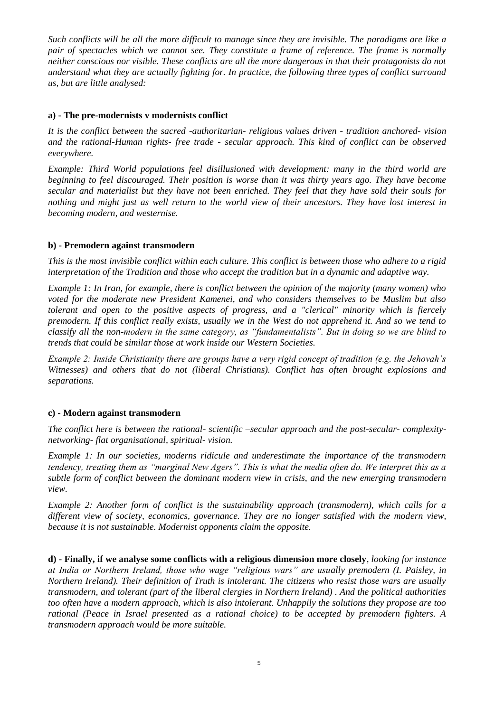*Such conflicts will be all the more difficult to manage since they are invisible. The paradigms are like a pair of spectacles which we cannot see. They constitute a frame of reference. The frame is normally neither conscious nor visible. These conflicts are all the more dangerous in that their protagonists do not understand what they are actually fighting for. In practice, the following three types of conflict surround us, but are little analysed:*

#### **a) - The pre-modernists v modernists conflict**

*It is the conflict between the sacred -authoritarian- religious values driven - tradition anchored- vision and the rational-Human rights- free trade - secular approach. This kind of conflict can be observed everywhere.*

*Example: Third World populations feel disillusioned with development: many in the third world are beginning to feel discouraged. Their position is worse than it was thirty years ago. They have become secular and materialist but they have not been enriched. They feel that they have sold their souls for nothing and might just as well return to the world view of their ancestors. They have lost interest in becoming modern, and westernise.* 

#### **b) - Premodern against transmodern**

*This is the most invisible conflict within each culture. This conflict is between those who adhere to a rigid interpretation of the Tradition and those who accept the tradition but in a dynamic and adaptive way.* 

*Example 1: In Iran, for example, there is conflict between the opinion of the majority (many women) who voted for the moderate new President Kamenei, and who considers themselves to be Muslim but also tolerant and open to the positive aspects of progress, and a "clerical" minority which is fiercely premodern. If this conflict really exists, usually we in the West do not apprehend it. And so we tend to classify all the non-modern in the same category, as "fundamentalists". But in doing so we are blind to trends that could be similar those at work inside our Western Societies.*

*Example 2: Inside Christianity there are groups have a very rigid concept of tradition (e.g. the Jehovah's Witnesses) and others that do not (liberal Christians). Conflict has often brought explosions and separations.*

#### **c) - Modern against transmodern**

*The conflict here is between the rational- scientific –secular approach and the post-secular- complexitynetworking- flat organisational, spiritual- vision.*

*Example 1: In our societies, moderns ridicule and underestimate the importance of the transmodern tendency, treating them as "marginal New Agers". This is what the media often do. We interpret this as a subtle form of conflict between the dominant modern view in crisis, and the new emerging transmodern view.* 

*Example 2: Another form of conflict is the sustainability approach (transmodern), which calls for a different view of society, economics, governance. They are no longer satisfied with the modern view, because it is not sustainable. Modernist opponents claim the opposite.*

**d) - Finally, if we analyse some conflicts with a religious dimension more closely***, looking for instance at India or Northern Ireland, those who wage "religious wars" are usually premodern (I. Paisley, in Northern Ireland). Their definition of Truth is intolerant. The citizens who resist those wars are usually transmodern, and tolerant (part of the liberal clergies in Northern Ireland) . And the political authorities too often have a modern approach, which is also intolerant. Unhappily the solutions they propose are too rational (Peace in Israel presented as a rational choice) to be accepted by premodern fighters. A transmodern approach would be more suitable.*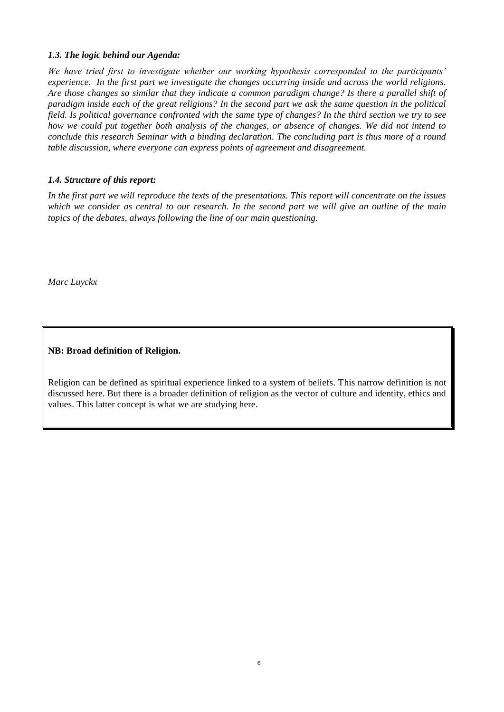#### *1.3. The logic behind our Agenda:*

*We have tried first to investigate whether our working hypothesis corresponded to the participants' experience. In the first part we investigate the changes occurring inside and across the world religions. Are those changes so similar that they indicate a common paradigm change? Is there a parallel shift of paradigm inside each of the great religions? In the second part we ask the same question in the political field. Is political governance confronted with the same type of changes? In the third section we try to see how we could put together both analysis of the changes, or absence of changes. We did not intend to conclude this research Seminar with a binding declaration. The concluding part is thus more of a round table discussion, where everyone can express points of agreement and disagreement.*

#### *1.4. Structure of this report:*

*In the first part we will reproduce the texts of the presentations. This report will concentrate on the issues which we consider as central to our research. In the second part we will give an outline of the main topics of the debates, always following the line of our main questioning.*

*Marc Luyckx*

**NB: Broad definition of Religion.**

Religion can be defined as spiritual experience linked to a system of beliefs. This narrow definition is not discussed here. But there is a broader definition of religion as the vector of culture and identity, ethics and values. This latter concept is what we are studying here.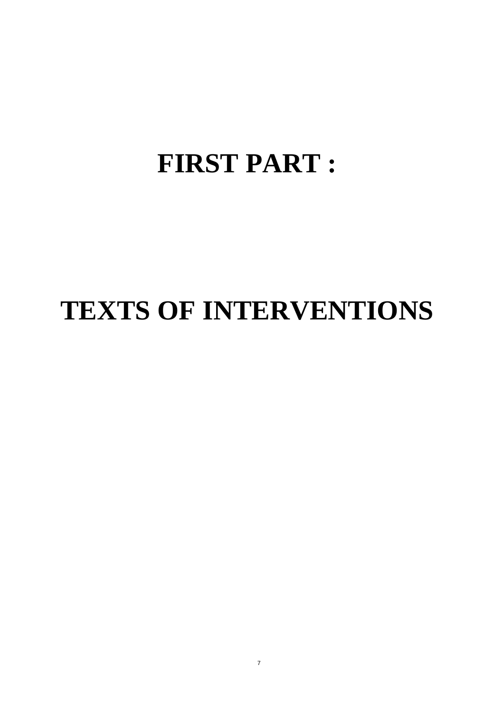# **FIRST PART :**

# **TEXTS OF INTERVENTIONS**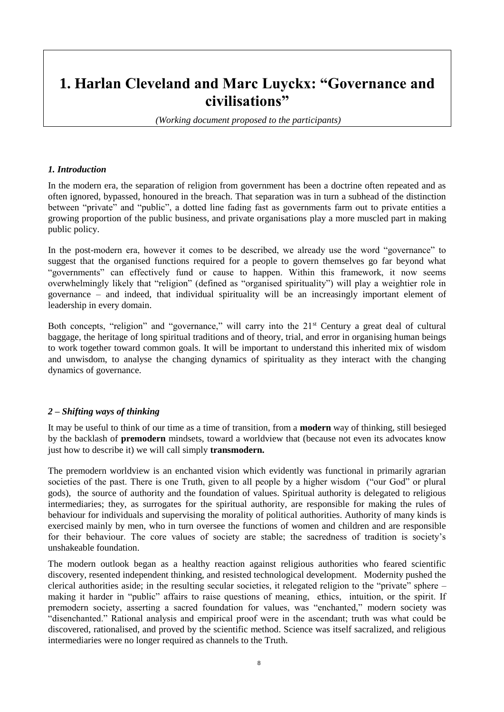### **1. Harlan Cleveland and Marc Luyckx: "Governance and civilisations"**

*(Working document proposed to the participants)* 

#### *1. Introduction*

In the modern era, the separation of religion from government has been a doctrine often repeated and as often ignored, bypassed, honoured in the breach. That separation was in turn a subhead of the distinction between "private" and "public", a dotted line fading fast as governments farm out to private entities a growing proportion of the public business, and private organisations play a more muscled part in making public policy.

In the post-modern era, however it comes to be described, we already use the word "governance" to suggest that the organised functions required for a people to govern themselves go far beyond what "governments" can effectively fund or cause to happen. Within this framework, it now seems overwhelmingly likely that "religion" (defined as "organised spirituality") will play a weightier role in governance – and indeed, that individual spirituality will be an increasingly important element of leadership in every domain.

Both concepts, "religion" and "governance," will carry into the 21<sup>st</sup> Century a great deal of cultural baggage, the heritage of long spiritual traditions and of theory, trial, and error in organising human beings to work together toward common goals. It will be important to understand this inherited mix of wisdom and unwisdom, to analyse the changing dynamics of spirituality as they interact with the changing dynamics of governance.

#### *2 – Shifting ways of thinking*

It may be useful to think of our time as a time of transition, from a **modern** way of thinking, still besieged by the backlash of **premodern** mindsets, toward a worldview that (because not even its advocates know just how to describe it) we will call simply **transmodern.**

The premodern worldview is an enchanted vision which evidently was functional in primarily agrarian societies of the past. There is one Truth, given to all people by a higher wisdom ("our God" or plural gods), the source of authority and the foundation of values. Spiritual authority is delegated to religious intermediaries; they, as surrogates for the spiritual authority, are responsible for making the rules of behaviour for individuals and supervising the morality of political authorities. Authority of many kinds is exercised mainly by men, who in turn oversee the functions of women and children and are responsible for their behaviour. The core values of society are stable; the sacredness of tradition is society's unshakeable foundation.

The modern outlook began as a healthy reaction against religious authorities who feared scientific discovery, resented independent thinking, and resisted technological development. Modernity pushed the clerical authorities aside; in the resulting secular societies, it relegated religion to the "private" sphere – making it harder in "public" affairs to raise questions of meaning, ethics, intuition, or the spirit. If premodern society, asserting a sacred foundation for values, was "enchanted," modern society was "disenchanted." Rational analysis and empirical proof were in the ascendant; truth was what could be discovered, rationalised, and proved by the scientific method. Science was itself sacralized, and religious intermediaries were no longer required as channels to the Truth.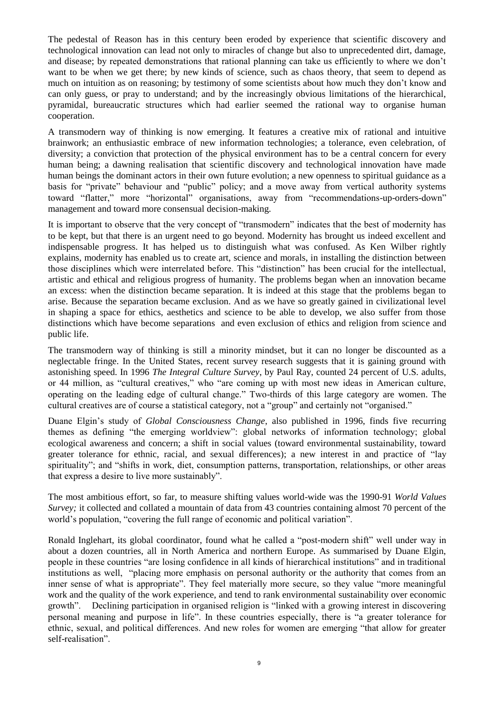The pedestal of Reason has in this century been eroded by experience that scientific discovery and technological innovation can lead not only to miracles of change but also to unprecedented dirt, damage, and disease; by repeated demonstrations that rational planning can take us efficiently to where we don't want to be when we get there; by new kinds of science, such as chaos theory, that seem to depend as much on intuition as on reasoning; by testimony of some scientists about how much they don't know and can only guess, or pray to understand; and by the increasingly obvious limitations of the hierarchical, pyramidal, bureaucratic structures which had earlier seemed the rational way to organise human cooperation.

A transmodern way of thinking is now emerging. It features a creative mix of rational and intuitive brainwork; an enthusiastic embrace of new information technologies; a tolerance, even celebration, of diversity; a conviction that protection of the physical environment has to be a central concern for every human being; a dawning realisation that scientific discovery and technological innovation have made human beings the dominant actors in their own future evolution; a new openness to spiritual guidance as a basis for "private" behaviour and "public" policy; and a move away from vertical authority systems toward "flatter," more "horizontal" organisations, away from "recommendations-up-orders-down" management and toward more consensual decision-making.

It is important to observe that the very concept of "transmodern" indicates that the best of modernity has to be kept, but that there is an urgent need to go beyond. Modernity has brought us indeed excellent and indispensable progress. It has helped us to distinguish what was confused. As Ken Wilber rightly explains, modernity has enabled us to create art, science and morals, in installing the distinction between those disciplines which were interrelated before. This "distinction" has been crucial for the intellectual, artistic and ethical and religious progress of humanity. The problems began when an innovation became an excess: when the distinction became separation. It is indeed at this stage that the problems began to arise. Because the separation became exclusion. And as we have so greatly gained in civilizational level in shaping a space for ethics, aesthetics and science to be able to develop, we also suffer from those distinctions which have become separations and even exclusion of ethics and religion from science and public life.

The transmodern way of thinking is still a minority mindset, but it can no longer be discounted as a neglectable fringe. In the United States, recent survey research suggests that it is gaining ground with astonishing speed. In 1996 *The Integral Culture Survey*, by Paul Ray, counted 24 percent of U.S. adults, or 44 million, as "cultural creatives," who "are coming up with most new ideas in American culture, operating on the leading edge of cultural change." Two-thirds of this large category are women. The cultural creatives are of course a statistical category, not a "group" and certainly not "organised."

Duane Elgin's study of *Global Consciousness Change*, also published in 1996, finds five recurring themes as defining "the emerging worldview": global networks of information technology; global ecological awareness and concern; a shift in social values (toward environmental sustainability, toward greater tolerance for ethnic, racial, and sexual differences); a new interest in and practice of "lay spirituality"; and "shifts in work, diet, consumption patterns, transportation, relationships, or other areas that express a desire to live more sustainably".

The most ambitious effort, so far, to measure shifting values world-wide was the 1990-91 *World Values Survey;* it collected and collated a mountain of data from 43 countries containing almost 70 percent of the world's population, "covering the full range of economic and political variation".

Ronald Inglehart, its global coordinator, found what he called a "post-modern shift" well under way in about a dozen countries, all in North America and northern Europe. As summarised by Duane Elgin, people in these countries "are losing confidence in all kinds of hierarchical institutions" and in traditional institutions as well, "placing more emphasis on personal authority or the authority that comes from an inner sense of what is appropriate". They feel materially more secure, so they value "more meaningful work and the quality of the work experience, and tend to rank environmental sustainability over economic growth". Declining participation in organised religion is "linked with a growing interest in discovering personal meaning and purpose in life". In these countries especially, there is "a greater tolerance for ethnic, sexual, and political differences. And new roles for women are emerging "that allow for greater self-realisation".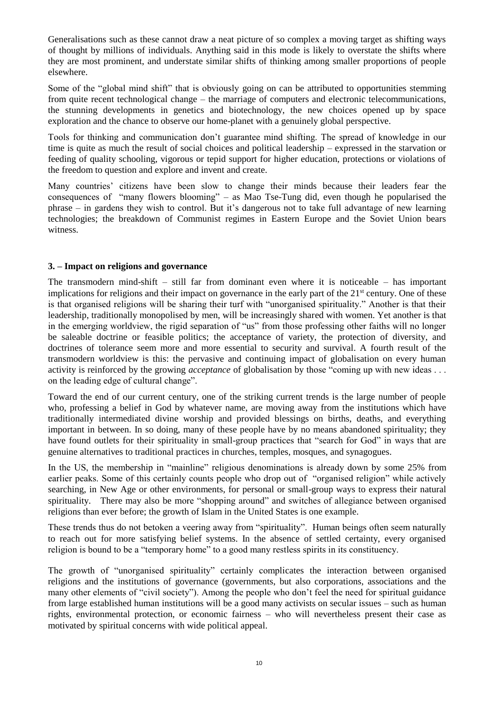Generalisations such as these cannot draw a neat picture of so complex a moving target as shifting ways of thought by millions of individuals. Anything said in this mode is likely to overstate the shifts where they are most prominent, and understate similar shifts of thinking among smaller proportions of people elsewhere.

Some of the "global mind shift" that is obviously going on can be attributed to opportunities stemming from quite recent technological change – the marriage of computers and electronic telecommunications, the stunning developments in genetics and biotechnology, the new choices opened up by space exploration and the chance to observe our home-planet with a genuinely global perspective.

Tools for thinking and communication don't guarantee mind shifting. The spread of knowledge in our time is quite as much the result of social choices and political leadership – expressed in the starvation or feeding of quality schooling, vigorous or tepid support for higher education, protections or violations of the freedom to question and explore and invent and create.

Many countries' citizens have been slow to change their minds because their leaders fear the consequences of "many flowers blooming" – as Mao Tse-Tung did, even though he popularised the phrase – in gardens they wish to control. But it's dangerous not to take full advantage of new learning technologies; the breakdown of Communist regimes in Eastern Europe and the Soviet Union bears witness.

#### **3. – Impact on religions and governance**

The transmodern mind-shift  $-$  still far from dominant even where it is noticeable  $-$  has important implications for religions and their impact on governance in the early part of the 21<sup>st</sup> century. One of these is that organised religions will be sharing their turf with "unorganised spirituality." Another is that their leadership, traditionally monopolised by men, will be increasingly shared with women. Yet another is that in the emerging worldview, the rigid separation of "us" from those professing other faiths will no longer be saleable doctrine or feasible politics; the acceptance of variety, the protection of diversity, and doctrines of tolerance seem more and more essential to security and survival. A fourth result of the transmodern worldview is this: the pervasive and continuing impact of globalisation on every human activity is reinforced by the growing *acceptance* of globalisation by those "coming up with new ideas . . . on the leading edge of cultural change".

Toward the end of our current century, one of the striking current trends is the large number of people who, professing a belief in God by whatever name, are moving away from the institutions which have traditionally intermediated divine worship and provided blessings on births, deaths, and everything important in between. In so doing, many of these people have by no means abandoned spirituality; they have found outlets for their spirituality in small-group practices that "search for God" in ways that are genuine alternatives to traditional practices in churches, temples, mosques, and synagogues.

In the US, the membership in "mainline" religious denominations is already down by some 25% from earlier peaks. Some of this certainly counts people who drop out of "organised religion" while actively searching, in New Age or other environments, for personal or small-group ways to express their natural spirituality. There may also be more "shopping around" and switches of allegiance between organised religions than ever before; the growth of Islam in the United States is one example.

These trends thus do not betoken a veering away from "spirituality". Human beings often seem naturally to reach out for more satisfying belief systems. In the absence of settled certainty, every organised religion is bound to be a "temporary home" to a good many restless spirits in its constituency.

The growth of "unorganised spirituality" certainly complicates the interaction between organised religions and the institutions of governance (governments, but also corporations, associations and the many other elements of "civil society"). Among the people who don't feel the need for spiritual guidance from large established human institutions will be a good many activists on secular issues – such as human rights, environmental protection, or economic fairness – who will nevertheless present their case as motivated by spiritual concerns with wide political appeal.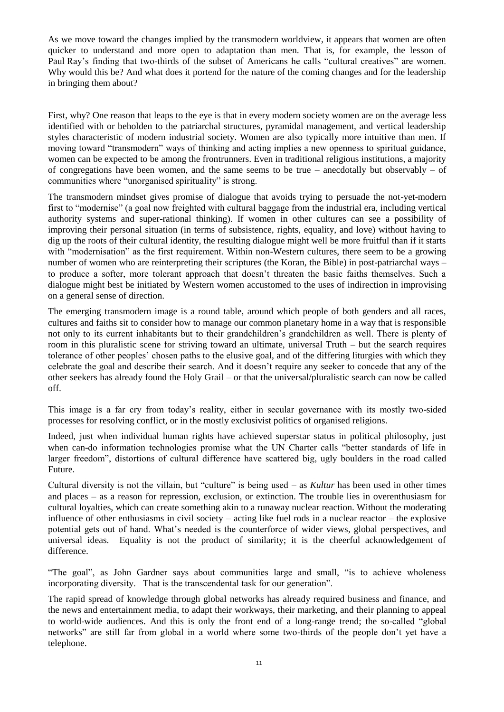As we move toward the changes implied by the transmodern worldview, it appears that women are often quicker to understand and more open to adaptation than men. That is, for example, the lesson of Paul Ray's finding that two-thirds of the subset of Americans he calls "cultural creatives" are women. Why would this be? And what does it portend for the nature of the coming changes and for the leadership in bringing them about?

First, why? One reason that leaps to the eye is that in every modern society women are on the average less identified with or beholden to the patriarchal structures, pyramidal management, and vertical leadership styles characteristic of modern industrial society. Women are also typically more intuitive than men. If moving toward "transmodern" ways of thinking and acting implies a new openness to spiritual guidance, women can be expected to be among the frontrunners. Even in traditional religious institutions, a majority of congregations have been women, and the same seems to be true – anecdotally but observably – of communities where "unorganised spirituality" is strong.

The transmodern mindset gives promise of dialogue that avoids trying to persuade the not-yet-modern first to "modernise" (a goal now freighted with cultural baggage from the industrial era, including vertical authority systems and super-rational thinking). If women in other cultures can see a possibility of improving their personal situation (in terms of subsistence, rights, equality, and love) without having to dig up the roots of their cultural identity, the resulting dialogue might well be more fruitful than if it starts with "modernisation" as the first requirement. Within non-Western cultures, there seem to be a growing number of women who are reinterpreting their scriptures (the Koran, the Bible) in post-patriarchal ways – to produce a softer, more tolerant approach that doesn't threaten the basic faiths themselves. Such a dialogue might best be initiated by Western women accustomed to the uses of indirection in improvising on a general sense of direction.

The emerging transmodern image is a round table, around which people of both genders and all races, cultures and faiths sit to consider how to manage our common planetary home in a way that is responsible not only to its current inhabitants but to their grandchildren's grandchildren as well. There is plenty of room in this pluralistic scene for striving toward an ultimate, universal Truth – but the search requires tolerance of other peoples' chosen paths to the elusive goal, and of the differing liturgies with which they celebrate the goal and describe their search. And it doesn't require any seeker to concede that any of the other seekers has already found the Holy Grail – or that the universal/pluralistic search can now be called off.

This image is a far cry from today's reality, either in secular governance with its mostly two-sided processes for resolving conflict, or in the mostly exclusivist politics of organised religions.

Indeed, just when individual human rights have achieved superstar status in political philosophy, just when can-do information technologies promise what the UN Charter calls "better standards of life in larger freedom", distortions of cultural difference have scattered big, ugly boulders in the road called Future.

Cultural diversity is not the villain, but "culture" is being used – as *Kultur* has been used in other times and places – as a reason for repression, exclusion, or extinction. The trouble lies in overenthusiasm for cultural loyalties, which can create something akin to a runaway nuclear reaction. Without the moderating influence of other enthusiasms in civil society – acting like fuel rods in a nuclear reactor – the explosive potential gets out of hand. What's needed is the counterforce of wider views, global perspectives, and universal ideas. Equality is not the product of similarity; it is the cheerful acknowledgement of difference.

"The goal", as John Gardner says about communities large and small, "is to achieve wholeness incorporating diversity. That is the transcendental task for our generation".

The rapid spread of knowledge through global networks has already required business and finance, and the news and entertainment media, to adapt their workways, their marketing, and their planning to appeal to world-wide audiences. And this is only the front end of a long-range trend; the so-called "global networks" are still far from global in a world where some two-thirds of the people don't yet have a telephone.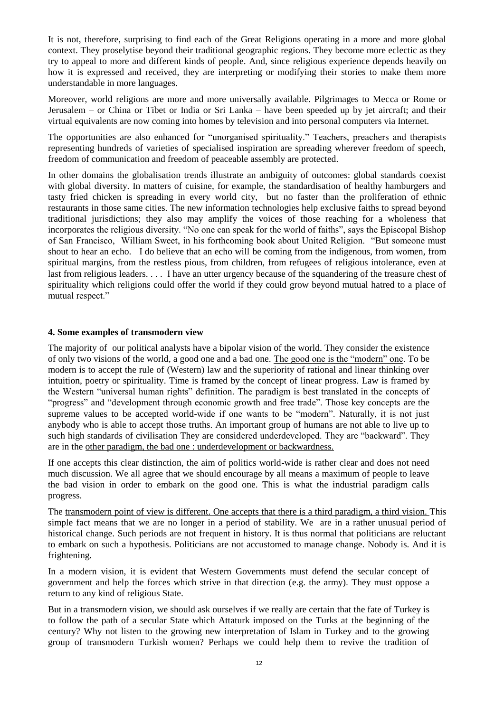It is not, therefore, surprising to find each of the Great Religions operating in a more and more global context. They proselytise beyond their traditional geographic regions. They become more eclectic as they try to appeal to more and different kinds of people. And, since religious experience depends heavily on how it is expressed and received, they are interpreting or modifying their stories to make them more understandable in more languages.

Moreover, world religions are more and more universally available. Pilgrimages to Mecca or Rome or Jerusalem – or China or Tibet or India or Sri Lanka – have been speeded up by jet aircraft; and their virtual equivalents are now coming into homes by television and into personal computers via Internet.

The opportunities are also enhanced for "unorganised spirituality." Teachers, preachers and therapists representing hundreds of varieties of specialised inspiration are spreading wherever freedom of speech, freedom of communication and freedom of peaceable assembly are protected.

In other domains the globalisation trends illustrate an ambiguity of outcomes: global standards coexist with global diversity. In matters of cuisine, for example, the standardisation of healthy hamburgers and tasty fried chicken is spreading in every world city, but no faster than the proliferation of ethnic restaurants in those same cities. The new information technologies help exclusive faiths to spread beyond traditional jurisdictions; they also may amplify the voices of those reaching for a wholeness that incorporates the religious diversity. "No one can speak for the world of faiths", says the Episcopal Bishop of San Francisco, William Sweet, in his forthcoming book about United Religion. "But someone must shout to hear an echo. I do believe that an echo will be coming from the indigenous, from women, from spiritual margins, from the restless pious, from children, from refugees of religious intolerance, even at last from religious leaders. . . . I have an utter urgency because of the squandering of the treasure chest of spirituality which religions could offer the world if they could grow beyond mutual hatred to a place of mutual respect."

#### **4. Some examples of transmodern view**

The majority of our political analysts have a bipolar vision of the world. They consider the existence of only two visions of the world, a good one and a bad one. The good one is the "modern" one. To be modern is to accept the rule of (Western) law and the superiority of rational and linear thinking over intuition, poetry or spirituality. Time is framed by the concept of linear progress. Law is framed by the Western "universal human rights" definition. The paradigm is best translated in the concepts of "progress" and "development through economic growth and free trade". Those key concepts are the supreme values to be accepted world-wide if one wants to be "modern". Naturally, it is not just anybody who is able to accept those truths. An important group of humans are not able to live up to such high standards of civilisation They are considered underdeveloped. They are "backward". They are in the other paradigm, the bad one : underdevelopment or backwardness.

If one accepts this clear distinction, the aim of politics world-wide is rather clear and does not need much discussion. We all agree that we should encourage by all means a maximum of people to leave the bad vision in order to embark on the good one. This is what the industrial paradigm calls progress.

The transmodern point of view is different. One accepts that there is a third paradigm, a third vision. This simple fact means that we are no longer in a period of stability. We are in a rather unusual period of historical change. Such periods are not frequent in history. It is thus normal that politicians are reluctant to embark on such a hypothesis. Politicians are not accustomed to manage change. Nobody is. And it is frightening.

In a modern vision, it is evident that Western Governments must defend the secular concept of government and help the forces which strive in that direction (e.g. the army). They must oppose a return to any kind of religious State.

But in a transmodern vision, we should ask ourselves if we really are certain that the fate of Turkey is to follow the path of a secular State which Attaturk imposed on the Turks at the beginning of the century? Why not listen to the growing new interpretation of Islam in Turkey and to the growing group of transmodern Turkish women? Perhaps we could help them to revive the tradition of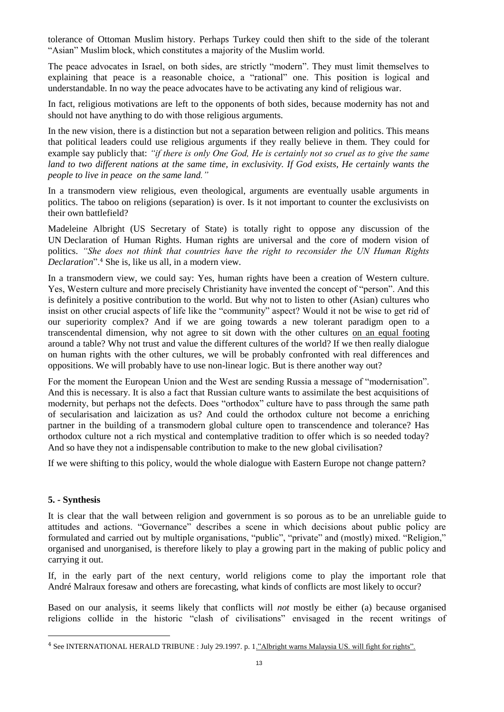tolerance of Ottoman Muslim history. Perhaps Turkey could then shift to the side of the tolerant "Asian" Muslim block, which constitutes a majority of the Muslim world.

The peace advocates in Israel, on both sides, are strictly "modern". They must limit themselves to explaining that peace is a reasonable choice, a "rational" one. This position is logical and understandable. In no way the peace advocates have to be activating any kind of religious war.

In fact, religious motivations are left to the opponents of both sides, because modernity has not and should not have anything to do with those religious arguments.

In the new vision, there is a distinction but not a separation between religion and politics. This means that political leaders could use religious arguments if they really believe in them. They could for example say publicly that: *"if there is only One God, He is certainly not so cruel as to give the same*  land to two different nations at the same time, in exclusivity. If God exists, He certainly wants the *people to live in peace on the same land."*

In a transmodern view religious, even theological, arguments are eventually usable arguments in politics. The taboo on religions (separation) is over. Is it not important to counter the exclusivists on their own battlefield?

Madeleine Albright (US Secretary of State) is totally right to oppose any discussion of the UN Declaration of Human Rights. Human rights are universal and the core of modern vision of politics. *"She does not think that countries have the right to reconsider the UN Human Rights Declaration*".<sup>4</sup> She is, like us all, in a modern view.

In a transmodern view, we could say: Yes, human rights have been a creation of Western culture. Yes, Western culture and more precisely Christianity have invented the concept of "person". And this is definitely a positive contribution to the world. But why not to listen to other (Asian) cultures who insist on other crucial aspects of life like the "community" aspect? Would it not be wise to get rid of our superiority complex? And if we are going towards a new tolerant paradigm open to a transcendental dimension, why not agree to sit down with the other cultures on an equal footing around a table? Why not trust and value the different cultures of the world? If we then really dialogue on human rights with the other cultures, we will be probably confronted with real differences and oppositions. We will probably have to use non-linear logic. But is there another way out?

For the moment the European Union and the West are sending Russia a message of "modernisation". And this is necessary. It is also a fact that Russian culture wants to assimilate the best acquisitions of modernity, but perhaps not the defects. Does "orthodox" culture have to pass through the same path of secularisation and laicization as us? And could the orthodox culture not become a enriching partner in the building of a transmodern global culture open to transcendence and tolerance? Has orthodox culture not a rich mystical and contemplative tradition to offer which is so needed today? And so have they not a indispensable contribution to make to the new global civilisation?

If we were shifting to this policy, would the whole dialogue with Eastern Europe not change pattern?

#### **5. - Synthesis**

 $\overline{a}$ 

It is clear that the wall between religion and government is so porous as to be an unreliable guide to attitudes and actions. "Governance" describes a scene in which decisions about public policy are formulated and carried out by multiple organisations, "public", "private" and (mostly) mixed. "Religion," organised and unorganised, is therefore likely to play a growing part in the making of public policy and carrying it out.

If, in the early part of the next century, world religions come to play the important role that André Malraux foresaw and others are forecasting, what kinds of conflicts are most likely to occur?

Based on our analysis, it seems likely that conflicts will *not* mostly be either (a) because organised religions collide in the historic "clash of civilisations" envisaged in the recent writings of

<sup>4</sup> See INTERNATIONAL HERALD TRIBUNE : July 29.1997. p. 1."Albright warns Malaysia US. will fight for rights".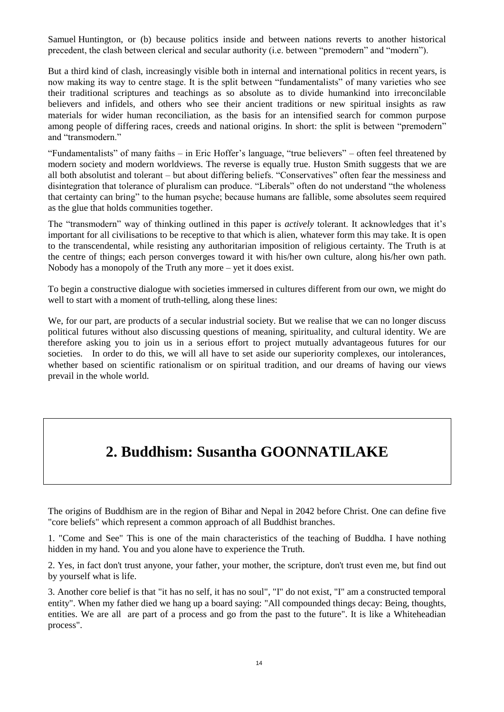Samuel Huntington, or (b) because politics inside and between nations reverts to another historical precedent, the clash between clerical and secular authority (i.e. between "premodern" and "modern").

But a third kind of clash, increasingly visible both in internal and international politics in recent years, is now making its way to centre stage. It is the split between "fundamentalists" of many varieties who see their traditional scriptures and teachings as so absolute as to divide humankind into irreconcilable believers and infidels, and others who see their ancient traditions or new spiritual insights as raw materials for wider human reconciliation, as the basis for an intensified search for common purpose among people of differing races, creeds and national origins. In short: the split is between "premodern" and "transmodern."

"Fundamentalists" of many faiths – in Eric Hoffer's language, "true believers" – often feel threatened by modern society and modern worldviews. The reverse is equally true. Huston Smith suggests that we are all both absolutist and tolerant – but about differing beliefs. "Conservatives" often fear the messiness and disintegration that tolerance of pluralism can produce. "Liberals" often do not understand "the wholeness that certainty can bring" to the human psyche; because humans are fallible, some absolutes seem required as the glue that holds communities together.

The "transmodern" way of thinking outlined in this paper is *actively* tolerant. It acknowledges that it's important for all civilisations to be receptive to that which is alien, whatever form this may take. It is open to the transcendental, while resisting any authoritarian imposition of religious certainty. The Truth is at the centre of things; each person converges toward it with his/her own culture, along his/her own path. Nobody has a monopoly of the Truth any more – yet it does exist.

To begin a constructive dialogue with societies immersed in cultures different from our own, we might do well to start with a moment of truth-telling, along these lines:

We, for our part, are products of a secular industrial society. But we realise that we can no longer discuss political futures without also discussing questions of meaning, spirituality, and cultural identity. We are therefore asking you to join us in a serious effort to project mutually advantageous futures for our societies. In order to do this, we will all have to set aside our superiority complexes, our intolerances, whether based on scientific rationalism or on spiritual tradition, and our dreams of having our views prevail in the whole world.

### **2. Buddhism: Susantha GOONNATILAKE**

The origins of Buddhism are in the region of Bihar and Nepal in 2042 before Christ. One can define five "core beliefs" which represent a common approach of all Buddhist branches.

1. "Come and See" This is one of the main characteristics of the teaching of Buddha. I have nothing hidden in my hand. You and you alone have to experience the Truth.

2. Yes, in fact don't trust anyone, your father, your mother, the scripture, don't trust even me, but find out by yourself what is life.

3. Another core belief is that "it has no self, it has no soul", "I" do not exist, "I" am a constructed temporal entity". When my father died we hang up a board saying: "All compounded things decay: Being, thoughts, entities. We are all are part of a process and go from the past to the future". It is like a Whiteheadian process".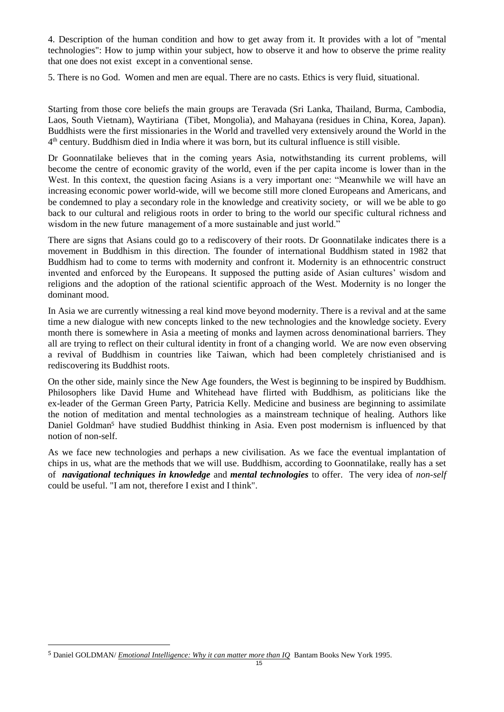4. Description of the human condition and how to get away from it. It provides with a lot of "mental technologies": How to jump within your subject, how to observe it and how to observe the prime reality that one does not exist except in a conventional sense.

5. There is no God. Women and men are equal. There are no casts. Ethics is very fluid, situational.

Starting from those core beliefs the main groups are Teravada (Sri Lanka, Thailand, Burma, Cambodia, Laos, South Vietnam), Waytiriana (Tibet, Mongolia), and Mahayana (residues in China, Korea, Japan). Buddhists were the first missionaries in the World and travelled very extensively around the World in the 4 th century. Buddhism died in India where it was born, but its cultural influence is still visible.

Dr Goonnatilake believes that in the coming years Asia, notwithstanding its current problems, will become the centre of economic gravity of the world, even if the per capita income is lower than in the West. In this context, the question facing Asians is a very important one: "Meanwhile we will have an increasing economic power world-wide, will we become still more cloned Europeans and Americans, and be condemned to play a secondary role in the knowledge and creativity society, or will we be able to go back to our cultural and religious roots in order to bring to the world our specific cultural richness and wisdom in the new future management of a more sustainable and just world."

There are signs that Asians could go to a rediscovery of their roots. Dr Goonnatilake indicates there is a movement in Buddhism in this direction. The founder of international Buddhism stated in 1982 that Buddhism had to come to terms with modernity and confront it. Modernity is an ethnocentric construct invented and enforced by the Europeans. It supposed the putting aside of Asian cultures' wisdom and religions and the adoption of the rational scientific approach of the West. Modernity is no longer the dominant mood.

In Asia we are currently witnessing a real kind move beyond modernity. There is a revival and at the same time a new dialogue with new concepts linked to the new technologies and the knowledge society. Every month there is somewhere in Asia a meeting of monks and laymen across denominational barriers. They all are trying to reflect on their cultural identity in front of a changing world. We are now even observing a revival of Buddhism in countries like Taiwan, which had been completely christianised and is rediscovering its Buddhist roots.

On the other side, mainly since the New Age founders, the West is beginning to be inspired by Buddhism. Philosophers like David Hume and Whitehead have flirted with Buddhism, as politicians like the ex-leader of the German Green Party, Patricia Kelly. Medicine and business are beginning to assimilate the notion of meditation and mental technologies as a mainstream technique of healing. Authors like Daniel Goldman<sup>5</sup> have studied Buddhist thinking in Asia. Even post modernism is influenced by that notion of non-self.

As we face new technologies and perhaps a new civilisation. As we face the eventual implantation of chips in us, what are the methods that we will use. Buddhism, according to Goonnatilake, really has a set of *navigational techniques in knowledge* and *mental technologies* to offer. The very idea of *non-self* could be useful. "I am not, therefore I exist and I think".

 $\overline{a}$ 

<sup>5</sup> Daniel GOLDMAN/ *Emotional Intelligence: Why it can matter more than IQ* Bantam Books New York 1995.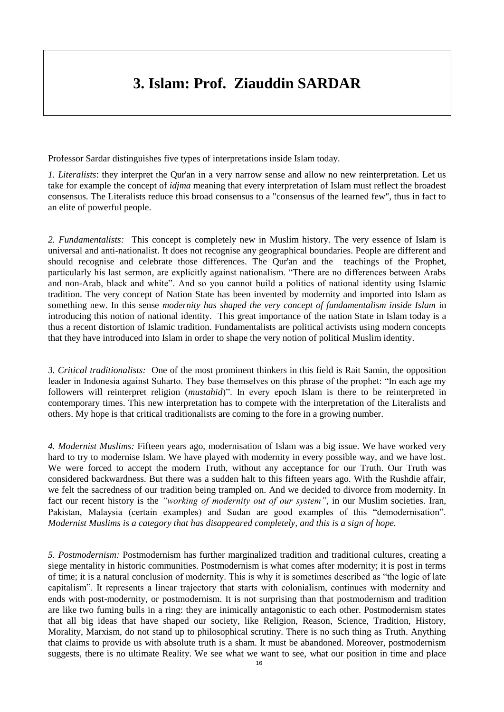### **3. Islam: Prof. Ziauddin SARDAR**

Professor Sardar distinguishes five types of interpretations inside Islam today.

*1. Literalists*: they interpret the Qur'an in a very narrow sense and allow no new reinterpretation. Let us take for example the concept of *idjma* meaning that every interpretation of Islam must reflect the broadest consensus. The Literalists reduce this broad consensus to a "consensus of the learned few", thus in fact to an elite of powerful people.

*2. Fundamentalists:* This concept is completely new in Muslim history. The very essence of Islam is universal and anti-nationalist. It does not recognise any geographical boundaries. People are different and should recognise and celebrate those differences. The Qur'an and the teachings of the Prophet, particularly his last sermon, are explicitly against nationalism. "There are no differences between Arabs and non-Arab, black and white". And so you cannot build a politics of national identity using Islamic tradition. The very concept of Nation State has been invented by modernity and imported into Islam as something new. In this sense *modernity has shaped the very concept of fundamentalism inside Islam* in introducing this notion of national identity. This great importance of the nation State in Islam today is a thus a recent distortion of Islamic tradition. Fundamentalists are political activists using modern concepts that they have introduced into Islam in order to shape the very notion of political Muslim identity.

*3. Critical traditionalists:* One of the most prominent thinkers in this field is Rait Samin, the opposition leader in Indonesia against Suharto. They base themselves on this phrase of the prophet: "In each age my followers will reinterpret religion (*mustahid*)". In every epoch Islam is there to be reinterpreted in contemporary times. This new interpretation has to compete with the interpretation of the Literalists and others. My hope is that critical traditionalists are coming to the fore in a growing number.

*4. Modernist Muslims:* Fifteen years ago, modernisation of Islam was a big issue. We have worked very hard to try to modernise Islam. We have played with modernity in every possible way, and we have lost. We were forced to accept the modern Truth, without any acceptance for our Truth. Our Truth was considered backwardness. But there was a sudden halt to this fifteen years ago. With the Rushdie affair, we felt the sacredness of our tradition being trampled on. And we decided to divorce from modernity. In fact our recent history is the *"working of modernity out of our system"*, in our Muslim societies. Iran, Pakistan, Malaysia (certain examples) and Sudan are good examples of this "demodernisation". *Modernist Muslims is a category that has disappeared completely, and this is a sign of hope.* 

*5. Postmodernism:* Postmodernism has further marginalized tradition and traditional cultures, creating a siege mentality in historic communities. Postmodernism is what comes after modernity; it is post in terms of time; it is a natural conclusion of modernity. This is why it is sometimes described as "the logic of late capitalism". It represents a linear trajectory that starts with colonialism, continues with modernity and ends with post-modernity, or postmodernism. It is not surprising than that postmodernism and tradition are like two fuming bulls in a ring: they are inimically antagonistic to each other. Postmodernism states that all big ideas that have shaped our society, like Religion, Reason, Science, Tradition, History, Morality, Marxism, do not stand up to philosophical scrutiny. There is no such thing as Truth. Anything that claims to provide us with absolute truth is a sham. It must be abandoned. Moreover, postmodernism suggests, there is no ultimate Reality. We see what we want to see, what our position in time and place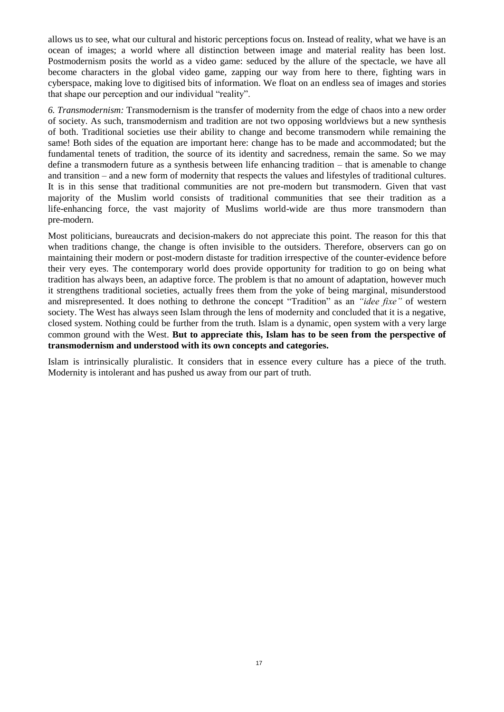allows us to see, what our cultural and historic perceptions focus on. Instead of reality, what we have is an ocean of images; a world where all distinction between image and material reality has been lost. Postmodernism posits the world as a video game: seduced by the allure of the spectacle, we have all become characters in the global video game, zapping our way from here to there, fighting wars in cyberspace, making love to digitised bits of information. We float on an endless sea of images and stories that shape our perception and our individual "reality".

*6. Transmodernism:* Transmodernism is the transfer of modernity from the edge of chaos into a new order of society. As such, transmodernism and tradition are not two opposing worldviews but a new synthesis of both. Traditional societies use their ability to change and become transmodern while remaining the same! Both sides of the equation are important here: change has to be made and accommodated; but the fundamental tenets of tradition, the source of its identity and sacredness, remain the same. So we may define a transmodern future as a synthesis between life enhancing tradition – that is amenable to change and transition – and a new form of modernity that respects the values and lifestyles of traditional cultures. It is in this sense that traditional communities are not pre-modern but transmodern. Given that vast majority of the Muslim world consists of traditional communities that see their tradition as a life-enhancing force, the vast majority of Muslims world-wide are thus more transmodern than pre-modern.

Most politicians, bureaucrats and decision-makers do not appreciate this point. The reason for this that when traditions change, the change is often invisible to the outsiders. Therefore, observers can go on maintaining their modern or post-modern distaste for tradition irrespective of the counter-evidence before their very eyes. The contemporary world does provide opportunity for tradition to go on being what tradition has always been, an adaptive force. The problem is that no amount of adaptation, however much it strengthens traditional societies, actually frees them from the yoke of being marginal, misunderstood and misrepresented. It does nothing to dethrone the concept "Tradition" as an *"idee fixe"* of western society. The West has always seen Islam through the lens of modernity and concluded that it is a negative, closed system. Nothing could be further from the truth. Islam is a dynamic, open system with a very large common ground with the West. **But to appreciate this, Islam has to be seen from the perspective of transmodernism and understood with its own concepts and categories.** 

Islam is intrinsically pluralistic. It considers that in essence every culture has a piece of the truth. Modernity is intolerant and has pushed us away from our part of truth.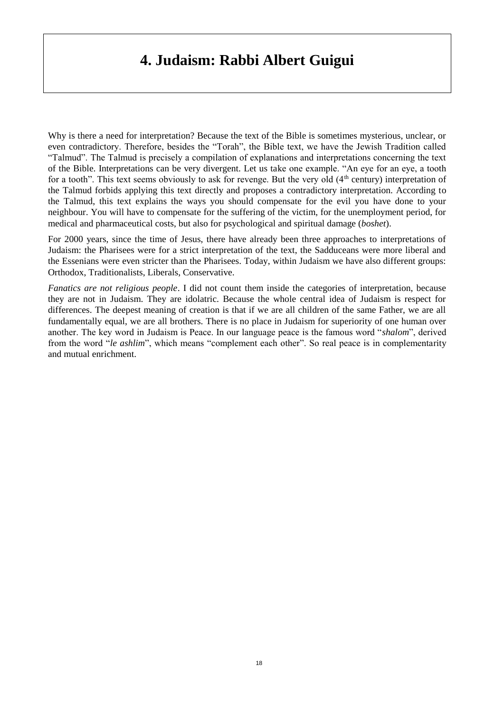### **4. Judaism: Rabbi Albert Guigui**

Why is there a need for interpretation? Because the text of the Bible is sometimes mysterious, unclear, or even contradictory. Therefore, besides the "Torah", the Bible text, we have the Jewish Tradition called "Talmud". The Talmud is precisely a compilation of explanations and interpretations concerning the text of the Bible. Interpretations can be very divergent. Let us take one example. "An eye for an eye, a tooth for a tooth". This text seems obviously to ask for revenge. But the very old  $(4<sup>th</sup>$  century) interpretation of the Talmud forbids applying this text directly and proposes a contradictory interpretation. According to the Talmud, this text explains the ways you should compensate for the evil you have done to your neighbour. You will have to compensate for the suffering of the victim, for the unemployment period, for medical and pharmaceutical costs, but also for psychological and spiritual damage (*boshet*).

For 2000 years, since the time of Jesus, there have already been three approaches to interpretations of Judaism: the Pharisees were for a strict interpretation of the text, the Sadduceans were more liberal and the Essenians were even stricter than the Pharisees. Today, within Judaism we have also different groups: Orthodox, Traditionalists, Liberals, Conservative.

*Fanatics are not religious people*. I did not count them inside the categories of interpretation, because they are not in Judaism. They are idolatric. Because the whole central idea of Judaism is respect for differences. The deepest meaning of creation is that if we are all children of the same Father, we are all fundamentally equal, we are all brothers. There is no place in Judaism for superiority of one human over another. The key word in Judaism is Peace. In our language peace is the famous word "*shalom*", derived from the word "*le ashlim*", which means "complement each other". So real peace is in complementarity and mutual enrichment.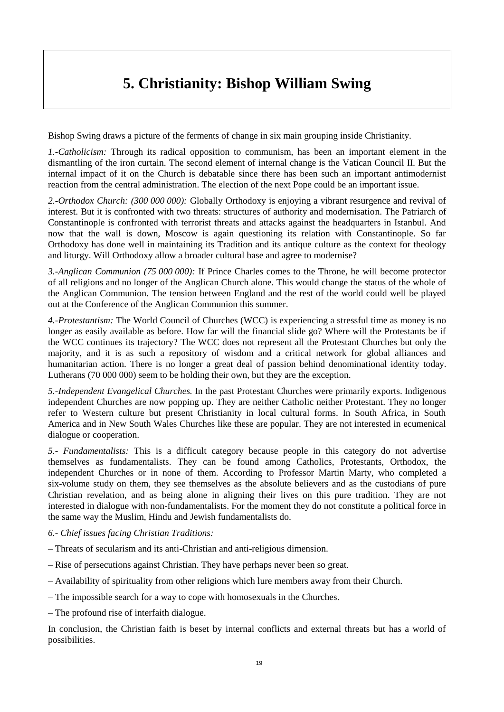### **5. Christianity: Bishop William Swing**

Bishop Swing draws a picture of the ferments of change in six main grouping inside Christianity.

*1.-Catholicism:* Through its radical opposition to communism, has been an important element in the dismantling of the iron curtain. The second element of internal change is the Vatican Council II. But the internal impact of it on the Church is debatable since there has been such an important antimodernist reaction from the central administration. The election of the next Pope could be an important issue.

*2.-Orthodox Church: (300 000 000):* Globally Orthodoxy is enjoying a vibrant resurgence and revival of interest. But it is confronted with two threats: structures of authority and modernisation. The Patriarch of Constantinople is confronted with terrorist threats and attacks against the headquarters in Istanbul. And now that the wall is down, Moscow is again questioning its relation with Constantinople. So far Orthodoxy has done well in maintaining its Tradition and its antique culture as the context for theology and liturgy. Will Orthodoxy allow a broader cultural base and agree to modernise?

*3.-Anglican Communion (75 000 000):* If Prince Charles comes to the Throne, he will become protector of all religions and no longer of the Anglican Church alone. This would change the status of the whole of the Anglican Communion. The tension between England and the rest of the world could well be played out at the Conference of the Anglican Communion this summer.

*4.-Protestantism:* The World Council of Churches (WCC) is experiencing a stressful time as money is no longer as easily available as before. How far will the financial slide go? Where will the Protestants be if the WCC continues its trajectory? The WCC does not represent all the Protestant Churches but only the majority, and it is as such a repository of wisdom and a critical network for global alliances and humanitarian action. There is no longer a great deal of passion behind denominational identity today. Lutherans (70 000 000) seem to be holding their own, but they are the exception.

*5.-Independent Evangelical Churches.* In the past Protestant Churches were primarily exports. Indigenous independent Churches are now popping up. They are neither Catholic neither Protestant. They no longer refer to Western culture but present Christianity in local cultural forms. In South Africa, in South America and in New South Wales Churches like these are popular. They are not interested in ecumenical dialogue or cooperation.

*5.- Fundamentalists:* This is a difficult category because people in this category do not advertise themselves as fundamentalists. They can be found among Catholics, Protestants, Orthodox, the independent Churches or in none of them. According to Professor Martin Marty, who completed a six-volume study on them, they see themselves as the absolute believers and as the custodians of pure Christian revelation, and as being alone in aligning their lives on this pure tradition. They are not interested in dialogue with non-fundamentalists. For the moment they do not constitute a political force in the same way the Muslim, Hindu and Jewish fundamentalists do.

*6.- Chief issues facing Christian Traditions:* 

- *–* Threats of secularism and its anti-Christian and anti-religious dimension.
- Rise of persecutions against Christian. They have perhaps never been so great.
- Availability of spirituality from other religions which lure members away from their Church.
- The impossible search for a way to cope with homosexuals in the Churches.

– The profound rise of interfaith dialogue.

In conclusion, the Christian faith is beset by internal conflicts and external threats but has a world of possibilities.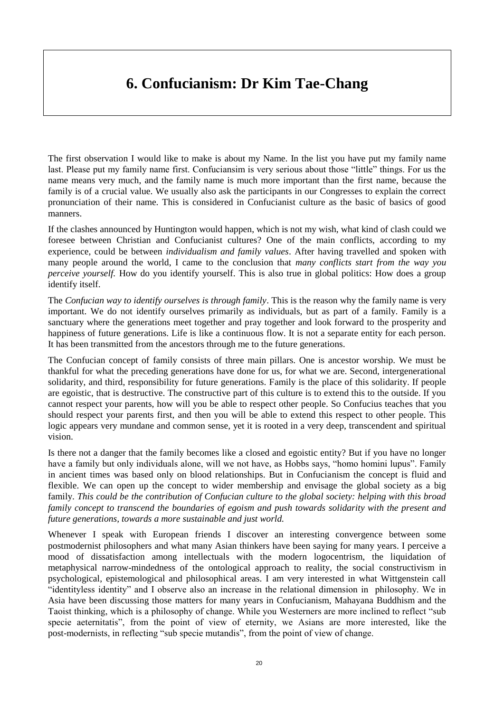### **6. Confucianism: Dr Kim Tae-Chang**

The first observation I would like to make is about my Name. In the list you have put my family name last. Please put my family name first. Confuciansim is very serious about those "little" things. For us the name means very much, and the family name is much more important than the first name, because the family is of a crucial value. We usually also ask the participants in our Congresses to explain the correct pronunciation of their name. This is considered in Confucianist culture as the basic of basics of good manners.

If the clashes announced by Huntington would happen, which is not my wish, what kind of clash could we foresee between Christian and Confucianist cultures? One of the main conflicts, according to my experience, could be between *individualism and family values*. After having travelled and spoken with many people around the world, I came to the conclusion that *many conflicts start from the way you perceive yourself.* How do you identify yourself. This is also true in global politics: How does a group identify itself.

The *Confucian way to identify ourselves is through family*. This is the reason why the family name is very important. We do not identify ourselves primarily as individuals, but as part of a family. Family is a sanctuary where the generations meet together and pray together and look forward to the prosperity and happiness of future generations. Life is like a continuous flow. It is not a separate entity for each person. It has been transmitted from the ancestors through me to the future generations.

The Confucian concept of family consists of three main pillars. One is ancestor worship. We must be thankful for what the preceding generations have done for us, for what we are. Second, intergenerational solidarity, and third, responsibility for future generations. Family is the place of this solidarity. If people are egoistic, that is destructive. The constructive part of this culture is to extend this to the outside. If you cannot respect your parents, how will you be able to respect other people. So Confucius teaches that you should respect your parents first, and then you will be able to extend this respect to other people. This logic appears very mundane and common sense, yet it is rooted in a very deep, transcendent and spiritual vision.

Is there not a danger that the family becomes like a closed and egoistic entity? But if you have no longer have a family but only individuals alone, will we not have, as Hobbs says, "homo homini lupus". Family in ancient times was based only on blood relationships. But in Confucianism the concept is fluid and flexible. We can open up the concept to wider membership and envisage the global society as a big family. *This could be the contribution of Confucian culture to the global society: helping with this broad family concept to transcend the boundaries of egoism and push towards solidarity with the present and future generations, towards a more sustainable and just world.*

Whenever I speak with European friends I discover an interesting convergence between some postmodernist philosophers and what many Asian thinkers have been saying for many years. I perceive a mood of dissatisfaction among intellectuals with the modern logocentrism, the liquidation of metaphysical narrow-mindedness of the ontological approach to reality, the social constructivism in psychological, epistemological and philosophical areas. I am very interested in what Wittgenstein call "identityless identity" and I observe also an increase in the relational dimension in philosophy. We in Asia have been discussing those matters for many years in Confucianism, Mahayana Buddhism and the Taoist thinking, which is a philosophy of change. While you Westerners are more inclined to reflect "sub specie aeternitatis", from the point of view of eternity, we Asians are more interested, like the post-modernists, in reflecting "sub specie mutandis", from the point of view of change.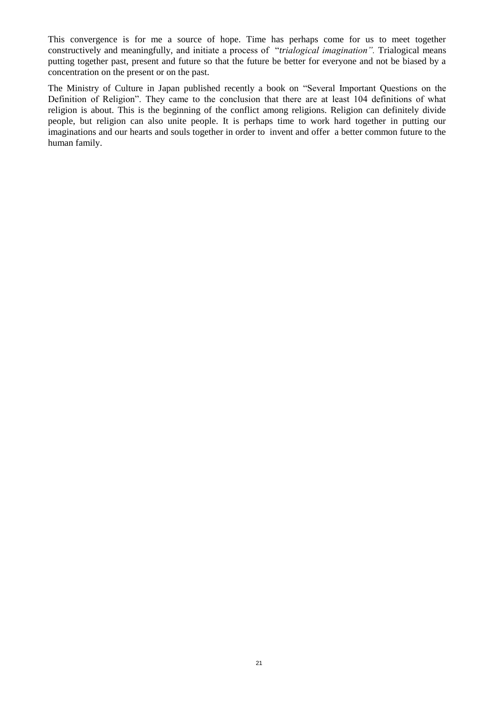This convergence is for me a source of hope. Time has perhaps come for us to meet together constructively and meaningfully, and initiate a process of "*trialogical imagination".* Trialogical means putting together past, present and future so that the future be better for everyone and not be biased by a concentration on the present or on the past.

The Ministry of Culture in Japan published recently a book on "Several Important Questions on the Definition of Religion". They came to the conclusion that there are at least 104 definitions of what religion is about. This is the beginning of the conflict among religions. Religion can definitely divide people, but religion can also unite people. It is perhaps time to work hard together in putting our imaginations and our hearts and souls together in order to invent and offer a better common future to the human family.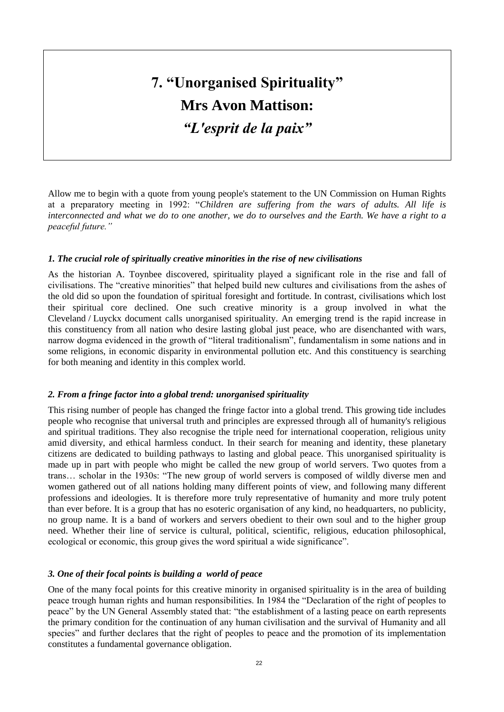## **7. "Unorganised Spirituality" Mrs Avon Mattison:** *"L'esprit de la paix"*

Allow me to begin with a quote from young people's statement to the UN Commission on Human Rights at a preparatory meeting in 1992: "*Children are suffering from the wars of adults. All life is interconnected and what we do to one another, we do to ourselves and the Earth. We have a right to a peaceful future."*

#### *1. The crucial role of spiritually creative minorities in the rise of new civilisations*

As the historian A. Toynbee discovered, spirituality played a significant role in the rise and fall of civilisations. The "creative minorities" that helped build new cultures and civilisations from the ashes of the old did so upon the foundation of spiritual foresight and fortitude. In contrast, civilisations which lost their spiritual core declined. One such creative minority is a group involved in what the Cleveland / Luyckx document calls unorganised spirituality. An emerging trend is the rapid increase in this constituency from all nation who desire lasting global just peace, who are disenchanted with wars, narrow dogma evidenced in the growth of "literal traditionalism", fundamentalism in some nations and in some religions, in economic disparity in environmental pollution etc. And this constituency is searching for both meaning and identity in this complex world.

#### *2. From a fringe factor into a global trend: unorganised spirituality*

This rising number of people has changed the fringe factor into a global trend. This growing tide includes people who recognise that universal truth and principles are expressed through all of humanity's religious and spiritual traditions. They also recognise the triple need for international cooperation, religious unity amid diversity, and ethical harmless conduct. In their search for meaning and identity, these planetary citizens are dedicated to building pathways to lasting and global peace. This unorganised spirituality is made up in part with people who might be called the new group of world servers. Two quotes from a trans… scholar in the 1930s: "The new group of world servers is composed of wildly diverse men and women gathered out of all nations holding many different points of view, and following many different professions and ideologies. It is therefore more truly representative of humanity and more truly potent than ever before. It is a group that has no esoteric organisation of any kind, no headquarters, no publicity, no group name. It is a band of workers and servers obedient to their own soul and to the higher group need. Whether their line of service is cultural, political, scientific, religious, education philosophical, ecological or economic, this group gives the word spiritual a wide significance".

#### *3. One of their focal points is building a world of peace*

One of the many focal points for this creative minority in organised spirituality is in the area of building peace trough human rights and human responsibilities. In 1984 the "Declaration of the right of peoples to peace" by the UN General Assembly stated that: "the establishment of a lasting peace on earth represents the primary condition for the continuation of any human civilisation and the survival of Humanity and all species" and further declares that the right of peoples to peace and the promotion of its implementation constitutes a fundamental governance obligation.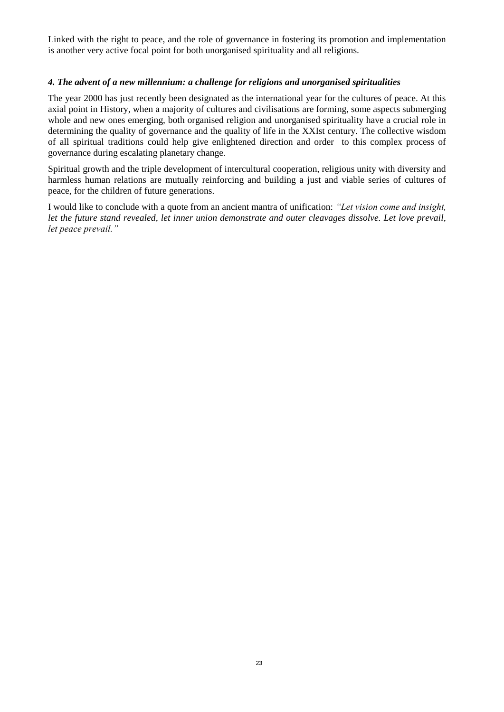Linked with the right to peace, and the role of governance in fostering its promotion and implementation is another very active focal point for both unorganised spirituality and all religions.

#### *4. The advent of a new millennium: a challenge for religions and unorganised spiritualities*

The year 2000 has just recently been designated as the international year for the cultures of peace. At this axial point in History, when a majority of cultures and civilisations are forming, some aspects submerging whole and new ones emerging, both organised religion and unorganised spirituality have a crucial role in determining the quality of governance and the quality of life in the XXIst century. The collective wisdom of all spiritual traditions could help give enlightened direction and order to this complex process of governance during escalating planetary change.

Spiritual growth and the triple development of intercultural cooperation, religious unity with diversity and harmless human relations are mutually reinforcing and building a just and viable series of cultures of peace, for the children of future generations.

I would like to conclude with a quote from an ancient mantra of unification: *"Let vision come and insight, let the future stand revealed, let inner union demonstrate and outer cleavages dissolve. Let love prevail, let peace prevail."*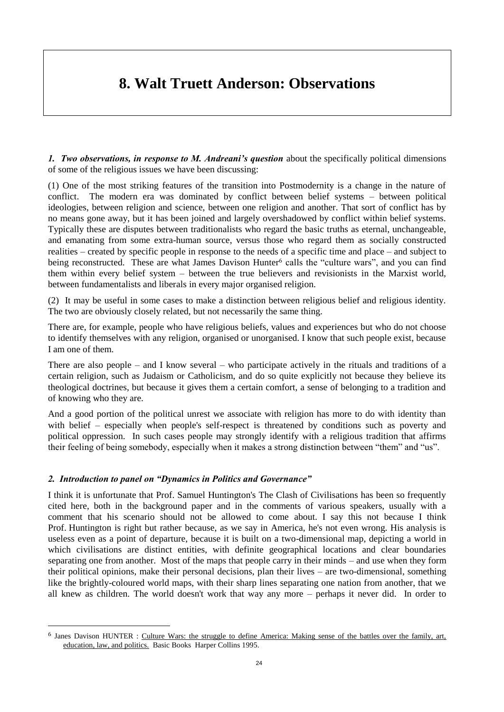### **8. Walt Truett Anderson: Observations**

*1. Two observations, in response to M. Andreani's question* about the specifically political dimensions of some of the religious issues we have been discussing:

(1) One of the most striking features of the transition into Postmodernity is a change in the nature of conflict. The modern era was dominated by conflict between belief systems – between political ideologies, between religion and science, between one religion and another. That sort of conflict has by no means gone away, but it has been joined and largely overshadowed by conflict within belief systems. Typically these are disputes between traditionalists who regard the basic truths as eternal, unchangeable, and emanating from some extra-human source, versus those who regard them as socially constructed realities – created by specific people in response to the needs of a specific time and place – and subject to being reconstructed. These are what James Davison Hunter<sup>6</sup> calls the "culture wars", and you can find them within every belief system – between the true believers and revisionists in the Marxist world, between fundamentalists and liberals in every major organised religion.

(2) It may be useful in some cases to make a distinction between religious belief and religious identity. The two are obviously closely related, but not necessarily the same thing.

There are, for example, people who have religious beliefs, values and experiences but who do not choose to identify themselves with any religion, organised or unorganised. I know that such people exist, because I am one of them.

There are also people – and I know several – who participate actively in the rituals and traditions of a certain religion, such as Judaism or Catholicism, and do so quite explicitly not because they believe its theological doctrines, but because it gives them a certain comfort, a sense of belonging to a tradition and of knowing who they are.

And a good portion of the political unrest we associate with religion has more to do with identity than with belief – especially when people's self-respect is threatened by conditions such as poverty and political oppression. In such cases people may strongly identify with a religious tradition that affirms their feeling of being somebody, especially when it makes a strong distinction between "them" and "us".

#### *2. Introduction to panel on "Dynamics in Politics and Governance"*

 $\overline{a}$ 

I think it is unfortunate that Prof. Samuel Huntington's The Clash of Civilisations has been so frequently cited here, both in the background paper and in the comments of various speakers, usually with a comment that his scenario should not be allowed to come about. I say this not because I think Prof. Huntington is right but rather because, as we say in America, he's not even wrong. His analysis is useless even as a point of departure, because it is built on a two-dimensional map, depicting a world in which civilisations are distinct entities, with definite geographical locations and clear boundaries separating one from another. Most of the maps that people carry in their minds – and use when they form their political opinions, make their personal decisions, plan their lives – are two-dimensional, something like the brightly-coloured world maps, with their sharp lines separating one nation from another, that we all knew as children. The world doesn't work that way any more – perhaps it never did. In order to

<sup>&</sup>lt;sup>6</sup> Janes Davison HUNTER : Culture Wars: the struggle to define America: Making sense of the battles over the family, art, education, law, and politics. Basic Books Harper Collins 1995.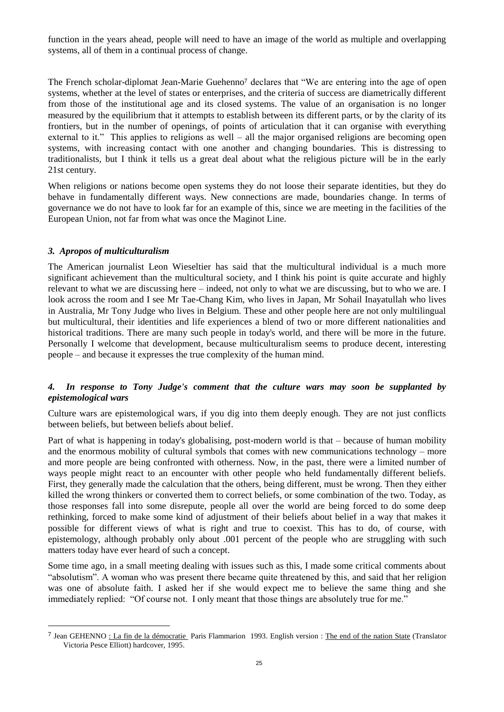function in the years ahead, people will need to have an image of the world as multiple and overlapping systems, all of them in a continual process of change.

The French scholar-diplomat Jean-Marie Guehenno<sup>7</sup> declares that "We are entering into the age of open systems, whether at the level of states or enterprises, and the criteria of success are diametrically different from those of the institutional age and its closed systems. The value of an organisation is no longer measured by the equilibrium that it attempts to establish between its different parts, or by the clarity of its frontiers, but in the number of openings, of points of articulation that it can organise with everything external to it." This applies to religions as well – all the major organised religions are becoming open systems, with increasing contact with one another and changing boundaries. This is distressing to traditionalists, but I think it tells us a great deal about what the religious picture will be in the early 21st century.

When religions or nations become open systems they do not loose their separate identities, but they do behave in fundamentally different ways. New connections are made, boundaries change. In terms of governance we do not have to look far for an example of this, since we are meeting in the facilities of the European Union, not far from what was once the Maginot Line.

#### *3. Apropos of multiculturalism*

 $\overline{a}$ 

The American journalist Leon Wieseltier has said that the multicultural individual is a much more significant achievement than the multicultural society, and I think his point is quite accurate and highly relevant to what we are discussing here – indeed, not only to what we are discussing, but to who we are. I look across the room and I see Mr Tae-Chang Kim, who lives in Japan, Mr Sohail Inayatullah who lives in Australia, Mr Tony Judge who lives in Belgium. These and other people here are not only multilingual but multicultural, their identities and life experiences a blend of two or more different nationalities and historical traditions. There are many such people in today's world, and there will be more in the future. Personally I welcome that development, because multiculturalism seems to produce decent, interesting people – and because it expresses the true complexity of the human mind.

#### *4. In response to Tony Judge's comment that the culture wars may soon be supplanted by epistemological wars*

Culture wars are epistemological wars, if you dig into them deeply enough. They are not just conflicts between beliefs, but between beliefs about belief.

Part of what is happening in today's globalising, post-modern world is that – because of human mobility and the enormous mobility of cultural symbols that comes with new communications technology – more and more people are being confronted with otherness. Now, in the past, there were a limited number of ways people might react to an encounter with other people who held fundamentally different beliefs. First, they generally made the calculation that the others, being different, must be wrong. Then they either killed the wrong thinkers or converted them to correct beliefs, or some combination of the two. Today, as those responses fall into some disrepute, people all over the world are being forced to do some deep rethinking, forced to make some kind of adjustment of their beliefs about belief in a way that makes it possible for different views of what is right and true to coexist. This has to do, of course, with epistemology, although probably only about .001 percent of the people who are struggling with such matters today have ever heard of such a concept.

Some time ago, in a small meeting dealing with issues such as this, I made some critical comments about "absolutism". A woman who was present there became quite threatened by this, and said that her religion was one of absolute faith. I asked her if she would expect me to believe the same thing and she immediately replied: "Of course not. I only meant that those things are absolutely true for me."

<sup>&</sup>lt;sup>7</sup> Jean GEHENNO : La fin de la démocratie Paris Flammarion 1993. English version : The end of the nation State (Translator Victoria Pesce Elliott) hardcover, 1995.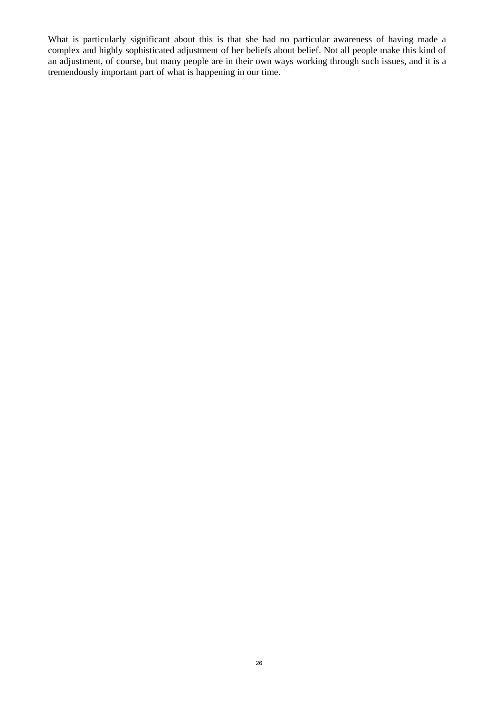What is particularly significant about this is that she had no particular awareness of having made a complex and highly sophisticated adjustment of her beliefs about belief. Not all people make this kind of an adjustment, of course, but many people are in their own ways working through such issues, and it is a tremendously important part of what is happening in our time.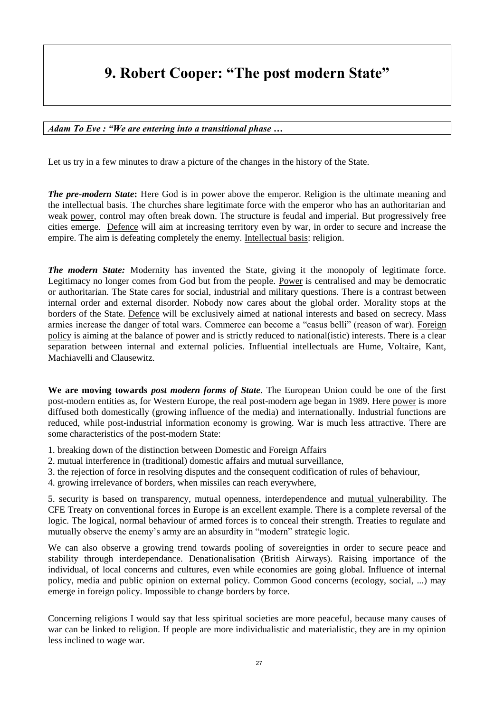### **9. Robert Cooper: "The post modern State"**

*Adam To Eve : "We are entering into a transitional phase …*

Let us try in a few minutes to draw a picture of the changes in the history of the State.

*The pre-modern State***:** Here God is in power above the emperor. Religion is the ultimate meaning and the intellectual basis. The churches share legitimate force with the emperor who has an authoritarian and weak power, control may often break down. The structure is feudal and imperial. But progressively free cities emerge. Defence will aim at increasing territory even by war, in order to secure and increase the empire. The aim is defeating completely the enemy. Intellectual basis: religion.

*The modern State:* Modernity has invented the State, giving it the monopoly of legitimate force. Legitimacy no longer comes from God but from the people. Power is centralised and may be democratic or authoritarian. The State cares for social, industrial and military questions. There is a contrast between internal order and external disorder. Nobody now cares about the global order. Morality stops at the borders of the State. Defence will be exclusively aimed at national interests and based on secrecy. Mass armies increase the danger of total wars. Commerce can become a "casus belli" (reason of war). Foreign policy is aiming at the balance of power and is strictly reduced to national(istic) interests. There is a clear separation between internal and external policies. Influential intellectuals are Hume, Voltaire, Kant, Machiavelli and Clausewitz.

**We are moving towards** *post modern forms of State*. The European Union could be one of the first post-modern entities as, for Western Europe, the real post-modern age began in 1989. Here power is more diffused both domestically (growing influence of the media) and internationally. Industrial functions are reduced, while post-industrial information economy is growing. War is much less attractive. There are some characteristics of the post-modern State:

- 1. breaking down of the distinction between Domestic and Foreign Affairs
- 2. mutual interference in (traditional) domestic affairs and mutual surveillance,
- 3. the rejection of force in resolving disputes and the consequent codification of rules of behaviour,
- 4. growing irrelevance of borders, when missiles can reach everywhere,

5. security is based on transparency, mutual openness, interdependence and mutual vulnerability. The CFE Treaty on conventional forces in Europe is an excellent example. There is a complete reversal of the logic. The logical, normal behaviour of armed forces is to conceal their strength. Treaties to regulate and mutually observe the enemy's army are an absurdity in "modern" strategic logic.

We can also observe a growing trend towards pooling of sovereignties in order to secure peace and stability through interdependance. Denationalisation (British Airways). Raising importance of the individual, of local concerns and cultures, even while economies are going global. Influence of internal policy, media and public opinion on external policy. Common Good concerns (ecology, social, ...) may emerge in foreign policy. Impossible to change borders by force.

Concerning religions I would say that less spiritual societies are more peaceful, because many causes of war can be linked to religion. If people are more individualistic and materialistic, they are in my opinion less inclined to wage war.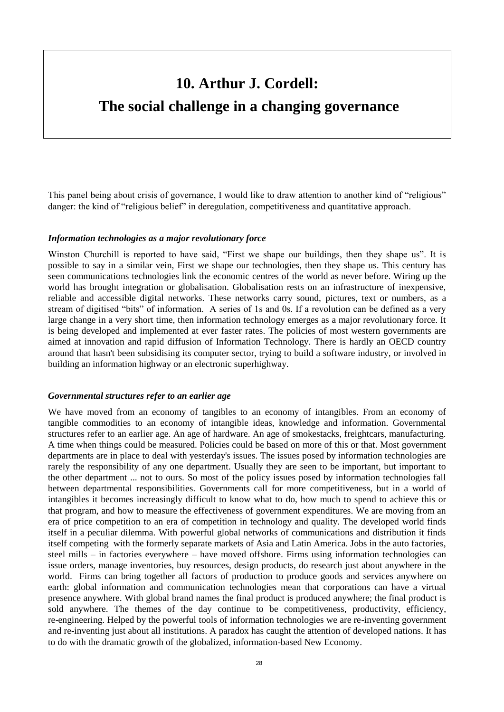### **10. Arthur J. Cordell:**

### **The social challenge in a changing governance**

This panel being about crisis of governance, I would like to draw attention to another kind of "religious" danger: the kind of "religious belief" in deregulation, competitiveness and quantitative approach.

#### *Information technologies as a major revolutionary force*

Winston Churchill is reported to have said, "First we shape our buildings, then they shape us". It is possible to say in a similar vein, First we shape our technologies, then they shape us. This century has seen communications technologies link the economic centres of the world as never before. Wiring up the world has brought integration or globalisation. Globalisation rests on an infrastructure of inexpensive, reliable and accessible digital networks. These networks carry sound, pictures, text or numbers, as a stream of digitised "bits" of information. A series of 1s and 0s. If a revolution can be defined as a very large change in a very short time, then information technology emerges as a major revolutionary force. It is being developed and implemented at ever faster rates. The policies of most western governments are aimed at innovation and rapid diffusion of Information Technology. There is hardly an OECD country around that hasn't been subsidising its computer sector, trying to build a software industry, or involved in building an information highway or an electronic superhighway.

#### *Governmental structures refer to an earlier age*

We have moved from an economy of tangibles to an economy of intangibles. From an economy of tangible commodities to an economy of intangible ideas, knowledge and information. Governmental structures refer to an earlier age. An age of hardware. An age of smokestacks, freightcars, manufacturing. A time when things could be measured. Policies could be based on more of this or that. Most government departments are in place to deal with yesterday's issues. The issues posed by information technologies are rarely the responsibility of any one department. Usually they are seen to be important, but important to the other department ... not to ours. So most of the policy issues posed by information technologies fall between departmental responsibilities. Governments call for more competitiveness, but in a world of intangibles it becomes increasingly difficult to know what to do, how much to spend to achieve this or that program, and how to measure the effectiveness of government expenditures. We are moving from an era of price competition to an era of competition in technology and quality. The developed world finds itself in a peculiar dilemma. With powerful global networks of communications and distribution it finds itself competing with the formerly separate markets of Asia and Latin America. Jobs in the auto factories, steel mills – in factories everywhere – have moved offshore. Firms using information technologies can issue orders, manage inventories, buy resources, design products, do research just about anywhere in the world. Firms can bring together all factors of production to produce goods and services anywhere on earth: global information and communication technologies mean that corporations can have a virtual presence anywhere. With global brand names the final product is produced anywhere; the final product is sold anywhere. The themes of the day continue to be competitiveness, productivity, efficiency, re-engineering. Helped by the powerful tools of information technologies we are re-inventing government and re-inventing just about all institutions. A paradox has caught the attention of developed nations. It has to do with the dramatic growth of the globalized, information-based New Economy.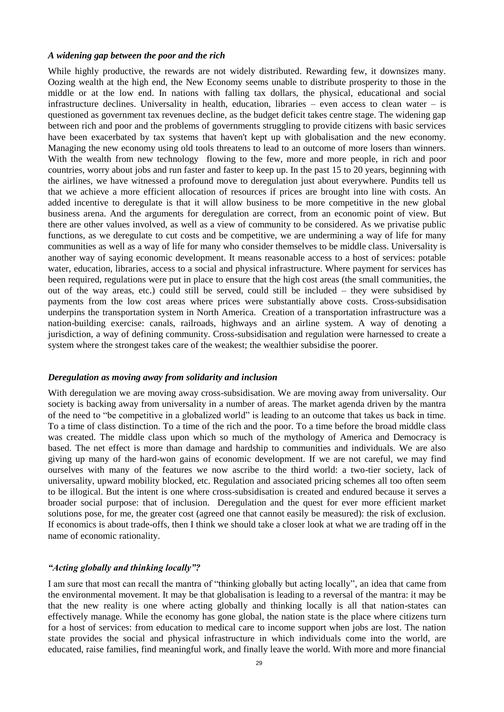#### *A widening gap between the poor and the rich*

While highly productive, the rewards are not widely distributed. Rewarding few, it downsizes many. Oozing wealth at the high end, the New Economy seems unable to distribute prosperity to those in the middle or at the low end. In nations with falling tax dollars, the physical, educational and social infrastructure declines. Universality in health, education, libraries – even access to clean water – is questioned as government tax revenues decline, as the budget deficit takes centre stage. The widening gap between rich and poor and the problems of governments struggling to provide citizens with basic services have been exacerbated by tax systems that haven't kept up with globalisation and the new economy. Managing the new economy using old tools threatens to lead to an outcome of more losers than winners. With the wealth from new technology flowing to the few, more and more people, in rich and poor countries, worry about jobs and run faster and faster to keep up. In the past 15 to 20 years, beginning with the airlines, we have witnessed a profound move to deregulation just about everywhere. Pundits tell us that we achieve a more efficient allocation of resources if prices are brought into line with costs. An added incentive to deregulate is that it will allow business to be more competitive in the new global business arena. And the arguments for deregulation are correct, from an economic point of view. But there are other values involved, as well as a view of community to be considered. As we privatise public functions, as we deregulate to cut costs and be competitive, we are undermining a way of life for many communities as well as a way of life for many who consider themselves to be middle class. Universality is another way of saying economic development. It means reasonable access to a host of services: potable water, education, libraries, access to a social and physical infrastructure. Where payment for services has been required, regulations were put in place to ensure that the high cost areas (the small communities, the out of the way areas, etc.) could still be served, could still be included – they were subsidised by payments from the low cost areas where prices were substantially above costs. Cross-subsidisation underpins the transportation system in North America. Creation of a transportation infrastructure was a nation-building exercise: canals, railroads, highways and an airline system. A way of denoting a jurisdiction, a way of defining community. Cross-subsidisation and regulation were harnessed to create a system where the strongest takes care of the weakest; the wealthier subsidise the poorer.

#### *Deregulation as moving away from solidarity and inclusion*

With deregulation we are moving away cross-subsidisation. We are moving away from universality. Our society is backing away from universality in a number of areas. The market agenda driven by the mantra of the need to "be competitive in a globalized world" is leading to an outcome that takes us back in time. To a time of class distinction. To a time of the rich and the poor. To a time before the broad middle class was created. The middle class upon which so much of the mythology of America and Democracy is based. The net effect is more than damage and hardship to communities and individuals. We are also giving up many of the hard-won gains of economic development. If we are not careful, we may find ourselves with many of the features we now ascribe to the third world: a two-tier society, lack of universality, upward mobility blocked, etc. Regulation and associated pricing schemes all too often seem to be illogical. But the intent is one where cross-subsidisation is created and endured because it serves a broader social purpose: that of inclusion. Deregulation and the quest for ever more efficient market solutions pose, for me, the greater cost (agreed one that cannot easily be measured): the risk of exclusion. If economics is about trade-offs, then I think we should take a closer look at what we are trading off in the name of economic rationality.

#### *"Acting globally and thinking locally"?*

I am sure that most can recall the mantra of "thinking globally but acting locally", an idea that came from the environmental movement. It may be that globalisation is leading to a reversal of the mantra: it may be that the new reality is one where acting globally and thinking locally is all that nation-states can effectively manage. While the economy has gone global, the nation state is the place where citizens turn for a host of services: from education to medical care to income support when jobs are lost. The nation state provides the social and physical infrastructure in which individuals come into the world, are educated, raise families, find meaningful work, and finally leave the world. With more and more financial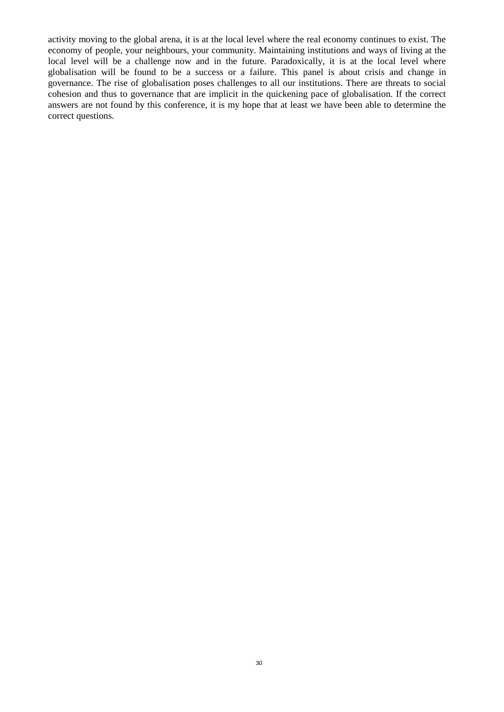activity moving to the global arena, it is at the local level where the real economy continues to exist. The economy of people, your neighbours, your community. Maintaining institutions and ways of living at the local level will be a challenge now and in the future. Paradoxically, it is at the local level where globalisation will be found to be a success or a failure. This panel is about crisis and change in governance. The rise of globalisation poses challenges to all our institutions. There are threats to social cohesion and thus to governance that are implicit in the quickening pace of globalisation. If the correct answers are not found by this conference, it is my hope that at least we have been able to determine the correct questions.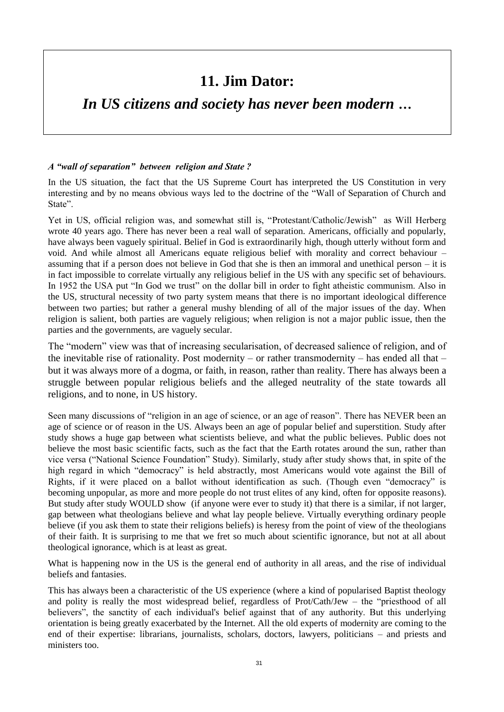### **11. Jim Dator:**

### *In US citizens and society has never been modern …*

#### *A "wall of separation" between religion and State ?*

In the US situation, the fact that the US Supreme Court has interpreted the US Constitution in very interesting and by no means obvious ways led to the doctrine of the "Wall of Separation of Church and State".

Yet in US, official religion was, and somewhat still is, "Protestant/Catholic/Jewish" as Will Herberg wrote 40 years ago. There has never been a real wall of separation. Americans, officially and popularly, have always been vaguely spiritual. Belief in God is extraordinarily high, though utterly without form and void. And while almost all Americans equate religious belief with morality and correct behaviour – assuming that if a person does not believe in God that she is then an immoral and unethical person – it is in fact impossible to correlate virtually any religious belief in the US with any specific set of behaviours. In 1952 the USA put "In God we trust" on the dollar bill in order to fight atheistic communism. Also in the US, structural necessity of two party system means that there is no important ideological difference between two parties; but rather a general mushy blending of all of the major issues of the day. When religion is salient, both parties are vaguely religious; when religion is not a major public issue, then the parties and the governments, are vaguely secular.

The "modern" view was that of increasing secularisation, of decreased salience of religion, and of the inevitable rise of rationality. Post modernity – or rather transmodernity – has ended all that – but it was always more of a dogma, or faith, in reason, rather than reality. There has always been a struggle between popular religious beliefs and the alleged neutrality of the state towards all religions, and to none, in US history.

Seen many discussions of "religion in an age of science, or an age of reason". There has NEVER been an age of science or of reason in the US. Always been an age of popular belief and superstition. Study after study shows a huge gap between what scientists believe, and what the public believes. Public does not believe the most basic scientific facts, such as the fact that the Earth rotates around the sun, rather than vice versa ("National Science Foundation" Study). Similarly, study after study shows that, in spite of the high regard in which "democracy" is held abstractly, most Americans would vote against the Bill of Rights, if it were placed on a ballot without identification as such. (Though even "democracy" is becoming unpopular, as more and more people do not trust elites of any kind, often for opposite reasons). But study after study WOULD show (if anyone were ever to study it) that there is a similar, if not larger, gap between what theologians believe and what lay people believe. Virtually everything ordinary people believe (if you ask them to state their religions beliefs) is heresy from the point of view of the theologians of their faith. It is surprising to me that we fret so much about scientific ignorance, but not at all about theological ignorance, which is at least as great.

What is happening now in the US is the general end of authority in all areas, and the rise of individual beliefs and fantasies.

This has always been a characteristic of the US experience (where a kind of popularised Baptist theology and polity is really the most widespread belief, regardless of Prot/Cath/Jew – the "priesthood of all believers", the sanctity of each individual's belief against that of any authority. But this underlying orientation is being greatly exacerbated by the Internet. All the old experts of modernity are coming to the end of their expertise: librarians, journalists, scholars, doctors, lawyers, politicians – and priests and ministers too.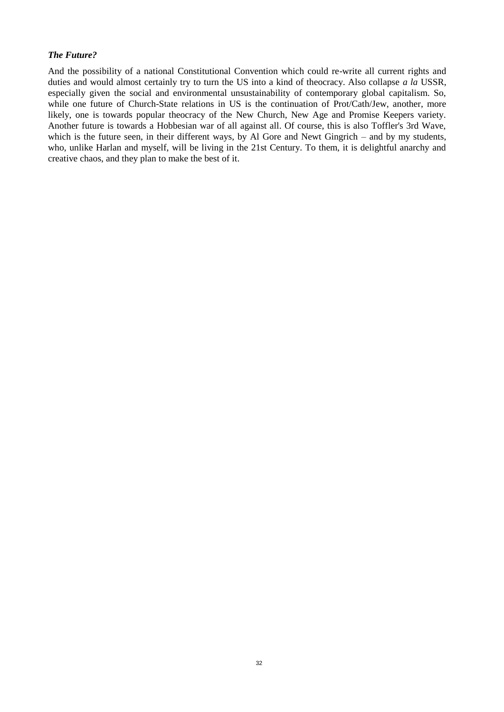#### *The Future?*

And the possibility of a national Constitutional Convention which could re-write all current rights and duties and would almost certainly try to turn the US into a kind of theocracy. Also collapse *a la* USSR, especially given the social and environmental unsustainability of contemporary global capitalism. So, while one future of Church-State relations in US is the continuation of Prot/Cath/Jew, another, more likely, one is towards popular theocracy of the New Church, New Age and Promise Keepers variety. Another future is towards a Hobbesian war of all against all. Of course, this is also Toffler's 3rd Wave, which is the future seen, in their different ways, by Al Gore and Newt Gingrich – and by my students, who, unlike Harlan and myself, will be living in the 21st Century. To them, it is delightful anarchy and creative chaos, and they plan to make the best of it.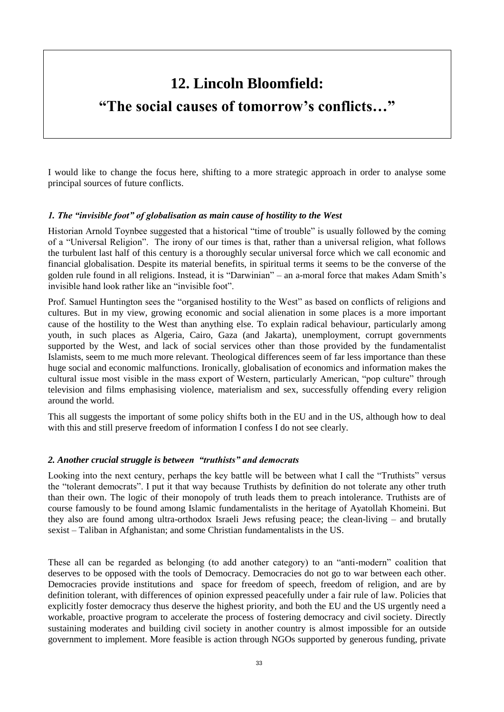### **12. Lincoln Bloomfield:**

### **"The social causes of tomorrow's conflicts…"**

I would like to change the focus here, shifting to a more strategic approach in order to analyse some principal sources of future conflicts.

#### *1. The "invisible foot" of globalisation as main cause of hostility to the West*

Historian Arnold Toynbee suggested that a historical "time of trouble" is usually followed by the coming of a "Universal Religion". The irony of our times is that, rather than a universal religion, what follows the turbulent last half of this century is a thoroughly secular universal force which we call economic and financial globalisation. Despite its material benefits, in spiritual terms it seems to be the converse of the golden rule found in all religions. Instead, it is "Darwinian" – an a-moral force that makes Adam Smith's invisible hand look rather like an "invisible foot".

Prof. Samuel Huntington sees the "organised hostility to the West" as based on conflicts of religions and cultures. But in my view, growing economic and social alienation in some places is a more important cause of the hostility to the West than anything else. To explain radical behaviour, particularly among youth, in such places as Algeria, Cairo, Gaza (and Jakarta), unemployment, corrupt governments supported by the West, and lack of social services other than those provided by the fundamentalist Islamists, seem to me much more relevant. Theological differences seem of far less importance than these huge social and economic malfunctions. Ironically, globalisation of economics and information makes the cultural issue most visible in the mass export of Western, particularly American, "pop culture" through television and films emphasising violence, materialism and sex, successfully offending every religion around the world.

This all suggests the important of some policy shifts both in the EU and in the US, although how to deal with this and still preserve freedom of information I confess I do not see clearly.

#### *2. Another crucial struggle is between "truthists" and democrats*

Looking into the next century, perhaps the key battle will be between what I call the "Truthists" versus the "tolerant democrats". I put it that way because Truthists by definition do not tolerate any other truth than their own. The logic of their monopoly of truth leads them to preach intolerance. Truthists are of course famously to be found among Islamic fundamentalists in the heritage of Ayatollah Khomeini. But they also are found among ultra-orthodox Israeli Jews refusing peace; the clean-living – and brutally sexist – Taliban in Afghanistan; and some Christian fundamentalists in the US.

These all can be regarded as belonging (to add another category) to an "anti-modern" coalition that deserves to be opposed with the tools of Democracy. Democracies do not go to war between each other. Democracies provide institutions and space for freedom of speech, freedom of religion, and are by definition tolerant, with differences of opinion expressed peacefully under a fair rule of law. Policies that explicitly foster democracy thus deserve the highest priority, and both the EU and the US urgently need a workable, proactive program to accelerate the process of fostering democracy and civil society. Directly sustaining moderates and building civil society in another country is almost impossible for an outside government to implement. More feasible is action through NGOs supported by generous funding, private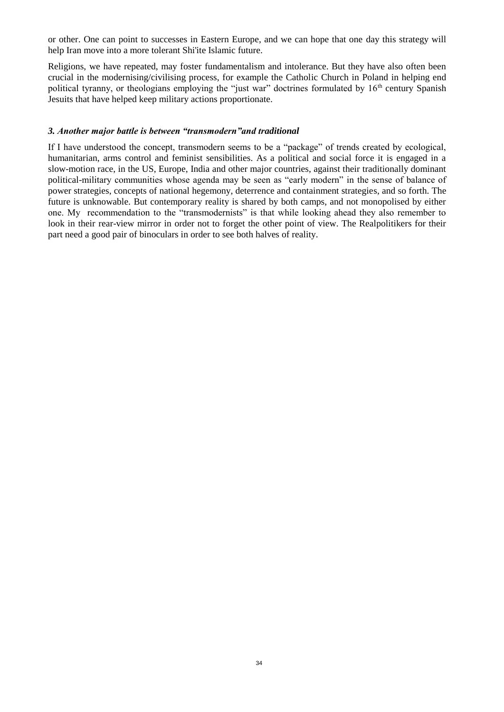or other. One can point to successes in Eastern Europe, and we can hope that one day this strategy will help Iran move into a more tolerant Shi'ite Islamic future.

Religions, we have repeated, may foster fundamentalism and intolerance. But they have also often been crucial in the modernising/civilising process, for example the Catholic Church in Poland in helping end political tyranny, or theologians employing the "just war" doctrines formulated by  $16<sup>th</sup>$  century Spanish Jesuits that have helped keep military actions proportionate.

#### *3. Another major battle is between "transmodern"and traditional*

If I have understood the concept, transmodern seems to be a "package" of trends created by ecological, humanitarian, arms control and feminist sensibilities. As a political and social force it is engaged in a slow-motion race, in the US, Europe, India and other major countries, against their traditionally dominant political-military communities whose agenda may be seen as "early modern" in the sense of balance of power strategies, concepts of national hegemony, deterrence and containment strategies, and so forth. The future is unknowable. But contemporary reality is shared by both camps, and not monopolised by either one. My recommendation to the "transmodernists" is that while looking ahead they also remember to look in their rear-view mirror in order not to forget the other point of view. The Realpolitikers for their part need a good pair of binoculars in order to see both halves of reality.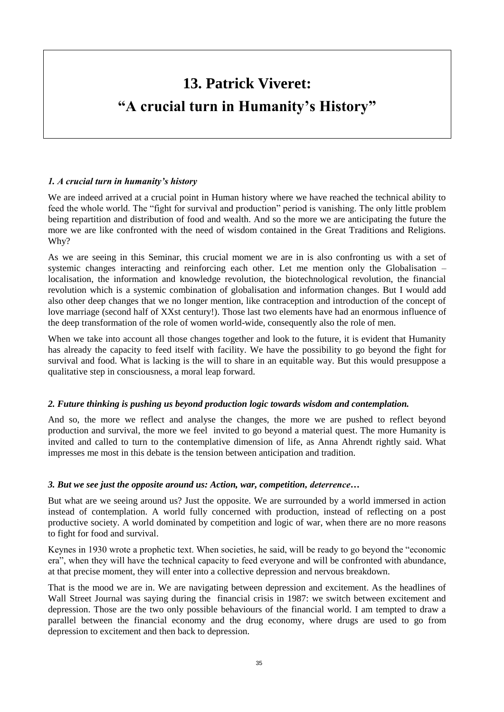## **13. Patrick Viveret: "A crucial turn in Humanity's History"**

#### *1. A crucial turn in humanity's history*

We are indeed arrived at a crucial point in Human history where we have reached the technical ability to feed the whole world. The "fight for survival and production" period is vanishing. The only little problem being repartition and distribution of food and wealth. And so the more we are anticipating the future the more we are like confronted with the need of wisdom contained in the Great Traditions and Religions. Why?

As we are seeing in this Seminar, this crucial moment we are in is also confronting us with a set of systemic changes interacting and reinforcing each other. Let me mention only the Globalisation – localisation, the information and knowledge revolution, the biotechnological revolution, the financial revolution which is a systemic combination of globalisation and information changes. But I would add also other deep changes that we no longer mention, like contraception and introduction of the concept of love marriage (second half of XXst century!). Those last two elements have had an enormous influence of the deep transformation of the role of women world-wide, consequently also the role of men.

When we take into account all those changes together and look to the future, it is evident that Humanity has already the capacity to feed itself with facility. We have the possibility to go beyond the fight for survival and food. What is lacking is the will to share in an equitable way. But this would presuppose a qualitative step in consciousness, a moral leap forward.

#### *2. Future thinking is pushing us beyond production logic towards wisdom and contemplation.*

And so, the more we reflect and analyse the changes, the more we are pushed to reflect beyond production and survival, the more we feel invited to go beyond a material quest. The more Humanity is invited and called to turn to the contemplative dimension of life, as Anna Ahrendt rightly said. What impresses me most in this debate is the tension between anticipation and tradition.

#### *3. But we see just the opposite around us: Action, war, competition, deterrence…*

But what are we seeing around us? Just the opposite. We are surrounded by a world immersed in action instead of contemplation. A world fully concerned with production, instead of reflecting on a post productive society. A world dominated by competition and logic of war, when there are no more reasons to fight for food and survival.

Keynes in 1930 wrote a prophetic text. When societies, he said, will be ready to go beyond the "economic era", when they will have the technical capacity to feed everyone and will be confronted with abundance, at that precise moment, they will enter into a collective depression and nervous breakdown.

That is the mood we are in. We are navigating between depression and excitement. As the headlines of Wall Street Journal was saying during the financial crisis in 1987: we switch between excitement and depression. Those are the two only possible behaviours of the financial world. I am tempted to draw a parallel between the financial economy and the drug economy, where drugs are used to go from depression to excitement and then back to depression.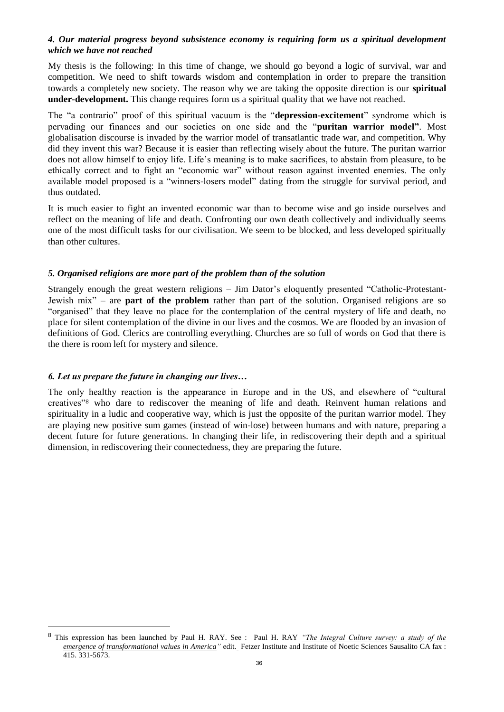#### *4. Our material progress beyond subsistence economy is requiring form us a spiritual development which we have not reached*

My thesis is the following: In this time of change, we should go beyond a logic of survival, war and competition. We need to shift towards wisdom and contemplation in order to prepare the transition towards a completely new society. The reason why we are taking the opposite direction is our **spiritual under-development.** This change requires form us a spiritual quality that we have not reached.

The "a contrario" proof of this spiritual vacuum is the "**depression-excitement**" syndrome which is pervading our finances and our societies on one side and the "**puritan warrior model"**. Most globalisation discourse is invaded by the warrior model of transatlantic trade war, and competition. Why did they invent this war? Because it is easier than reflecting wisely about the future. The puritan warrior does not allow himself to enjoy life. Life's meaning is to make sacrifices, to abstain from pleasure, to be ethically correct and to fight an "economic war" without reason against invented enemies. The only available model proposed is a "winners-losers model" dating from the struggle for survival period, and thus outdated.

It is much easier to fight an invented economic war than to become wise and go inside ourselves and reflect on the meaning of life and death. Confronting our own death collectively and individually seems one of the most difficult tasks for our civilisation. We seem to be blocked, and less developed spiritually than other cultures.

#### *5. Organised religions are more part of the problem than of the solution*

Strangely enough the great western religions – Jim Dator's eloquently presented "Catholic-Protestant-Jewish mix" – are **part of the problem** rather than part of the solution. Organised religions are so "organised" that they leave no place for the contemplation of the central mystery of life and death, no place for silent contemplation of the divine in our lives and the cosmos. We are flooded by an invasion of definitions of God. Clerics are controlling everything. Churches are so full of words on God that there is the there is room left for mystery and silence.

#### *6. Let us prepare the future in changing our lives…*

 $\overline{a}$ 

The only healthy reaction is the appearance in Europe and in the US, and elsewhere of "cultural creatives"<sup>8</sup> who dare to rediscover the meaning of life and death. Reinvent human relations and spirituality in a ludic and cooperative way, which is just the opposite of the puritan warrior model. They are playing new positive sum games (instead of win-lose) between humans and with nature, preparing a decent future for future generations. In changing their life, in rediscovering their depth and a spiritual dimension, in rediscovering their connectedness, they are preparing the future.

<sup>8</sup> This expression has been launched by Paul H. RAY. See : Paul H. RAY *"The Integral Culture survey: a study of the emergence of transformational values in America"* edit. Fetzer Institute and Institute of Noetic Sciences Sausalito CA fax : 415. 331-5673.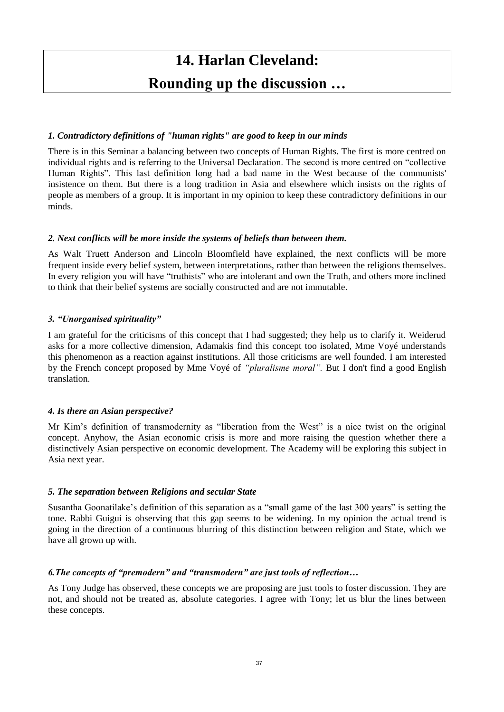# **14. Harlan Cleveland: Rounding up the discussion …**

#### *1. Contradictory definitions of "human rights" are good to keep in our minds*

There is in this Seminar a balancing between two concepts of Human Rights. The first is more centred on individual rights and is referring to the Universal Declaration. The second is more centred on "collective Human Rights". This last definition long had a bad name in the West because of the communists' insistence on them. But there is a long tradition in Asia and elsewhere which insists on the rights of people as members of a group. It is important in my opinion to keep these contradictory definitions in our minds.

#### *2. Next conflicts will be more inside the systems of beliefs than between them.*

As Walt Truett Anderson and Lincoln Bloomfield have explained, the next conflicts will be more frequent inside every belief system, between interpretations, rather than between the religions themselves. In every religion you will have "truthists" who are intolerant and own the Truth, and others more inclined to think that their belief systems are socially constructed and are not immutable.

#### *3. "Unorganised spirituality"*

I am grateful for the criticisms of this concept that I had suggested; they help us to clarify it. Weiderud asks for a more collective dimension, Adamakis find this concept too isolated, Mme Voyé understands this phenomenon as a reaction against institutions. All those criticisms are well founded. I am interested by the French concept proposed by Mme Voyé of *"pluralisme moral".* But I don't find a good English translation.

#### *4. Is there an Asian perspective?*

Mr Kim's definition of transmodernity as "liberation from the West" is a nice twist on the original concept. Anyhow, the Asian economic crisis is more and more raising the question whether there a distinctively Asian perspective on economic development. The Academy will be exploring this subject in Asia next year.

#### *5. The separation between Religions and secular State*

Susantha Goonatilake's definition of this separation as a "small game of the last 300 years" is setting the tone. Rabbi Guigui is observing that this gap seems to be widening. In my opinion the actual trend is going in the direction of a continuous blurring of this distinction between religion and State, which we have all grown up with.

#### *6.The concepts of "premodern" and "transmodern" are just tools of reflection…*

As Tony Judge has observed, these concepts we are proposing are just tools to foster discussion. They are not, and should not be treated as, absolute categories. I agree with Tony; let us blur the lines between these concepts.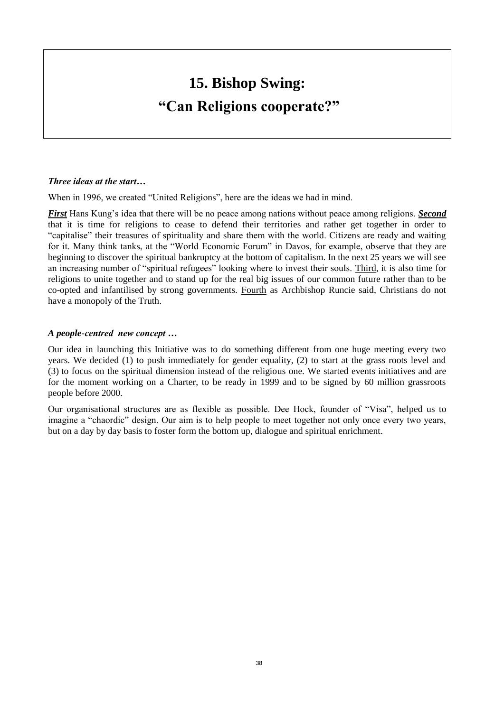# **15. Bishop Swing: "Can Religions cooperate?"**

#### *Three ideas at the start…*

When in 1996, we created "United Religions", here are the ideas we had in mind.

*First* Hans Kung's idea that there will be no peace among nations without peace among religions. *Second* that it is time for religions to cease to defend their territories and rather get together in order to "capitalise" their treasures of spirituality and share them with the world. Citizens are ready and waiting for it. Many think tanks, at the "World Economic Forum" in Davos, for example, observe that they are beginning to discover the spiritual bankruptcy at the bottom of capitalism. In the next 25 years we will see an increasing number of "spiritual refugees" looking where to invest their souls. Third, it is also time for religions to unite together and to stand up for the real big issues of our common future rather than to be co-opted and infantilised by strong governments. Fourth as Archbishop Runcie said, Christians do not have a monopoly of the Truth.

#### *A people-centred new concept …*

Our idea in launching this Initiative was to do something different from one huge meeting every two years. We decided (1) to push immediately for gender equality, (2) to start at the grass roots level and (3) to focus on the spiritual dimension instead of the religious one. We started events initiatives and are for the moment working on a Charter, to be ready in 1999 and to be signed by 60 million grassroots people before 2000.

Our organisational structures are as flexible as possible. Dee Hock, founder of "Visa", helped us to imagine a "chaordic" design. Our aim is to help people to meet together not only once every two years, but on a day by day basis to foster form the bottom up, dialogue and spiritual enrichment.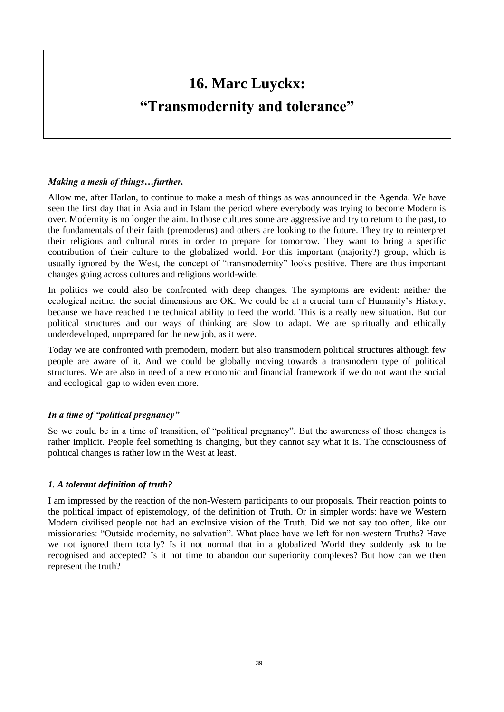# **16. Marc Luyckx: "Transmodernity and tolerance"**

#### *Making a mesh of things…further.*

Allow me, after Harlan, to continue to make a mesh of things as was announced in the Agenda. We have seen the first day that in Asia and in Islam the period where everybody was trying to become Modern is over. Modernity is no longer the aim. In those cultures some are aggressive and try to return to the past, to the fundamentals of their faith (premoderns) and others are looking to the future. They try to reinterpret their religious and cultural roots in order to prepare for tomorrow. They want to bring a specific contribution of their culture to the globalized world. For this important (majority?) group, which is usually ignored by the West, the concept of "transmodernity" looks positive. There are thus important changes going across cultures and religions world-wide.

In politics we could also be confronted with deep changes. The symptoms are evident: neither the ecological neither the social dimensions are OK. We could be at a crucial turn of Humanity's History, because we have reached the technical ability to feed the world. This is a really new situation. But our political structures and our ways of thinking are slow to adapt. We are spiritually and ethically underdeveloped, unprepared for the new job, as it were.

Today we are confronted with premodern, modern but also transmodern political structures although few people are aware of it. And we could be globally moving towards a transmodern type of political structures. We are also in need of a new economic and financial framework if we do not want the social and ecological gap to widen even more.

#### *In a time of "political pregnancy"*

So we could be in a time of transition, of "political pregnancy". But the awareness of those changes is rather implicit. People feel something is changing, but they cannot say what it is. The consciousness of political changes is rather low in the West at least.

#### *1. A tolerant definition of truth?*

I am impressed by the reaction of the non-Western participants to our proposals. Their reaction points to the political impact of epistemology, of the definition of Truth. Or in simpler words: have we Western Modern civilised people not had an exclusive vision of the Truth. Did we not say too often, like our missionaries: "Outside modernity, no salvation". What place have we left for non-western Truths? Have we not ignored them totally? Is it not normal that in a globalized World they suddenly ask to be recognised and accepted? Is it not time to abandon our superiority complexes? But how can we then represent the truth?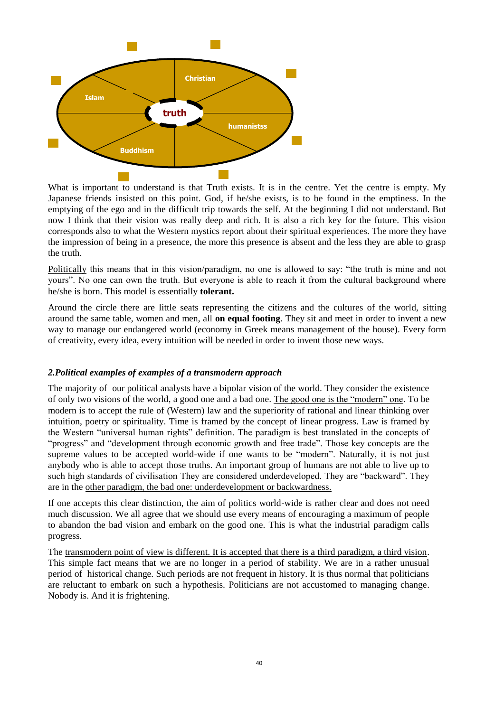

What is important to understand is that Truth exists. It is in the centre. Yet the centre is empty. My Japanese friends insisted on this point. God, if he/she exists, is to be found in the emptiness. In the emptying of the ego and in the difficult trip towards the self. At the beginning I did not understand. But now I think that their vision was really deep and rich. It is also a rich key for the future. This vision corresponds also to what the Western mystics report about their spiritual experiences. The more they have the impression of being in a presence, the more this presence is absent and the less they are able to grasp the truth.

Politically this means that in this vision/paradigm, no one is allowed to say: "the truth is mine and not yours". No one can own the truth. But everyone is able to reach it from the cultural background where he/she is born. This model is essentially **tolerant.**

Around the circle there are little seats representing the citizens and the cultures of the world, sitting around the same table, women and men, all **on equal footing**. They sit and meet in order to invent a new way to manage our endangered world (economy in Greek means management of the house). Every form of creativity, every idea, every intuition will be needed in order to invent those new ways.

#### *2.Political examples of examples of a transmodern approach*

The majority of our political analysts have a bipolar vision of the world. They consider the existence of only two visions of the world, a good one and a bad one. The good one is the "modern" one. To be modern is to accept the rule of (Western) law and the superiority of rational and linear thinking over intuition, poetry or spirituality. Time is framed by the concept of linear progress. Law is framed by the Western "universal human rights" definition. The paradigm is best translated in the concepts of "progress" and "development through economic growth and free trade". Those key concepts are the supreme values to be accepted world-wide if one wants to be "modern". Naturally, it is not just anybody who is able to accept those truths. An important group of humans are not able to live up to such high standards of civilisation They are considered underdeveloped. They are "backward". They are in the other paradigm, the bad one: underdevelopment or backwardness.

If one accepts this clear distinction, the aim of politics world-wide is rather clear and does not need much discussion. We all agree that we should use every means of encouraging a maximum of people to abandon the bad vision and embark on the good one. This is what the industrial paradigm calls progress.

The transmodern point of view is different. It is accepted that there is a third paradigm, a third vision. This simple fact means that we are no longer in a period of stability. We are in a rather unusual period of historical change. Such periods are not frequent in history. It is thus normal that politicians are reluctant to embark on such a hypothesis. Politicians are not accustomed to managing change. Nobody is. And it is frightening.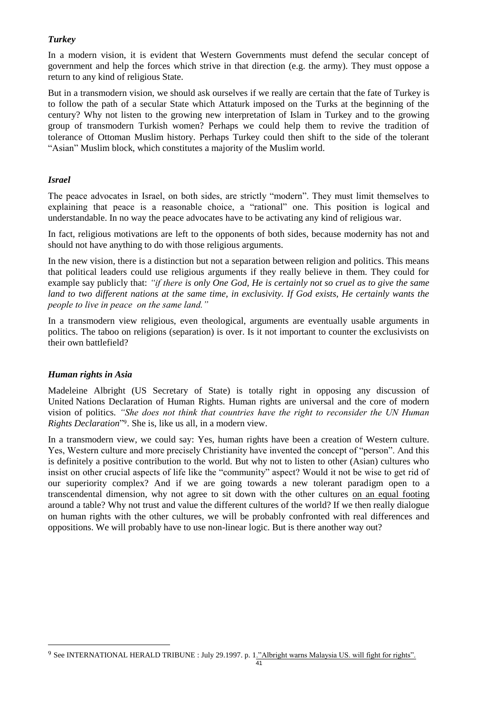#### *Turkey*

In a modern vision, it is evident that Western Governments must defend the secular concept of government and help the forces which strive in that direction (e.g. the army). They must oppose a return to any kind of religious State.

But in a transmodern vision, we should ask ourselves if we really are certain that the fate of Turkey is to follow the path of a secular State which Attaturk imposed on the Turks at the beginning of the century? Why not listen to the growing new interpretation of Islam in Turkey and to the growing group of transmodern Turkish women? Perhaps we could help them to revive the tradition of tolerance of Ottoman Muslim history. Perhaps Turkey could then shift to the side of the tolerant "Asian" Muslim block, which constitutes a majority of the Muslim world.

#### *Israel*

The peace advocates in Israel, on both sides, are strictly "modern". They must limit themselves to explaining that peace is a reasonable choice, a "rational" one. This position is logical and understandable. In no way the peace advocates have to be activating any kind of religious war.

In fact, religious motivations are left to the opponents of both sides, because modernity has not and should not have anything to do with those religious arguments.

In the new vision, there is a distinction but not a separation between religion and politics. This means that political leaders could use religious arguments if they really believe in them. They could for example say publicly that: *"if there is only One God, He is certainly not so cruel as to give the same land to two different nations at the same time, in exclusivity. If God exists, He certainly wants the people to live in peace on the same land."*

In a transmodern view religious, even theological, arguments are eventually usable arguments in politics. The taboo on religions (separation) is over. Is it not important to counter the exclusivists on their own battlefield?

#### *Human rights in Asia*

 $\overline{a}$ 

Madeleine Albright (US Secretary of State) is totally right in opposing any discussion of United Nations Declaration of Human Rights. Human rights are universal and the core of modern vision of politics. *"She does not think that countries have the right to reconsider the UN Human Rights Declaration*" 9 . She is, like us all, in a modern view.

In a transmodern view, we could say: Yes, human rights have been a creation of Western culture. Yes, Western culture and more precisely Christianity have invented the concept of "person". And this is definitely a positive contribution to the world. But why not to listen to other (Asian) cultures who insist on other crucial aspects of life like the "community" aspect? Would it not be wise to get rid of our superiority complex? And if we are going towards a new tolerant paradigm open to a transcendental dimension, why not agree to sit down with the other cultures on an equal footing around a table? Why not trust and value the different cultures of the world? If we then really dialogue on human rights with the other cultures, we will be probably confronted with real differences and oppositions. We will probably have to use non-linear logic. But is there another way out?

<sup>&</sup>lt;sup>9</sup> See INTERNATIONAL HERALD TRIBUNE : July 29.1997. p. 1."Albright warns Malaysia US. will fight for rights".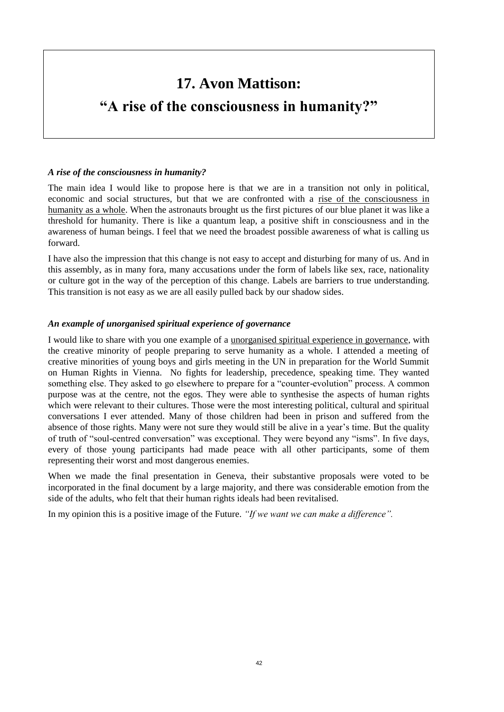# **17. Avon Mattison:**

# **"A rise of the consciousness in humanity?"**

#### *A rise of the consciousness in humanity?*

The main idea I would like to propose here is that we are in a transition not only in political, economic and social structures, but that we are confronted with a rise of the consciousness in humanity as a whole. When the astronauts brought us the first pictures of our blue planet it was like a threshold for humanity. There is like a quantum leap, a positive shift in consciousness and in the awareness of human beings. I feel that we need the broadest possible awareness of what is calling us forward.

I have also the impression that this change is not easy to accept and disturbing for many of us. And in this assembly, as in many fora, many accusations under the form of labels like sex, race, nationality or culture got in the way of the perception of this change. Labels are barriers to true understanding. This transition is not easy as we are all easily pulled back by our shadow sides.

#### *An example of unorganised spiritual experience of governance*

I would like to share with you one example of a unorganised spiritual experience in governance, with the creative minority of people preparing to serve humanity as a whole. I attended a meeting of creative minorities of young boys and girls meeting in the UN in preparation for the World Summit on Human Rights in Vienna. No fights for leadership, precedence, speaking time. They wanted something else. They asked to go elsewhere to prepare for a "counter-evolution" process. A common purpose was at the centre, not the egos. They were able to synthesise the aspects of human rights which were relevant to their cultures. Those were the most interesting political, cultural and spiritual conversations I ever attended. Many of those children had been in prison and suffered from the absence of those rights. Many were not sure they would still be alive in a year's time. But the quality of truth of "soul-centred conversation" was exceptional. They were beyond any "isms". In five days, every of those young participants had made peace with all other participants, some of them representing their worst and most dangerous enemies.

When we made the final presentation in Geneva, their substantive proposals were voted to be incorporated in the final document by a large majority, and there was considerable emotion from the side of the adults, who felt that their human rights ideals had been revitalised.

In my opinion this is a positive image of the Future. *"If we want we can make a difference".*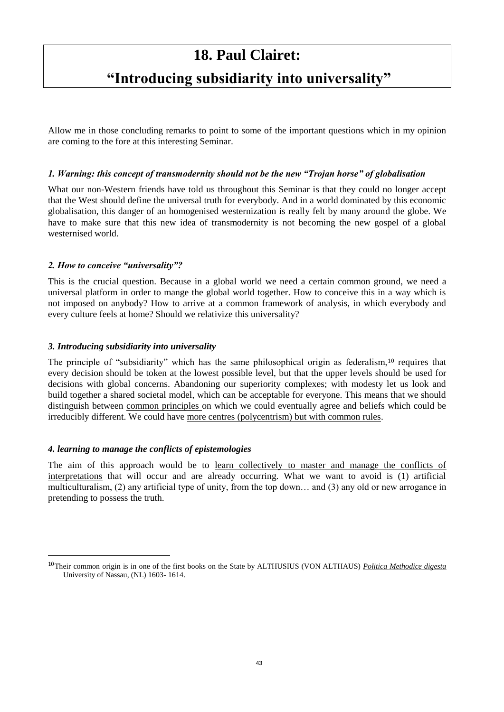## **18. Paul Clairet:**

## **"Introducing subsidiarity into universality"**

Allow me in those concluding remarks to point to some of the important questions which in my opinion are coming to the fore at this interesting Seminar.

#### *1. Warning: this concept of transmodernity should not be the new "Trojan horse" of globalisation*

What our non-Western friends have told us throughout this Seminar is that they could no longer accept that the West should define the universal truth for everybody. And in a world dominated by this economic globalisation, this danger of an homogenised westernization is really felt by many around the globe. We have to make sure that this new idea of transmodernity is not becoming the new gospel of a global westernised world.

#### *2. How to conceive "universality"?*

This is the crucial question. Because in a global world we need a certain common ground, we need a universal platform in order to mange the global world together. How to conceive this in a way which is not imposed on anybody? How to arrive at a common framework of analysis, in which everybody and every culture feels at home? Should we relativize this universality?

#### *3. Introducing subsidiarity into universality*

The principle of "subsidiarity" which has the same philosophical origin as federalism,<sup>10</sup> requires that every decision should be token at the lowest possible level, but that the upper levels should be used for decisions with global concerns. Abandoning our superiority complexes; with modesty let us look and build together a shared societal model, which can be acceptable for everyone. This means that we should distinguish between common principles on which we could eventually agree and beliefs which could be irreducibly different. We could have more centres (polycentrism) but with common rules.

#### *4. learning to manage the conflicts of epistemologies*

 $\overline{a}$ 

The aim of this approach would be to learn collectively to master and manage the conflicts of interpretations that will occur and are already occurring. What we want to avoid is (1) artificial multiculturalism, (2) any artificial type of unity, from the top down… and (3) any old or new arrogance in pretending to possess the truth.

<sup>10</sup>Their common origin is in one of the first books on the State by ALTHUSIUS (VON ALTHAUS) *Politica Methodice digesta* University of Nassau, (NL) 1603- 1614.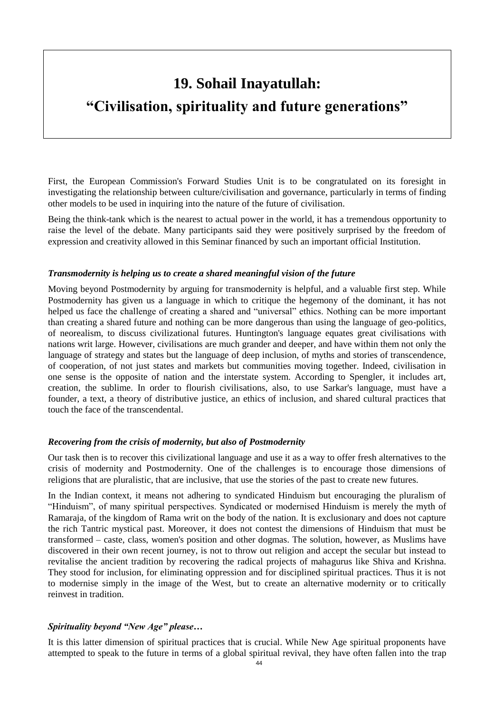## **19. Sohail Inayatullah:**

## **"Civilisation, spirituality and future generations"**

First, the European Commission's Forward Studies Unit is to be congratulated on its foresight in investigating the relationship between culture/civilisation and governance, particularly in terms of finding other models to be used in inquiring into the nature of the future of civilisation.

Being the think-tank which is the nearest to actual power in the world, it has a tremendous opportunity to raise the level of the debate. Many participants said they were positively surprised by the freedom of expression and creativity allowed in this Seminar financed by such an important official Institution.

#### *Transmodernity is helping us to create a shared meaningful vision of the future*

Moving beyond Postmodernity by arguing for transmodernity is helpful, and a valuable first step. While Postmodernity has given us a language in which to critique the hegemony of the dominant, it has not helped us face the challenge of creating a shared and "universal" ethics. Nothing can be more important than creating a shared future and nothing can be more dangerous than using the language of geo-politics, of neorealism, to discuss civilizational futures. Huntington's language equates great civilisations with nations writ large. However, civilisations are much grander and deeper, and have within them not only the language of strategy and states but the language of deep inclusion, of myths and stories of transcendence, of cooperation, of not just states and markets but communities moving together. Indeed, civilisation in one sense is the opposite of nation and the interstate system. According to Spengler, it includes art, creation, the sublime. In order to flourish civilisations, also, to use Sarkar's language, must have a founder, a text, a theory of distributive justice, an ethics of inclusion, and shared cultural practices that touch the face of the transcendental.

#### *Recovering from the crisis of modernity, but also of Postmodernity*

Our task then is to recover this civilizational language and use it as a way to offer fresh alternatives to the crisis of modernity and Postmodernity. One of the challenges is to encourage those dimensions of religions that are pluralistic, that are inclusive, that use the stories of the past to create new futures.

In the Indian context, it means not adhering to syndicated Hinduism but encouraging the pluralism of "Hinduism", of many spiritual perspectives. Syndicated or modernised Hinduism is merely the myth of Ramaraja, of the kingdom of Rama writ on the body of the nation. It is exclusionary and does not capture the rich Tantric mystical past. Moreover, it does not contest the dimensions of Hinduism that must be transformed – caste, class, women's position and other dogmas. The solution, however, as Muslims have discovered in their own recent journey, is not to throw out religion and accept the secular but instead to revitalise the ancient tradition by recovering the radical projects of mahagurus like Shiva and Krishna. They stood for inclusion, for eliminating oppression and for disciplined spiritual practices. Thus it is not to modernise simply in the image of the West, but to create an alternative modernity or to critically reinvest in tradition.

#### *Spirituality beyond "New Age" please…*

It is this latter dimension of spiritual practices that is crucial. While New Age spiritual proponents have attempted to speak to the future in terms of a global spiritual revival, they have often fallen into the trap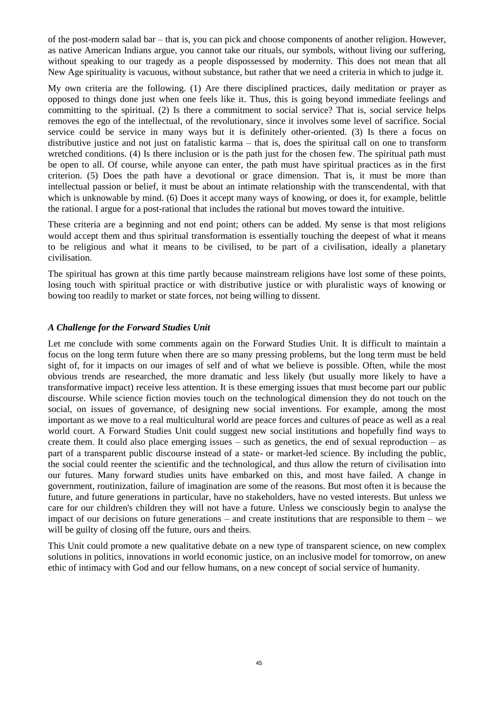of the post-modern salad bar – that is, you can pick and choose components of another religion. However, as native American Indians argue, you cannot take our rituals, our symbols, without living our suffering, without speaking to our tragedy as a people dispossessed by modernity. This does not mean that all New Age spirituality is vacuous, without substance, but rather that we need a criteria in which to judge it.

My own criteria are the following. (1) Are there disciplined practices, daily meditation or prayer as opposed to things done just when one feels like it. Thus, this is going beyond immediate feelings and committing to the spiritual. (2) Is there a commitment to social service? That is, social service helps removes the ego of the intellectual, of the revolutionary, since it involves some level of sacrifice. Social service could be service in many ways but it is definitely other-oriented. (3) Is there a focus on distributive justice and not just on fatalistic karma – that is, does the spiritual call on one to transform wretched conditions. (4) Is there inclusion or is the path just for the chosen few. The spiritual path must be open to all. Of course, while anyone can enter, the path must have spiritual practices as in the first criterion. (5) Does the path have a devotional or grace dimension. That is, it must be more than intellectual passion or belief, it must be about an intimate relationship with the transcendental, with that which is unknowable by mind. (6) Does it accept many ways of knowing, or does it, for example, belittle the rational. I argue for a post-rational that includes the rational but moves toward the intuitive.

These criteria are a beginning and not end point; others can be added. My sense is that most religions would accept them and thus spiritual transformation is essentially touching the deepest of what it means to be religious and what it means to be civilised, to be part of a civilisation, ideally a planetary civilisation.

The spiritual has grown at this time partly because mainstream religions have lost some of these points, losing touch with spiritual practice or with distributive justice or with pluralistic ways of knowing or bowing too readily to market or state forces, not being willing to dissent.

#### *A Challenge for the Forward Studies Unit*

Let me conclude with some comments again on the Forward Studies Unit. It is difficult to maintain a focus on the long term future when there are so many pressing problems, but the long term must be held sight of, for it impacts on our images of self and of what we believe is possible. Often, while the most obvious trends are researched, the more dramatic and less likely (but usually more likely to have a transformative impact) receive less attention. It is these emerging issues that must become part our public discourse. While science fiction movies touch on the technological dimension they do not touch on the social, on issues of governance, of designing new social inventions. For example, among the most important as we move to a real multicultural world are peace forces and cultures of peace as well as a real world court. A Forward Studies Unit could suggest new social institutions and hopefully find ways to create them. It could also place emerging issues – such as genetics, the end of sexual reproduction – as part of a transparent public discourse instead of a state- or market-led science. By including the public, the social could reenter the scientific and the technological, and thus allow the return of civilisation into our futures. Many forward studies units have embarked on this, and most have failed. A change in government, routinization, failure of imagination are some of the reasons. But most often it is because the future, and future generations in particular, have no stakeholders, have no vested interests. But unless we care for our children's children they will not have a future. Unless we consciously begin to analyse the impact of our decisions on future generations – and create institutions that are responsible to them – we will be guilty of closing off the future, ours and theirs.

This Unit could promote a new qualitative debate on a new type of transparent science, on new complex solutions in politics, innovations in world economic justice, on an inclusive model for tomorrow, on anew ethic of intimacy with God and our fellow humans, on a new concept of social service of humanity.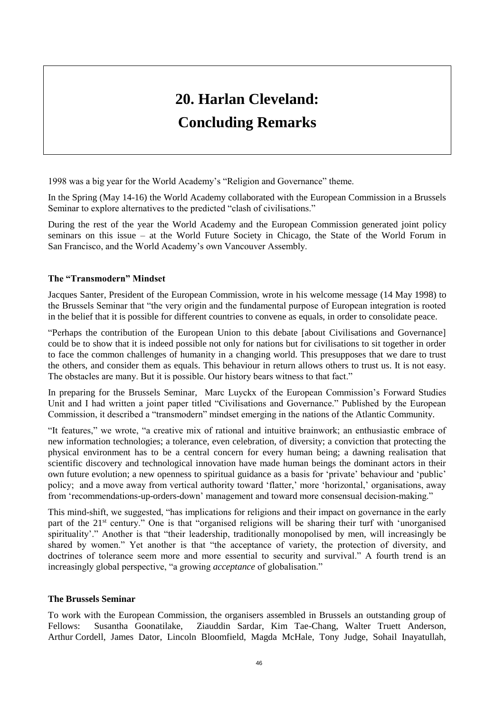# **20. Harlan Cleveland: Concluding Remarks**

1998 was a big year for the World Academy's "Religion and Governance" theme.

In the Spring (May 14-16) the World Academy collaborated with the European Commission in a Brussels Seminar to explore alternatives to the predicted "clash of civilisations."

During the rest of the year the World Academy and the European Commission generated joint policy seminars on this issue – at the World Future Society in Chicago, the State of the World Forum in San Francisco, and the World Academy's own Vancouver Assembly.

#### **The "Transmodern" Mindset**

Jacques Santer, President of the European Commission, wrote in his welcome message (14 May 1998) to the Brussels Seminar that "the very origin and the fundamental purpose of European integration is rooted in the belief that it is possible for different countries to convene as equals, in order to consolidate peace.

"Perhaps the contribution of the European Union to this debate [about Civilisations and Governance] could be to show that it is indeed possible not only for nations but for civilisations to sit together in order to face the common challenges of humanity in a changing world. This presupposes that we dare to trust the others, and consider them as equals. This behaviour in return allows others to trust us. It is not easy. The obstacles are many. But it is possible. Our history bears witness to that fact."

In preparing for the Brussels Seminar, Marc Luyckx of the European Commission's Forward Studies Unit and I had written a joint paper titled "Civilisations and Governance." Published by the European Commission, it described a "transmodern" mindset emerging in the nations of the Atlantic Community.

"It features," we wrote, "a creative mix of rational and intuitive brainwork; an enthusiastic embrace of new information technologies; a tolerance, even celebration, of diversity; a conviction that protecting the physical environment has to be a central concern for every human being; a dawning realisation that scientific discovery and technological innovation have made human beings the dominant actors in their own future evolution; a new openness to spiritual guidance as a basis for 'private' behaviour and 'public' policy; and a move away from vertical authority toward 'flatter,' more 'horizontal,' organisations, away from 'recommendations-up-orders-down' management and toward more consensual decision-making."

This mind-shift, we suggested, "has implications for religions and their impact on governance in the early part of the 21<sup>st</sup> century." One is that "organised religions will be sharing their turf with 'unorganised spirituality'." Another is that "their leadership, traditionally monopolised by men, will increasingly be shared by women." Yet another is that "the acceptance of variety, the protection of diversity, and doctrines of tolerance seem more and more essential to security and survival." A fourth trend is an increasingly global perspective, "a growing *acceptance* of globalisation."

#### **The Brussels Seminar**

To work with the European Commission, the organisers assembled in Brussels an outstanding group of Fellows: Susantha Goonatilake, Ziauddin Sardar, Kim Tae-Chang, Walter Truett Anderson, Arthur Cordell, James Dator, Lincoln Bloomfield, Magda McHale, Tony Judge, Sohail Inayatullah,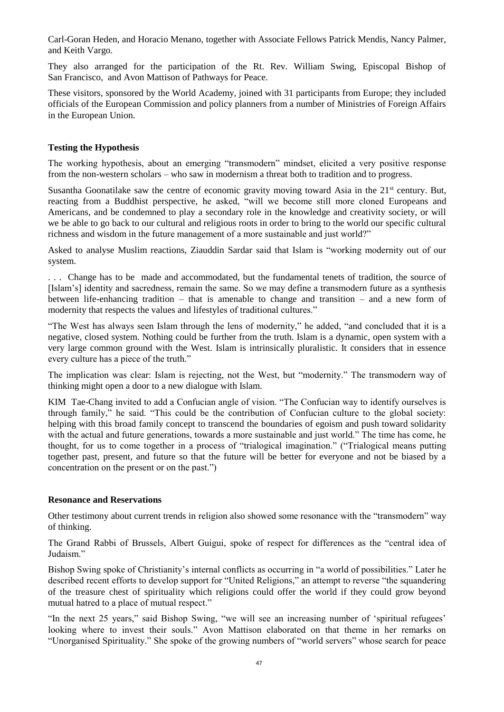Carl-Goran Heden, and Horacio Menano, together with Associate Fellows Patrick Mendis, Nancy Palmer, and Keith Vargo.

They also arranged for the participation of the Rt. Rev. William Swing, Episcopal Bishop of San Francisco, and Avon Mattison of Pathways for Peace.

These visitors, sponsored by the World Academy, joined with 31 participants from Europe; they included officials of the European Commission and policy planners from a number of Ministries of Foreign Affairs in the European Union.

#### **Testing the Hypothesis**

The working hypothesis, about an emerging "transmodern" mindset, elicited a very positive response from the non-western scholars – who saw in modernism a threat both to tradition and to progress.

Susantha Goonatilake saw the centre of economic gravity moving toward Asia in the 21<sup>st</sup> century. But, reacting from a Buddhist perspective, he asked, "will we become still more cloned Europeans and Americans, and be condemned to play a secondary role in the knowledge and creativity society, or will we be able to go back to our cultural and religious roots in order to bring to the world our specific cultural richness and wisdom in the future management of a more sustainable and just world?"

Asked to analyse Muslim reactions, Ziauddin Sardar said that Islam is "working modernity out of our system.

. . . Change has to be made and accommodated, but the fundamental tenets of tradition, the source of [Islam's] identity and sacredness, remain the same. So we may define a transmodern future as a synthesis between life-enhancing tradition – that is amenable to change and transition – and a new form of modernity that respects the values and lifestyles of traditional cultures."

"The West has always seen Islam through the lens of modernity," he added, "and concluded that it is a negative, closed system. Nothing could be further from the truth. Islam is a dynamic, open system with a very large common ground with the West. Islam is intrinsically pluralistic. It considers that in essence every culture has a piece of the truth."

The implication was clear: Islam is rejecting, not the West, but "modernity." The transmodern way of thinking might open a door to a new dialogue with Islam.

KIM Tae-Chang invited to add a Confucian angle of vision. "The Confucian way to identify ourselves is through family," he said. "This could be the contribution of Confucian culture to the global society: helping with this broad family concept to transcend the boundaries of egoism and push toward solidarity with the actual and future generations, towards a more sustainable and just world." The time has come, he thought, for us to come together in a process of "trialogical imagination." ("Trialogical means putting together past, present, and future so that the future will be better for everyone and not be biased by a concentration on the present or on the past.")

#### **Resonance and Reservations**

Other testimony about current trends in religion also showed some resonance with the "transmodern" way of thinking.

The Grand Rabbi of Brussels, Albert Guigui, spoke of respect for differences as the "central idea of Judaism."

Bishop Swing spoke of Christianity's internal conflicts as occurring in "a world of possibilities." Later he described recent efforts to develop support for "United Religions," an attempt to reverse "the squandering of the treasure chest of spirituality which religions could offer the world if they could grow beyond mutual hatred to a place of mutual respect."

"In the next 25 years," said Bishop Swing, "we will see an increasing number of 'spiritual refugees' looking where to invest their souls." Avon Mattison elaborated on that theme in her remarks on "Unorganised Spirituality." She spoke of the growing numbers of "world servers" whose search for peace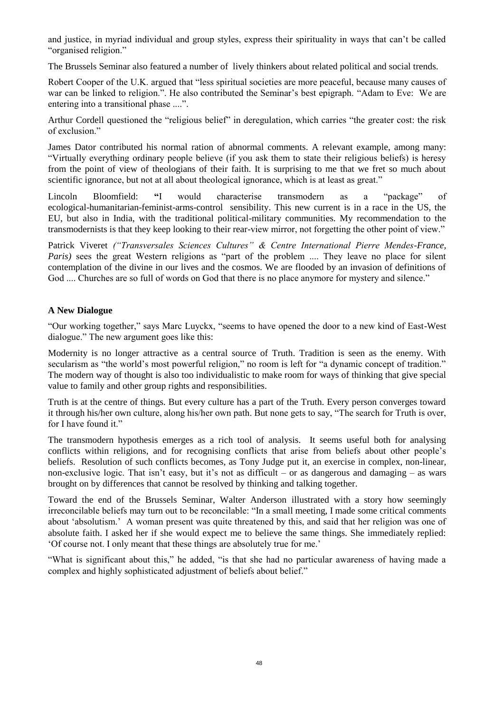and justice, in myriad individual and group styles, express their spirituality in ways that can't be called "organised religion."

The Brussels Seminar also featured a number of lively thinkers about related political and social trends.

Robert Cooper of the U.K. argued that "less spiritual societies are more peaceful, because many causes of war can be linked to religion.". He also contributed the Seminar's best epigraph. "Adam to Eve: We are entering into a transitional phase ....".

Arthur Cordell questioned the "religious belief" in deregulation, which carries "the greater cost: the risk of exclusion."

James Dator contributed his normal ration of abnormal comments. A relevant example, among many: "Virtually everything ordinary people believe (if you ask them to state their religious beliefs) is heresy from the point of view of theologians of their faith. It is surprising to me that we fret so much about scientific ignorance, but not at all about theological ignorance, which is at least as great."

Lincoln Bloomfield: **"**I would characterise transmodern as a "package" of ecological-humanitarian-feminist-arms-control sensibility. This new current is in a race in the US, the EU, but also in India, with the traditional political-military communities. My recommendation to the transmodernists is that they keep looking to their rear-view mirror, not forgetting the other point of view."

Patrick Viveret *("Transversales Sciences Cultures" & Centre International Pierre Mendes-France, Paris*) sees the great Western religions as "part of the problem .... They leave no place for silent contemplation of the divine in our lives and the cosmos. We are flooded by an invasion of definitions of God .... Churches are so full of words on God that there is no place anymore for mystery and silence."

#### **A New Dialogue**

"Our working together," says Marc Luyckx, "seems to have opened the door to a new kind of East-West dialogue." The new argument goes like this:

Modernity is no longer attractive as a central source of Truth. Tradition is seen as the enemy. With secularism as "the world's most powerful religion," no room is left for "a dynamic concept of tradition." The modern way of thought is also too individualistic to make room for ways of thinking that give special value to family and other group rights and responsibilities.

Truth is at the centre of things. But every culture has a part of the Truth. Every person converges toward it through his/her own culture, along his/her own path. But none gets to say, "The search for Truth is over, for I have found it."

The transmodern hypothesis emerges as a rich tool of analysis. It seems useful both for analysing conflicts within religions, and for recognising conflicts that arise from beliefs about other people's beliefs. Resolution of such conflicts becomes, as Tony Judge put it, an exercise in complex, non-linear, non-exclusive logic. That isn't easy, but it's not as difficult – or as dangerous and damaging – as wars brought on by differences that cannot be resolved by thinking and talking together.

Toward the end of the Brussels Seminar, Walter Anderson illustrated with a story how seemingly irreconcilable beliefs may turn out to be reconcilable: "In a small meeting, I made some critical comments about 'absolutism.' A woman present was quite threatened by this, and said that her religion was one of absolute faith. I asked her if she would expect me to believe the same things. She immediately replied: 'Of course not. I only meant that these things are absolutely true for me.'

"What is significant about this," he added, "is that she had no particular awareness of having made a complex and highly sophisticated adjustment of beliefs about belief."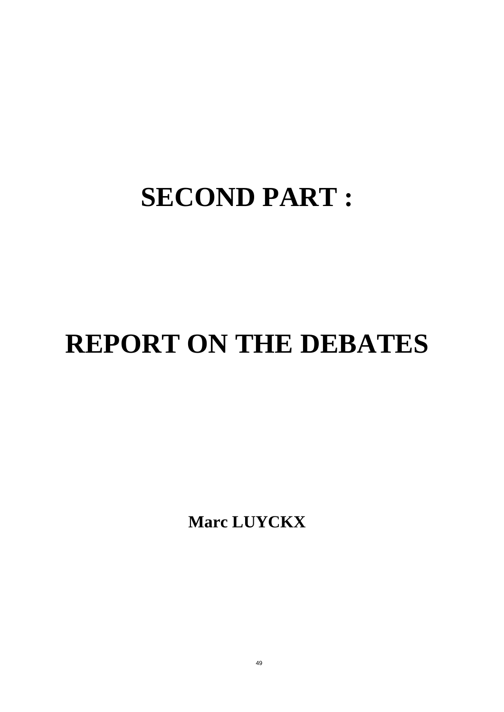# **SECOND PART :**

# **REPORT ON THE DEBATES**

**Marc LUYCKX**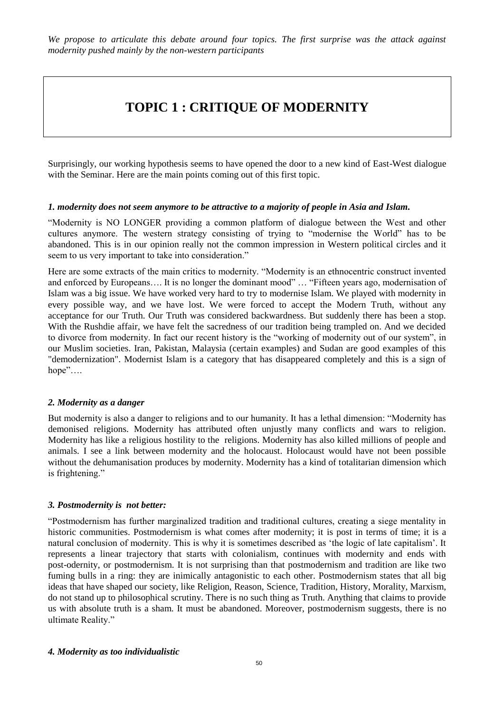## **TOPIC 1 : CRITIQUE OF MODERNITY**

Surprisingly, our working hypothesis seems to have opened the door to a new kind of East-West dialogue with the Seminar. Here are the main points coming out of this first topic.

#### *1. modernity does not seem anymore to be attractive to a majority of people in Asia and Islam.*

"Modernity is NO LONGER providing a common platform of dialogue between the West and other cultures anymore. The western strategy consisting of trying to "modernise the World" has to be abandoned. This is in our opinion really not the common impression in Western political circles and it seem to us very important to take into consideration."

Here are some extracts of the main critics to modernity. "Modernity is an ethnocentric construct invented and enforced by Europeans…. It is no longer the dominant mood" … "Fifteen years ago, modernisation of Islam was a big issue. We have worked very hard to try to modernise Islam. We played with modernity in every possible way, and we have lost. We were forced to accept the Modern Truth, without any acceptance for our Truth. Our Truth was considered backwardness. But suddenly there has been a stop. With the Rushdie affair, we have felt the sacredness of our tradition being trampled on. And we decided to divorce from modernity. In fact our recent history is the "working of modernity out of our system", in our Muslim societies. Iran, Pakistan, Malaysia (certain examples) and Sudan are good examples of this "demodernization". Modernist Islam is a category that has disappeared completely and this is a sign of hope"….

#### *2. Modernity as a danger*

But modernity is also a danger to religions and to our humanity. It has a lethal dimension: "Modernity has demonised religions. Modernity has attributed often unjustly many conflicts and wars to religion. Modernity has like a religious hostility to the religions. Modernity has also killed millions of people and animals. I see a link between modernity and the holocaust. Holocaust would have not been possible without the dehumanisation produces by modernity. Modernity has a kind of totalitarian dimension which is frightening."

#### *3. Postmodernity is not better:*

"Postmodernism has further marginalized tradition and traditional cultures, creating a siege mentality in historic communities. Postmodernism is what comes after modernity; it is post in terms of time; it is a natural conclusion of modernity. This is why it is sometimes described as 'the logic of late capitalism'. It represents a linear trajectory that starts with colonialism, continues with modernity and ends with post-odernity, or postmodernism. It is not surprising than that postmodernism and tradition are like two fuming bulls in a ring: they are inimically antagonistic to each other. Postmodernism states that all big ideas that have shaped our society, like Religion, Reason, Science, Tradition, History, Morality, Marxism, do not stand up to philosophical scrutiny. There is no such thing as Truth. Anything that claims to provide us with absolute truth is a sham. It must be abandoned. Moreover, postmodernism suggests, there is no ultimate Reality."

#### *4. Modernity as too individualistic*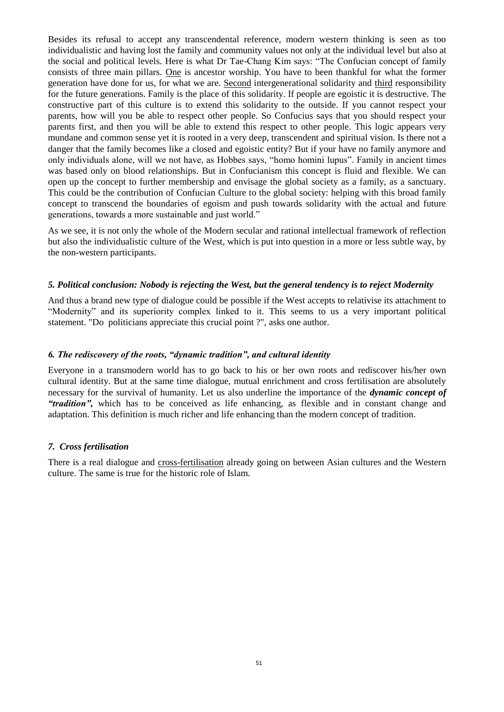Besides its refusal to accept any transcendental reference, modern western thinking is seen as too individualistic and having lost the family and community values not only at the individual level but also at the social and political levels. Here is what Dr Tae-Chang Kim says: "The Confucian concept of family consists of three main pillars. One is ancestor worship. You have to been thankful for what the former generation have done for us, for what we are. Second intergenerational solidarity and third responsibility for the future generations. Family is the place of this solidarity. If people are egoistic it is destructive. The constructive part of this culture is to extend this solidarity to the outside. If you cannot respect your parents, how will you be able to respect other people. So Confucius says that you should respect your parents first, and then you will be able to extend this respect to other people. This logic appears very mundane and common sense yet it is rooted in a very deep, transcendent and spiritual vision. Is there not a danger that the family becomes like a closed and egoistic entity? But if your have no family anymore and only individuals alone, will we not have, as Hobbes says, "homo homini lupus". Family in ancient times was based only on blood relationships. But in Confucianism this concept is fluid and flexible. We can open up the concept to further membership and envisage the global society as a family, as a sanctuary. This could be the contribution of Confucian Culture to the global society: helping with this broad family concept to transcend the boundaries of egoism and push towards solidarity with the actual and future generations, towards a more sustainable and just world."

As we see, it is not only the whole of the Modern secular and rational intellectual framework of reflection but also the individualistic culture of the West, which is put into question in a more or less subtle way, by the non-western participants.

#### *5. Political conclusion: Nobody is rejecting the West, but the general tendency is to reject Modernity*

And thus a brand new type of dialogue could be possible if the West accepts to relativise its attachment to "Modernity" and its superiority complex linked to it. This seems to us a very important political statement. "Do politicians appreciate this crucial point ?", asks one author.

#### *6. The rediscovery of the roots, "dynamic tradition", and cultural identity*

Everyone in a transmodern world has to go back to his or her own roots and rediscover his/her own cultural identity. But at the same time dialogue, mutual enrichment and cross fertilisation are absolutely necessary for the survival of humanity. Let us also underline the importance of the *dynamic concept of "tradition",* which has to be conceived as life enhancing, as flexible and in constant change and adaptation. This definition is much richer and life enhancing than the modern concept of tradition.

#### *7. Cross fertilisation*

There is a real dialogue and cross-fertilisation already going on between Asian cultures and the Western culture. The same is true for the historic role of Islam.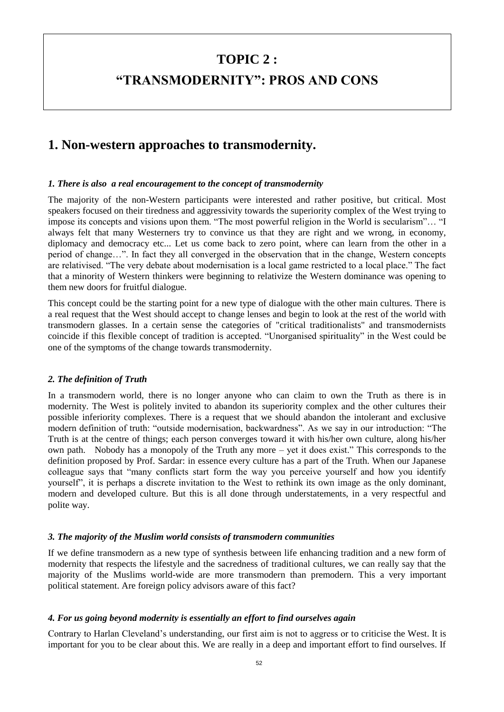### **TOPIC 2 :**

## **"TRANSMODERNITY": PROS AND CONS**

## **1. Non-western approaches to transmodernity.**

#### *1. There is also a real encouragement to the concept of transmodernity*

The majority of the non-Western participants were interested and rather positive, but critical. Most speakers focused on their tiredness and aggressivity towards the superiority complex of the West trying to impose its concepts and visions upon them. "The most powerful religion in the World is secularism"… "I always felt that many Westerners try to convince us that they are right and we wrong, in economy, diplomacy and democracy etc... Let us come back to zero point, where can learn from the other in a period of change…". In fact they all converged in the observation that in the change, Western concepts are relativised. "The very debate about modernisation is a local game restricted to a local place." The fact that a minority of Western thinkers were beginning to relativize the Western dominance was opening to them new doors for fruitful dialogue.

This concept could be the starting point for a new type of dialogue with the other main cultures. There is a real request that the West should accept to change lenses and begin to look at the rest of the world with transmodern glasses. In a certain sense the categories of "critical traditionalists" and transmodernists coincide if this flexible concept of tradition is accepted. "Unorganised spirituality" in the West could be one of the symptoms of the change towards transmodernity.

#### *2. The definition of Truth*

In a transmodern world, there is no longer anyone who can claim to own the Truth as there is in modernity. The West is politely invited to abandon its superiority complex and the other cultures their possible inferiority complexes. There is a request that we should abandon the intolerant and exclusive modern definition of truth: "outside modernisation, backwardness". As we say in our introduction: "The Truth is at the centre of things; each person converges toward it with his/her own culture, along his/her own path. Nobody has a monopoly of the Truth any more – yet it does exist." This corresponds to the definition proposed by Prof. Sardar: in essence every culture has a part of the Truth. When our Japanese colleague says that "many conflicts start form the way you perceive yourself and how you identify yourself", it is perhaps a discrete invitation to the West to rethink its own image as the only dominant, modern and developed culture. But this is all done through understatements, in a very respectful and polite way.

#### *3. The majority of the Muslim world consists of transmodern communities*

If we define transmodern as a new type of synthesis between life enhancing tradition and a new form of modernity that respects the lifestyle and the sacredness of traditional cultures, we can really say that the majority of the Muslims world-wide are more transmodern than premodern. This a very important political statement. Are foreign policy advisors aware of this fact?

#### *4. For us going beyond modernity is essentially an effort to find ourselves again*

Contrary to Harlan Cleveland's understanding, our first aim is not to aggress or to criticise the West. It is important for you to be clear about this. We are really in a deep and important effort to find ourselves. If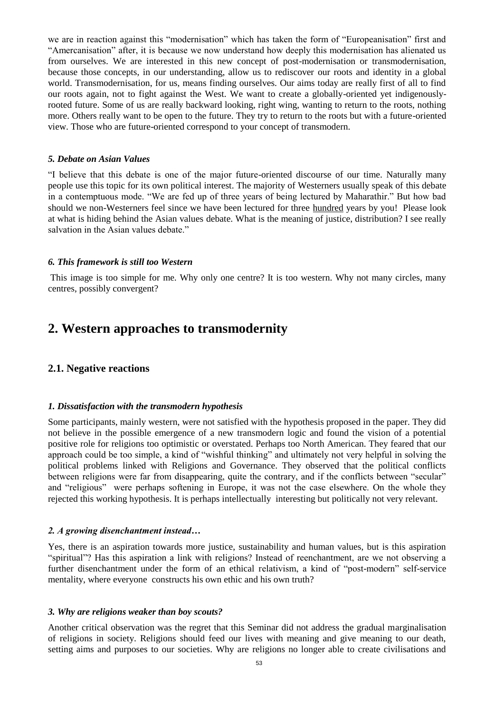we are in reaction against this "modernisation" which has taken the form of "Europeanisation" first and "Amercanisation" after, it is because we now understand how deeply this modernisation has alienated us from ourselves. We are interested in this new concept of post-modernisation or transmodernisation, because those concepts, in our understanding, allow us to rediscover our roots and identity in a global world. Transmodernisation, for us, means finding ourselves. Our aims today are really first of all to find our roots again, not to fight against the West. We want to create a globally-oriented yet indigenouslyrooted future. Some of us are really backward looking, right wing, wanting to return to the roots, nothing more. Others really want to be open to the future. They try to return to the roots but with a future-oriented view. Those who are future-oriented correspond to your concept of transmodern.

#### *5. Debate on Asian Values*

"I believe that this debate is one of the major future-oriented discourse of our time. Naturally many people use this topic for its own political interest. The majority of Westerners usually speak of this debate in a contemptuous mode. "We are fed up of three years of being lectured by Maharathir." But how bad should we non-Westerners feel since we have been lectured for three hundred years by you! Please look at what is hiding behind the Asian values debate. What is the meaning of justice, distribution? I see really salvation in the Asian values debate."

#### *6. This framework is still too Western*

This image is too simple for me. Why only one centre? It is too western. Why not many circles, many centres, possibly convergent?

### **2. Western approaches to transmodernity**

#### **2.1. Negative reactions**

#### *1. Dissatisfaction with the transmodern hypothesis*

Some participants, mainly western, were not satisfied with the hypothesis proposed in the paper. They did not believe in the possible emergence of a new transmodern logic and found the vision of a potential positive role for religions too optimistic or overstated. Perhaps too North American. They feared that our approach could be too simple, a kind of "wishful thinking" and ultimately not very helpful in solving the political problems linked with Religions and Governance. They observed that the political conflicts between religions were far from disappearing, quite the contrary, and if the conflicts between "secular" and "religious" were perhaps softening in Europe, it was not the case elsewhere. On the whole they rejected this working hypothesis. It is perhaps intellectually interesting but politically not very relevant.

#### *2. A growing disenchantment instead…*

Yes, there is an aspiration towards more justice, sustainability and human values, but is this aspiration "spiritual"? Has this aspiration a link with religions? Instead of reenchantment, are we not observing a further disenchantment under the form of an ethical relativism, a kind of "post-modern" self-service mentality, where everyone constructs his own ethic and his own truth?

#### *3. Why are religions weaker than boy scouts?*

Another critical observation was the regret that this Seminar did not address the gradual marginalisation of religions in society. Religions should feed our lives with meaning and give meaning to our death, setting aims and purposes to our societies. Why are religions no longer able to create civilisations and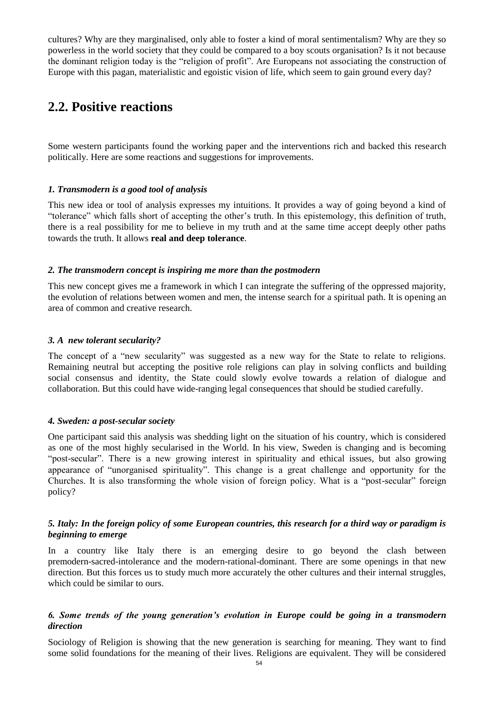cultures? Why are they marginalised, only able to foster a kind of moral sentimentalism? Why are they so powerless in the world society that they could be compared to a boy scouts organisation? Is it not because the dominant religion today is the "religion of profit". Are Europeans not associating the construction of Europe with this pagan, materialistic and egoistic vision of life, which seem to gain ground every day?

### **2.2. Positive reactions**

Some western participants found the working paper and the interventions rich and backed this research politically. Here are some reactions and suggestions for improvements.

#### *1. Transmodern is a good tool of analysis*

This new idea or tool of analysis expresses my intuitions. It provides a way of going beyond a kind of "tolerance" which falls short of accepting the other's truth. In this epistemology, this definition of truth, there is a real possibility for me to believe in my truth and at the same time accept deeply other paths towards the truth. It allows **real and deep tolerance**.

#### *2. The transmodern concept is inspiring me more than the postmodern*

This new concept gives me a framework in which I can integrate the suffering of the oppressed majority, the evolution of relations between women and men, the intense search for a spiritual path. It is opening an area of common and creative research.

#### *3. A new tolerant secularity?*

The concept of a "new secularity" was suggested as a new way for the State to relate to religions. Remaining neutral but accepting the positive role religions can play in solving conflicts and building social consensus and identity, the State could slowly evolve towards a relation of dialogue and collaboration. But this could have wide-ranging legal consequences that should be studied carefully.

#### *4. Sweden: a post-secular society*

One participant said this analysis was shedding light on the situation of his country, which is considered as one of the most highly secularised in the World. In his view, Sweden is changing and is becoming "post-secular". There is a new growing interest in spirituality and ethical issues, but also growing appearance of "unorganised spirituality". This change is a great challenge and opportunity for the Churches. It is also transforming the whole vision of foreign policy. What is a "post-secular" foreign policy?

#### *5. Italy: In the foreign policy of some European countries, this research for a third way or paradigm is beginning to emerge*

In a country like Italy there is an emerging desire to go beyond the clash between premodern-sacred-intolerance and the modern-rational-dominant. There are some openings in that new direction. But this forces us to study much more accurately the other cultures and their internal struggles, which could be similar to ours.

#### *6. Some trends of the young generation's evolution in Europe could be going in a transmodern direction*

Sociology of Religion is showing that the new generation is searching for meaning. They want to find some solid foundations for the meaning of their lives. Religions are equivalent. They will be considered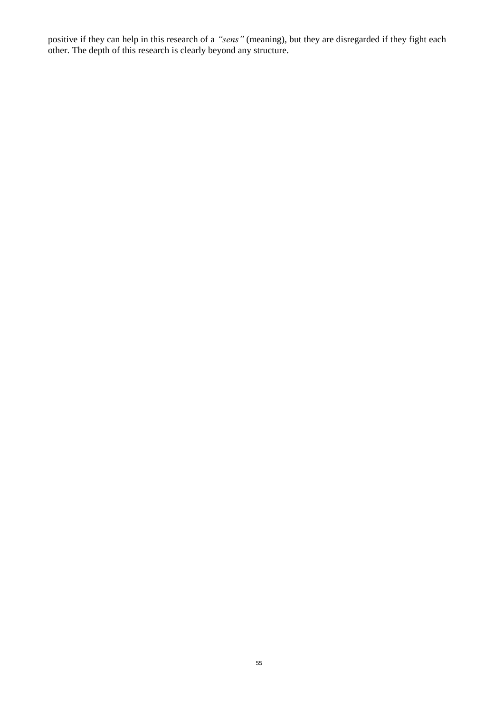positive if they can help in this research of a *"sens"* (meaning), but they are disregarded if they fight each other. The depth of this research is clearly beyond any structure.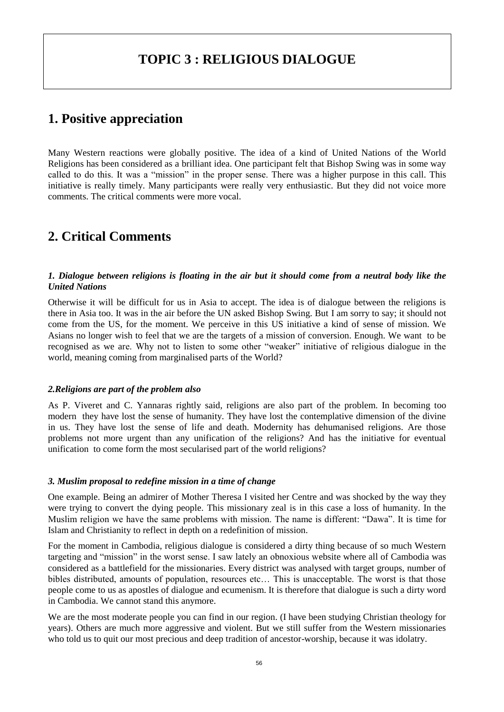## **TOPIC 3 : RELIGIOUS DIALOGUE**

### **1. Positive appreciation**

Many Western reactions were globally positive. The idea of a kind of United Nations of the World Religions has been considered as a brilliant idea. One participant felt that Bishop Swing was in some way called to do this. It was a "mission" in the proper sense. There was a higher purpose in this call. This initiative is really timely. Many participants were really very enthusiastic. But they did not voice more comments. The critical comments were more vocal.

## **2. Critical Comments**

#### *1. Dialogue between religions is floating in the air but it should come from a neutral body like the United Nations*

Otherwise it will be difficult for us in Asia to accept. The idea is of dialogue between the religions is there in Asia too. It was in the air before the UN asked Bishop Swing. But I am sorry to say; it should not come from the US, for the moment. We perceive in this US initiative a kind of sense of mission. We Asians no longer wish to feel that we are the targets of a mission of conversion. Enough. We want to be recognised as we are. Why not to listen to some other "weaker" initiative of religious dialogue in the world, meaning coming from marginalised parts of the World?

#### *2.Religions are part of the problem also*

As P. Viveret and C. Yannaras rightly said, religions are also part of the problem. In becoming too modern they have lost the sense of humanity. They have lost the contemplative dimension of the divine in us. They have lost the sense of life and death. Modernity has dehumanised religions. Are those problems not more urgent than any unification of the religions? And has the initiative for eventual unification to come form the most secularised part of the world religions?

#### *3. Muslim proposal to redefine mission in a time of change*

One example. Being an admirer of Mother Theresa I visited her Centre and was shocked by the way they were trying to convert the dying people. This missionary zeal is in this case a loss of humanity. In the Muslim religion we have the same problems with mission. The name is different: "Dawa". It is time for Islam and Christianity to reflect in depth on a redefinition of mission.

For the moment in Cambodia, religious dialogue is considered a dirty thing because of so much Western targeting and "mission" in the worst sense. I saw lately an obnoxious website where all of Cambodia was considered as a battlefield for the missionaries. Every district was analysed with target groups, number of bibles distributed, amounts of population, resources etc… This is unacceptable. The worst is that those people come to us as apostles of dialogue and ecumenism. It is therefore that dialogue is such a dirty word in Cambodia. We cannot stand this anymore.

We are the most moderate people you can find in our region. (I have been studying Christian theology for years). Others are much more aggressive and violent. But we still suffer from the Western missionaries who told us to quit our most precious and deep tradition of ancestor-worship, because it was idolatry.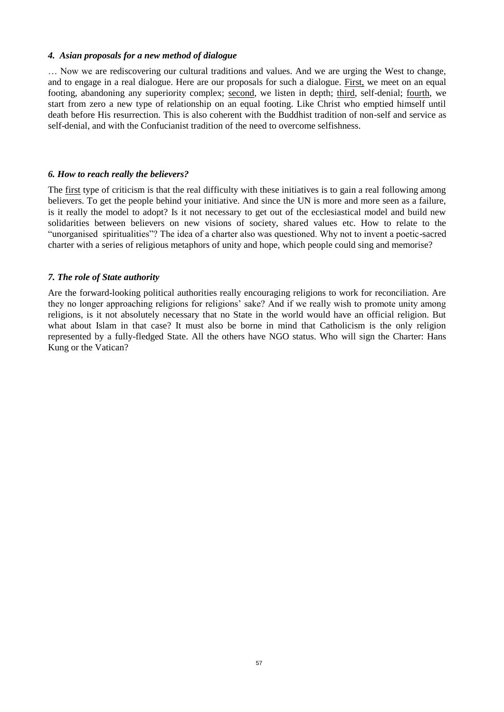#### *4. Asian proposals for a new method of dialogue*

… Now we are rediscovering our cultural traditions and values. And we are urging the West to change, and to engage in a real dialogue. Here are our proposals for such a dialogue. First, we meet on an equal footing, abandoning any superiority complex; second, we listen in depth; third, self-denial; fourth, we start from zero a new type of relationship on an equal footing. Like Christ who emptied himself until death before His resurrection. This is also coherent with the Buddhist tradition of non-self and service as self-denial, and with the Confucianist tradition of the need to overcome selfishness.

#### *6. How to reach really the believers?*

The first type of criticism is that the real difficulty with these initiatives is to gain a real following among believers. To get the people behind your initiative. And since the UN is more and more seen as a failure, is it really the model to adopt? Is it not necessary to get out of the ecclesiastical model and build new solidarities between believers on new visions of society, shared values etc. How to relate to the "unorganised spiritualities"? The idea of a charter also was questioned. Why not to invent a poetic-sacred charter with a series of religious metaphors of unity and hope, which people could sing and memorise?

#### *7. The role of State authority*

Are the forward-looking political authorities really encouraging religions to work for reconciliation. Are they no longer approaching religions for religions' sake? And if we really wish to promote unity among religions, is it not absolutely necessary that no State in the world would have an official religion. But what about Islam in that case? It must also be borne in mind that Catholicism is the only religion represented by a fully-fledged State. All the others have NGO status. Who will sign the Charter: Hans Kung or the Vatican?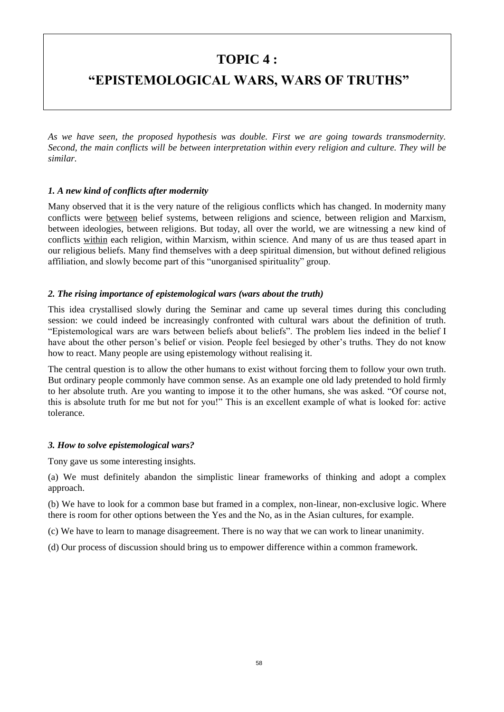## **TOPIC 4 :**

## **"EPISTEMOLOGICAL WARS, WARS OF TRUTHS"**

*As we have seen, the proposed hypothesis was double. First we are going towards transmodernity. Second, the main conflicts will be between interpretation within every religion and culture. They will be similar.*

#### *1. A new kind of conflicts after modernity*

Many observed that it is the very nature of the religious conflicts which has changed. In modernity many conflicts were between belief systems, between religions and science, between religion and Marxism, between ideologies, between religions. But today, all over the world, we are witnessing a new kind of conflicts within each religion, within Marxism, within science. And many of us are thus teased apart in our religious beliefs. Many find themselves with a deep spiritual dimension, but without defined religious affiliation, and slowly become part of this "unorganised spirituality" group.

#### *2. The rising importance of epistemological wars (wars about the truth)*

This idea crystallised slowly during the Seminar and came up several times during this concluding session: we could indeed be increasingly confronted with cultural wars about the definition of truth. "Epistemological wars are wars between beliefs about beliefs". The problem lies indeed in the belief I have about the other person's belief or vision. People feel besieged by other's truths. They do not know how to react. Many people are using epistemology without realising it.

The central question is to allow the other humans to exist without forcing them to follow your own truth. But ordinary people commonly have common sense. As an example one old lady pretended to hold firmly to her absolute truth. Are you wanting to impose it to the other humans, she was asked. "Of course not, this is absolute truth for me but not for you!" This is an excellent example of what is looked for: active tolerance.

#### *3. How to solve epistemological wars?*

Tony gave us some interesting insights.

(a) We must definitely abandon the simplistic linear frameworks of thinking and adopt a complex approach.

(b) We have to look for a common base but framed in a complex, non-linear, non-exclusive logic. Where there is room for other options between the Yes and the No, as in the Asian cultures, for example.

(c) We have to learn to manage disagreement. There is no way that we can work to linear unanimity.

(d) Our process of discussion should bring us to empower difference within a common framework.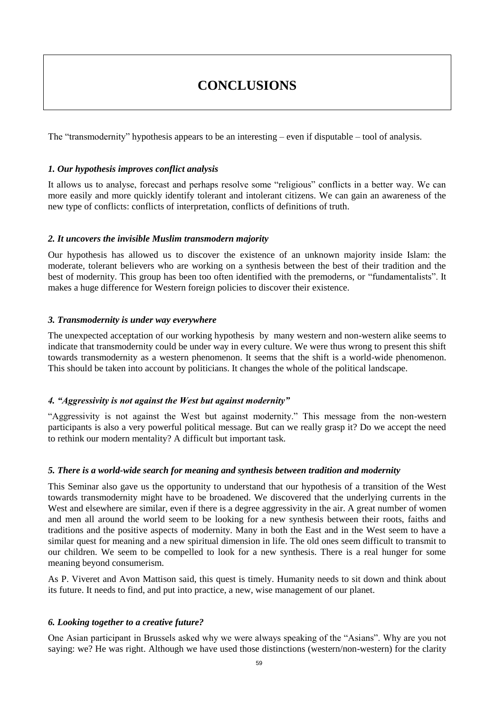## **CONCLUSIONS**

The "transmodernity" hypothesis appears to be an interesting – even if disputable – tool of analysis.

#### *1. Our hypothesis improves conflict analysis*

It allows us to analyse, forecast and perhaps resolve some "religious" conflicts in a better way. We can more easily and more quickly identify tolerant and intolerant citizens. We can gain an awareness of the new type of conflicts: conflicts of interpretation, conflicts of definitions of truth.

#### *2. It uncovers the invisible Muslim transmodern majority*

Our hypothesis has allowed us to discover the existence of an unknown majority inside Islam: the moderate, tolerant believers who are working on a synthesis between the best of their tradition and the best of modernity. This group has been too often identified with the premoderns, or "fundamentalists". It makes a huge difference for Western foreign policies to discover their existence.

#### *3. Transmodernity is under way everywhere*

The unexpected acceptation of our working hypothesis by many western and non-western alike seems to indicate that transmodernity could be under way in every culture. We were thus wrong to present this shift towards transmodernity as a western phenomenon. It seems that the shift is a world-wide phenomenon. This should be taken into account by politicians. It changes the whole of the political landscape.

#### *4. "Aggressivity is not against the West but against modernity"*

"Aggressivity is not against the West but against modernity." This message from the non-western participants is also a very powerful political message. But can we really grasp it? Do we accept the need to rethink our modern mentality? A difficult but important task.

#### *5. There is a world-wide search for meaning and synthesis between tradition and modernity*

This Seminar also gave us the opportunity to understand that our hypothesis of a transition of the West towards transmodernity might have to be broadened. We discovered that the underlying currents in the West and elsewhere are similar, even if there is a degree aggressivity in the air. A great number of women and men all around the world seem to be looking for a new synthesis between their roots, faiths and traditions and the positive aspects of modernity. Many in both the East and in the West seem to have a similar quest for meaning and a new spiritual dimension in life. The old ones seem difficult to transmit to our children. We seem to be compelled to look for a new synthesis. There is a real hunger for some meaning beyond consumerism.

As P. Viveret and Avon Mattison said, this quest is timely. Humanity needs to sit down and think about its future. It needs to find, and put into practice, a new, wise management of our planet.

#### *6. Looking together to a creative future?*

One Asian participant in Brussels asked why we were always speaking of the "Asians". Why are you not saying: we? He was right. Although we have used those distinctions (western/non-western) for the clarity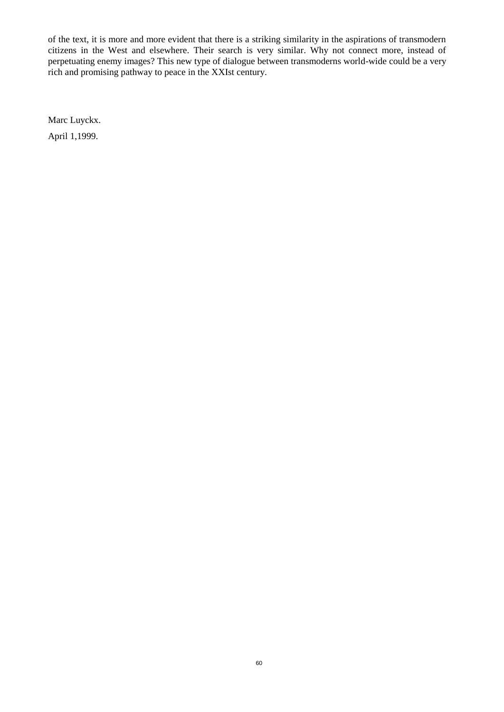of the text, it is more and more evident that there is a striking similarity in the aspirations of transmodern citizens in the West and elsewhere. Their search is very similar. Why not connect more, instead of perpetuating enemy images? This new type of dialogue between transmoderns world-wide could be a very rich and promising pathway to peace in the XXIst century.

Marc Luyckx.

April 1,1999.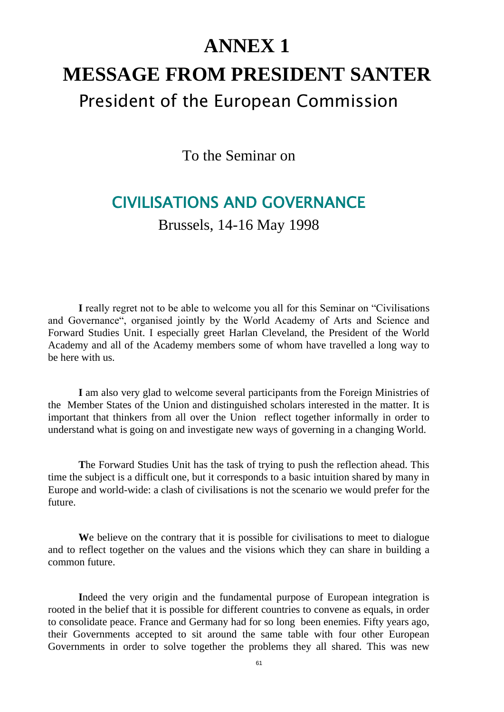# **ANNEX 1 MESSAGE FROM PRESIDENT SANTER** President of the European Commission

To the Seminar on

# CIVILISATIONS AND GOVERNANCE

Brussels, 14-16 May 1998

**I** really regret not to be able to welcome you all for this Seminar on "Civilisations and Governance", organised jointly by the World Academy of Arts and Science and Forward Studies Unit. I especially greet Harlan Cleveland, the President of the World Academy and all of the Academy members some of whom have travelled a long way to be here with us.

**I** am also very glad to welcome several participants from the Foreign Ministries of the Member States of the Union and distinguished scholars interested in the matter. It is important that thinkers from all over the Union reflect together informally in order to understand what is going on and investigate new ways of governing in a changing World.

**T**he Forward Studies Unit has the task of trying to push the reflection ahead. This time the subject is a difficult one, but it corresponds to a basic intuition shared by many in Europe and world-wide: a clash of civilisations is not the scenario we would prefer for the future.

We believe on the contrary that it is possible for civilisations to meet to dialogue and to reflect together on the values and the visions which they can share in building a common future.

**I**ndeed the very origin and the fundamental purpose of European integration is rooted in the belief that it is possible for different countries to convene as equals, in order to consolidate peace. France and Germany had for so long been enemies. Fifty years ago, their Governments accepted to sit around the same table with four other European Governments in order to solve together the problems they all shared. This was new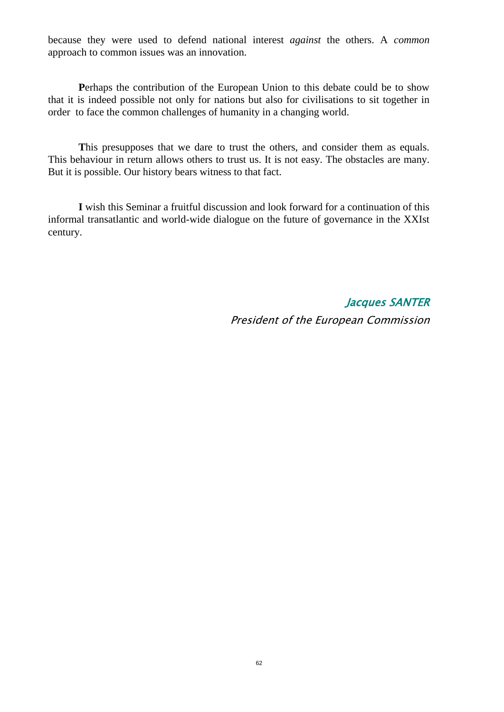because they were used to defend national interest *against* the others. A *common* approach to common issues was an innovation.

**P**erhaps the contribution of the European Union to this debate could be to show that it is indeed possible not only for nations but also for civilisations to sit together in order to face the common challenges of humanity in a changing world.

This presupposes that we dare to trust the others, and consider them as equals. This behaviour in return allows others to trust us. It is not easy. The obstacles are many. But it is possible. Our history bears witness to that fact.

**I** wish this Seminar a fruitful discussion and look forward for a continuation of this informal transatlantic and world-wide dialogue on the future of governance in the XXIst century.

> Jacques SANTER President of the European Commission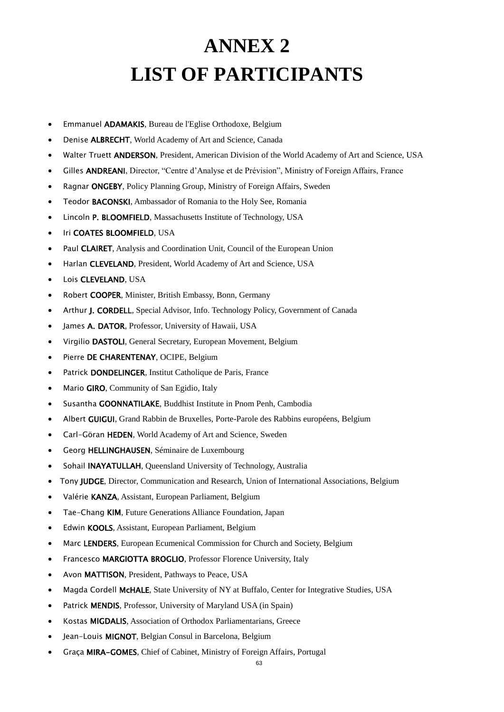# **ANNEX 2 LIST OF PARTICIPANTS**

- Emmanuel ADAMAKIS, Bureau de l'Eglise Orthodoxe, Belgium
- Denise ALBRECHT, World Academy of Art and Science, Canada
- Walter Truett ANDERSON, President, American Division of the World Academy of Art and Science, USA
- Gilles ANDREANI, Director, "Centre d'Analyse et de Prévision", Ministry of Foreign Affairs, France
- Ragnar ONGEBY, Policy Planning Group, Ministry of Foreign Affairs, Sweden
- Teodor BACONSKI, Ambassador of Romania to the Holy See, Romania
- Lincoln P. BLOOMFIELD, Massachusetts Institute of Technology, USA
- Iri COATES BLOOMFIELD, USA
- Paul CLAIRET, Analysis and Coordination Unit, Council of the European Union
- Harlan CLEVELAND, President, World Academy of Art and Science, USA
- Lois CLEVELAND, USA
- Robert COOPER, Minister, British Embassy, Bonn, Germany
- Arthur J. CORDELL, Special Advisor, Info. Technology Policy, Government of Canada
- James A. DATOR, Professor, University of Hawaii, USA
- Virgilio DASTOLI, General Secretary, European Movement, Belgium
- Pierre DE CHARENTENAY, OCIPE, Belgium
- Patrick DONDELINGER, Institut Catholique de Paris, France
- Mario GIRO, Community of San Egidio, Italy
- Susantha GOONNATILAKE, Buddhist Institute in Pnom Penh, Cambodia
- Albert GUIGUI, Grand Rabbin de Bruxelles, Porte-Parole des Rabbins européens, Belgium
- Carl-Göran HEDEN, World Academy of Art and Science, Sweden
- Georg HELLINGHAUSEN, Séminaire de Luxembourg
- Sohail INAYATULLAH, Queensland University of Technology, Australia
- Tony JUDGE, Director, Communication and Research, Union of International Associations, Belgium
- Valérie KANZA, Assistant, European Parliament, Belgium
- Tae-Chang KIM, Future Generations Alliance Foundation, Japan
- Edwin KOOLS, Assistant, European Parliament, Belgium
- Marc LENDERS, European Ecumenical Commission for Church and Society, Belgium
- Francesco MARGIOTTA BROGLIO, Professor Florence University, Italy
- Avon MATTISON, President, Pathways to Peace, USA
- Magda Cordell McHALE, State University of NY at Buffalo, Center for Integrative Studies, USA
- Patrick MENDIS, Professor, University of Maryland USA (in Spain)
- Kostas MIGDALIS, Association of Orthodox Parliamentarians, Greece
- Jean-Louis MIGNOT, Belgian Consul in Barcelona, Belgium
- Graça MIRA-GOMES, Chief of Cabinet, Ministry of Foreign Affairs, Portugal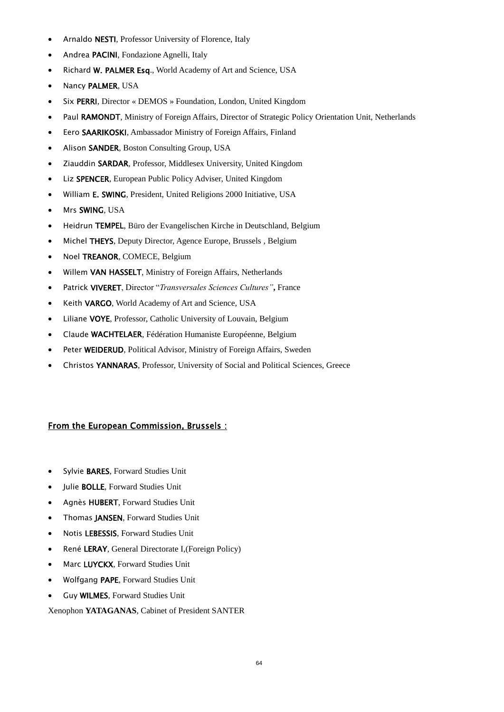- Arnaldo **NESTI**, Professor University of Florence, Italy
- Andrea PACINI, Fondazione Agnelli, Italy
- Richard W. PALMER Esq., World Academy of Art and Science, USA
- Nancy PALMER, USA
- Six PERRI, Director « DEMOS » Foundation, London, United Kingdom
- Paul RAMONDT, Ministry of Foreign Affairs, Director of Strategic Policy Orientation Unit, Netherlands
- Eero SAARIKOSKI, Ambassador Ministry of Foreign Affairs, Finland
- Alison SANDER, Boston Consulting Group, USA
- Ziauddin SARDAR, Professor, Middlesex University, United Kingdom
- Liz SPENCER, European Public Policy Adviser, United Kingdom
- William E. SWING, President, United Religions 2000 Initiative, USA
- Mrs SWING, USA
- Heidrun TEMPEL, Büro der Evangelischen Kirche in Deutschland, Belgium
- Michel THEYS, Deputy Director, Agence Europe, Brussels, Belgium
- Noel TREANOR, COMECE, Belgium
- Willem VAN HASSELT, Ministry of Foreign Affairs, Netherlands
- Patrick VIVERET, Director "*Transversales Sciences Cultures"***,** France
- Keith VARGO, World Academy of Art and Science, USA
- Liliane VOYE, Professor, Catholic University of Louvain, Belgium
- Claude WACHTELAER, Fédération Humaniste Européenne, Belgium
- Peter WEIDERUD, Political Advisor, Ministry of Foreign Affairs, Sweden
- Christos YANNARAS, Professor, University of Social and Political Sciences, Greece

#### From the European Commission, Brussels :

- Sylvie BARES, Forward Studies Unit
- Julie BOLLE, Forward Studies Unit
- Agnès HUBERT, Forward Studies Unit
- Thomas JANSEN, Forward Studies Unit
- Notis LEBESSIS, Forward Studies Unit
- René LERAY, General Directorate I,(Foreign Policy)
- Marc LUYCKX, Forward Studies Unit
- Wolfgang PAPE, Forward Studies Unit
- Guy WILMES, Forward Studies Unit

Xenophon **YATAGANAS**, Cabinet of President SANTER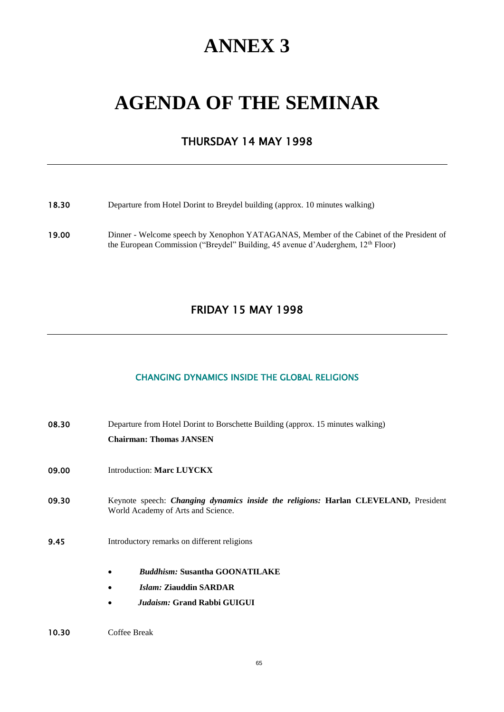# **ANNEX 3**

# **AGENDA OF THE SEMINAR**

### THURSDAY 14 MAY 1998

#### 18.30 Departure from Hotel Dorint to Breydel building (approx. 10 minutes walking)

19.00 Dinner - Welcome speech by Xenophon YATAGANAS, Member of the Cabinet of the President of the European Commission ("Breydel" Building, 45 avenue d'Auderghem, 12<sup>th</sup> Floor)

## FRIDAY 15 MAY 1998

#### CHANGING DYNAMICS INSIDE THE GLOBAL RELIGIONS

| 08.30 | Departure from Hotel Dorint to Borschette Building (approx. 15 minutes walking)                                           |  |  |  |  |  |  |
|-------|---------------------------------------------------------------------------------------------------------------------------|--|--|--|--|--|--|
|       | <b>Chairman: Thomas JANSEN</b>                                                                                            |  |  |  |  |  |  |
| 09.00 | Introduction: Marc LUYCKX                                                                                                 |  |  |  |  |  |  |
| 09.30 | Keynote speech: Changing dynamics inside the religions: Harlan CLEVELAND, President<br>World Academy of Arts and Science. |  |  |  |  |  |  |
| 9.45  | Introductory remarks on different religions                                                                               |  |  |  |  |  |  |
|       | <i><b>Buddhism: Susantha GOONATILAKE</b></i><br>٠                                                                         |  |  |  |  |  |  |
|       | <i>Islam: Ziauddin SARDAR</i>                                                                                             |  |  |  |  |  |  |
|       | <i>Judaism:</i> Grand Rabbi GUIGUI                                                                                        |  |  |  |  |  |  |
|       |                                                                                                                           |  |  |  |  |  |  |

#### 10.30 Coffee Break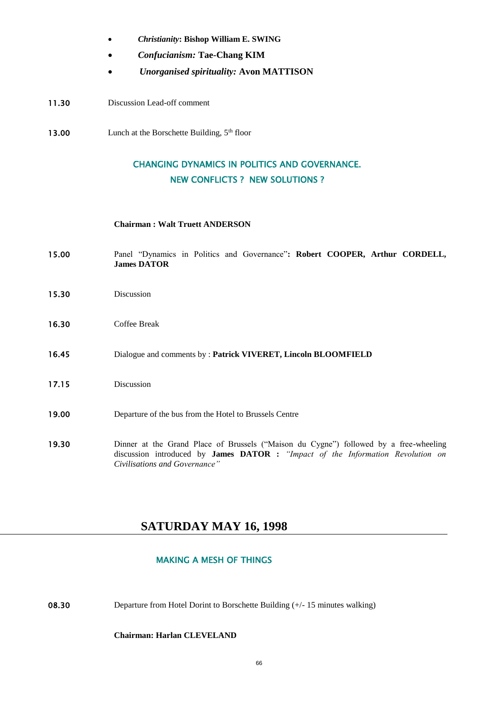- *Christianity***: Bishop William E. SWING**
- *Confucianism:* **Tae-Chang KIM**
- *Unorganised spirituality:* **Avon MATTISON**
- 11.30 Discussion Lead-off comment
- 13.00 Lunch at the Borschette Building,  $5<sup>th</sup>$  floor

### CHANGING DYNAMICS IN POLITICS AND GOVERNANCE. NEW CONFLICTS ? NEW SOLUTIONS ?

#### **Chairman : Walt Truett ANDERSON**

- 15.00 Panel "Dynamics in Politics and Governance"**: Robert COOPER, Arthur CORDELL, James DATOR**
- 15.30 Discussion
- 16.30 Coffee Break
- 16.45 Dialogue and comments by : **Patrick VIVERET, Lincoln BLOOMFIELD**
- 17.15 Discussion
- 19.00 Departure of the bus from the Hotel to Brussels Centre
- 19.30 Dinner at the Grand Place of Brussels ("Maison du Cygne") followed by a free-wheeling discussion introduced by **James DATOR :** *"Impact of the Information Revolution on Civilisations and Governance"*

#### **SATURDAY MAY 16, 1998**

#### MAKING A MESH OF THINGS

08.30 Departure from Hotel Dorint to Borschette Building (+/-15 minutes walking)

#### **Chairman: Harlan CLEVELAND**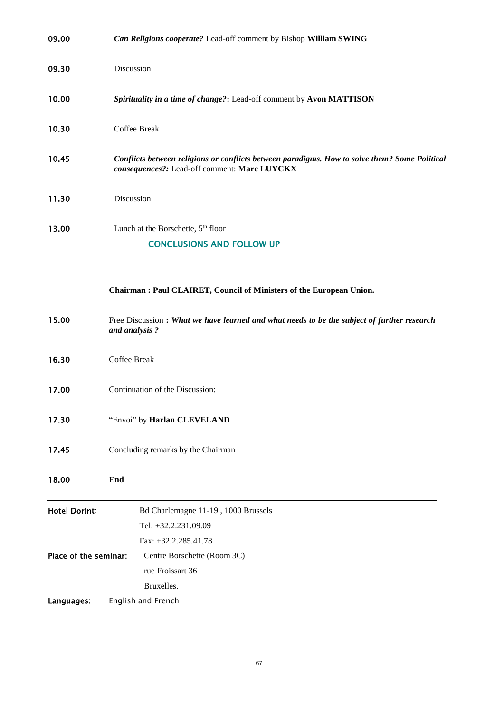| 09.00                 | Can Religions cooperate? Lead-off comment by Bishop William SWING                                                                             |  |  |  |  |  |  |  |
|-----------------------|-----------------------------------------------------------------------------------------------------------------------------------------------|--|--|--|--|--|--|--|
| 09.30                 | Discussion                                                                                                                                    |  |  |  |  |  |  |  |
| 10.00                 | Spirituality in a time of change?: Lead-off comment by Avon MATTISON                                                                          |  |  |  |  |  |  |  |
| 10.30                 | Coffee Break                                                                                                                                  |  |  |  |  |  |  |  |
| 10.45                 | Conflicts between religions or conflicts between paradigms. How to solve them? Some Political<br>consequences?: Lead-off comment: Marc LUYCKX |  |  |  |  |  |  |  |
| 11.30                 | Discussion                                                                                                                                    |  |  |  |  |  |  |  |
| 13.00                 | Lunch at the Borschette, 5 <sup>th</sup> floor<br><b>CONCLUSIONS AND FOLLOW UP</b>                                                            |  |  |  |  |  |  |  |
|                       | Chairman: Paul CLAIRET, Council of Ministers of the European Union.                                                                           |  |  |  |  |  |  |  |
| 15.00                 | Free Discussion : What we have learned and what needs to be the subject of further research<br>and analysis?                                  |  |  |  |  |  |  |  |
| 16.30                 | Coffee Break                                                                                                                                  |  |  |  |  |  |  |  |
| 17.00                 | Continuation of the Discussion:                                                                                                               |  |  |  |  |  |  |  |
| 17.30                 | "Envoi" by Harlan CLEVELAND                                                                                                                   |  |  |  |  |  |  |  |
| 17.45                 | Concluding remarks by the Chairman                                                                                                            |  |  |  |  |  |  |  |
| 18.00                 | End                                                                                                                                           |  |  |  |  |  |  |  |
| <b>Hotel Dorint:</b>  | Bd Charlemagne 11-19, 1000 Brussels<br>Tel: +32.2.231.09.09<br>Fax: +32.2.285.41.78                                                           |  |  |  |  |  |  |  |
| Place of the seminar: | Centre Borschette (Room 3C)<br>rue Froissart 36<br>Bruxelles.                                                                                 |  |  |  |  |  |  |  |
| Languages:            | English and French                                                                                                                            |  |  |  |  |  |  |  |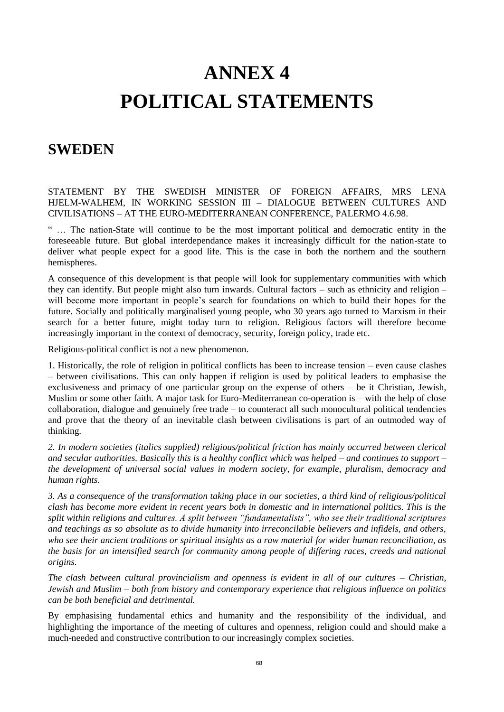# **ANNEX 4 POLITICAL STATEMENTS**

## **SWEDEN**

STATEMENT BY THE SWEDISH MINISTER OF FOREIGN AFFAIRS, MRS LENA HJELM-WALHEM, IN WORKING SESSION III – DIALOGUE BETWEEN CULTURES AND CIVILISATIONS – AT THE EURO-MEDITERRANEAN CONFERENCE, PALERMO 4.6.98.

" … The nation-State will continue to be the most important political and democratic entity in the foreseeable future. But global interdependance makes it increasingly difficult for the nation-state to deliver what people expect for a good life. This is the case in both the northern and the southern hemispheres.

A consequence of this development is that people will look for supplementary communities with which they can identify. But people might also turn inwards. Cultural factors – such as ethnicity and religion – will become more important in people's search for foundations on which to build their hopes for the future. Socially and politically marginalised young people, who 30 years ago turned to Marxism in their search for a better future, might today turn to religion. Religious factors will therefore become increasingly important in the context of democracy, security, foreign policy, trade etc.

Religious-political conflict is not a new phenomenon.

1. Historically, the role of religion in political conflicts has been to increase tension – even cause clashes – between civilisations. This can only happen if religion is used by political leaders to emphasise the exclusiveness and primacy of one particular group on the expense of others – be it Christian, Jewish, Muslim or some other faith. A major task for Euro-Mediterranean co-operation is – with the help of close collaboration, dialogue and genuinely free trade – to counteract all such monocultural political tendencies and prove that the theory of an inevitable clash between civilisations is part of an outmoded way of thinking.

*2. In modern societies (italics supplied) religious/political friction has mainly occurred between clerical and secular authorities. Basically this is a healthy conflict which was helped – and continues to support – the development of universal social values in modern society, for example, pluralism, democracy and human rights.*

*3. As a consequence of the transformation taking place in our societies, a third kind of religious/political clash has become more evident in recent years both in domestic and in international politics. This is the split within religions and cultures. A split between "fundamentalists", who see their traditional scriptures and teachings as so absolute as to divide humanity into irreconcilable believers and infidels, and others, who see their ancient traditions or spiritual insights as a raw material for wider human reconciliation, as the basis for an intensified search for community among people of differing races, creeds and national origins.*

*The clash between cultural provincialism and openness is evident in all of our cultures – Christian, Jewish and Muslim – both from history and contemporary experience that religious influence on politics can be both beneficial and detrimental.*

By emphasising fundamental ethics and humanity and the responsibility of the individual, and highlighting the importance of the meeting of cultures and openness, religion could and should make a much-needed and constructive contribution to our increasingly complex societies.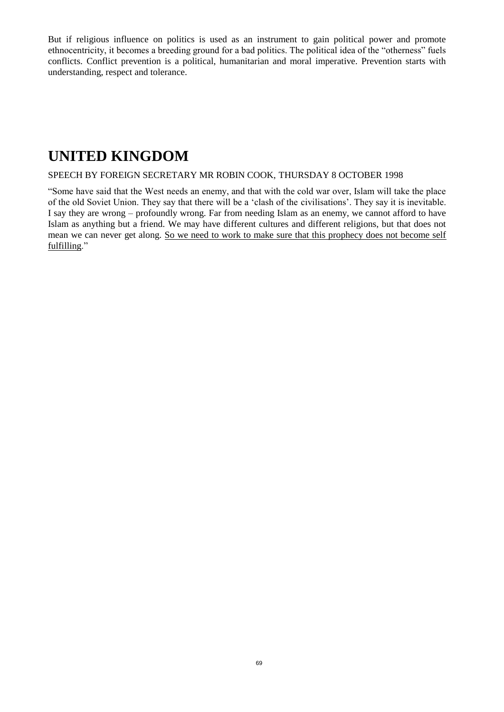But if religious influence on politics is used as an instrument to gain political power and promote ethnocentricity, it becomes a breeding ground for a bad politics. The political idea of the "otherness" fuels conflicts. Conflict prevention is a political, humanitarian and moral imperative. Prevention starts with understanding, respect and tolerance.

## **UNITED KINGDOM**

#### SPEECH BY FOREIGN SECRETARY MR ROBIN COOK, THURSDAY 8 OCTOBER 1998

"Some have said that the West needs an enemy, and that with the cold war over, Islam will take the place of the old Soviet Union. They say that there will be a 'clash of the civilisations'. They say it is inevitable. I say they are wrong – profoundly wrong. Far from needing Islam as an enemy, we cannot afford to have Islam as anything but a friend. We may have different cultures and different religions, but that does not mean we can never get along. So we need to work to make sure that this prophecy does not become self fulfilling."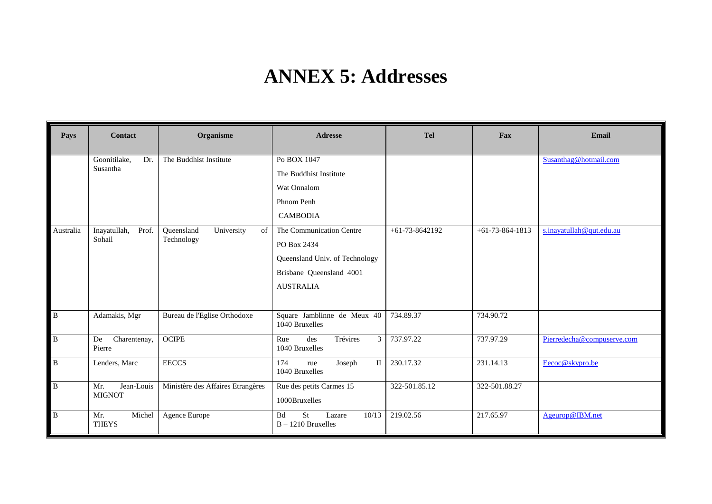# **ANNEX 5: Addresses**

| Pays           | <b>Contact</b>                     | Organisme                                    | <b>Adresse</b>                                                    | <b>Tel</b>       | Fax               | Email                      |
|----------------|------------------------------------|----------------------------------------------|-------------------------------------------------------------------|------------------|-------------------|----------------------------|
|                | Goonitilake,<br>Dr.                | The Buddhist Institute                       | Po BOX 1047                                                       |                  |                   | Susanthag@hotmail.com      |
|                | Susantha                           |                                              | The Buddhist Institute                                            |                  |                   |                            |
|                |                                    |                                              | Wat Onnalom                                                       |                  |                   |                            |
|                |                                    |                                              | Phnom Penh                                                        |                  |                   |                            |
|                |                                    |                                              | <b>CAMBODIA</b>                                                   |                  |                   |                            |
| Australia      | Inayatullah,<br>Prof.<br>Sohail    | Queensland<br>University<br>of<br>Technology | The Communication Centre                                          | $+61-73-8642192$ | $+61-73-864-1813$ | s.inayatullah@qut.edu.au   |
|                |                                    |                                              | PO Box 2434                                                       |                  |                   |                            |
|                |                                    |                                              | Queensland Univ. of Technology                                    |                  |                   |                            |
|                |                                    |                                              | Brisbane Queensland 4001                                          |                  |                   |                            |
|                |                                    |                                              | <b>AUSTRALIA</b>                                                  |                  |                   |                            |
| $\overline{B}$ | Adamakis, Mgr                      | Bureau de l'Eglise Orthodoxe                 | Square Jamblinne de Meux 40<br>1040 Bruxelles                     | 734.89.37        | 734.90.72         |                            |
| $\, {\bf B}$   | Charentenay,<br>De<br>Pierre       | <b>OCIPE</b>                                 | Trévires<br>des<br>$\mathfrak{Z}$<br>Rue<br>1040 Bruxelles        | 737.97.22        | 737.97.29         | Pierredecha@compuserve.com |
| $\, {\bf B}$   | Lenders, Marc                      | <b>EECCS</b>                                 | 174<br>$\mathbf{II}$<br>Joseph<br>rue<br>1040 Bruxelles           | 230.17.32        | 231.14.13         | Eecoc@skypro.be            |
| $\, {\bf B}$   | Mr.<br>Jean-Louis<br><b>MIGNOT</b> | Ministère des Affaires Etrangères            | Rue des petits Carmes 15<br>1000Bruxelles                         | 322-501.85.12    | 322-501.88.27     |                            |
| $\, {\bf B}$   | Michel<br>Mr.<br><b>THEYS</b>      | Agence Europe                                | <b>St</b><br>10/13<br><b>Bd</b><br>Lazare<br>$B - 1210$ Bruxelles | 219.02.56        | 217.65.97         | Ageurop@IBM.net            |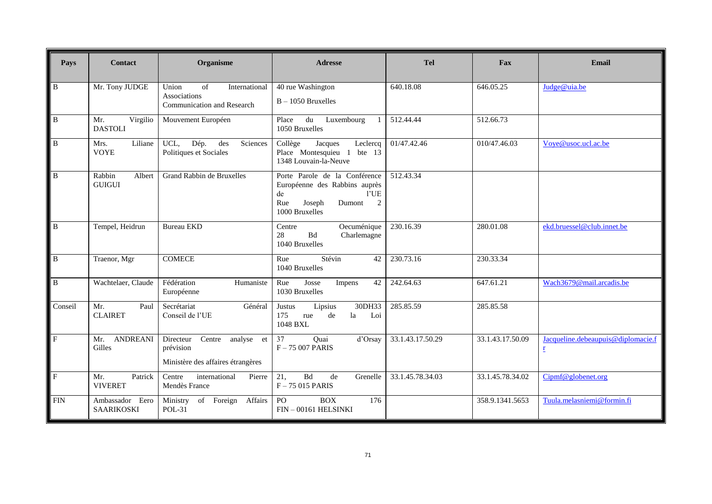| Pays                    | <b>Contact</b>                    | Organisme                                                                        | <b>Adresse</b>                                                                                                                              | <b>Tel</b>             | Fax                    | Email                                                          |
|-------------------------|-----------------------------------|----------------------------------------------------------------------------------|---------------------------------------------------------------------------------------------------------------------------------------------|------------------------|------------------------|----------------------------------------------------------------|
| B                       | Mr. Tony JUDGE                    | of<br>Union<br>International<br>Associations<br>Communication and Research       | 40 rue Washington<br>$B - 1050$ Bruxelles                                                                                                   | 640.18.08              | 646.05.25              | Judge@uia.be                                                   |
| B                       | Mr.<br>Virgilio<br><b>DASTOLI</b> | Mouvement Européen                                                               | du Luxembourg<br>Place<br>-1<br>1050 Bruxelles                                                                                              | 512.44.44              | $512.66.\overline{73}$ |                                                                |
| B                       | Liliane<br>Mrs.<br><b>VOYE</b>    | UCL,<br>Dép.<br>des<br>Sciences<br>Politiques et Sociales                        | Collège<br>Jacques<br>Leclercq<br>Place Montesquieu 1 bte 13<br>1348 Louvain-la-Neuve                                                       | 01/47.42.46            | 010/47.46.03           | Vove@usoc.ucl.ac.be                                            |
| $\overline{B}$          | Rabbin<br>Albert<br><b>GUIGUI</b> | Grand Rabbin de Bruxelles                                                        | Porte Parole de la Conférence<br>Européenne des Rabbins auprès<br>1'UE<br>de<br>$\overline{2}$<br>Rue<br>Joseph<br>Dumont<br>1000 Bruxelles | 512.43.34              |                        |                                                                |
| $\overline{B}$          | Tempel, Heidrun                   | <b>Bureau EKD</b>                                                                | Oecuménique<br>Centre<br>${\bf B} {\bf d}$<br>28<br>Charlemagne<br>1040 Bruxelles                                                           | $\overline{230.16.39}$ | 280.01.08              | ekd.bruessel@club.innet.be                                     |
| $\mathbf B$             | Traenor, Mgr                      | <b>COMECE</b>                                                                    | Stévin<br>42<br>Rue<br>1040 Bruxelles                                                                                                       | 230.73.16              | 230.33.34              |                                                                |
| B                       | Wachtelaer, Claude                | Fédération<br>Humaniste<br>Européenne                                            | Rue<br>Josse<br>42<br>Impens<br>1030 Bruxelles                                                                                              | 242.64.63              | 647.61.21              | Wach3679@mail.arcadis.be                                       |
| Conseil                 | Mr.<br>Paul<br><b>CLAIRET</b>     | Secrétariat<br>Général<br>Conseil de l'UE                                        | 30DH33<br>Justus<br>Lipsius<br>175<br>de<br>la<br>Loi<br>rue<br>1048 BXL                                                                    | 285.85.59              | 285.85.58              |                                                                |
| $\overline{\mathrm{F}}$ | <b>ANDREANI</b><br>Mr.<br>Gilles  | Directeur<br>Centre analyse et<br>prévision<br>Ministère des affaires étrangères | 37<br>Quai<br>d'Orsay<br>$F - 75007$ PARIS                                                                                                  | 33.1.43.17.50.29       | 33.1.43.17.50.09       | Jacqueline.debeaupuis@diplomacie.f<br>$\underline{\mathbf{r}}$ |
| $\overline{F}$          | Mr.<br>Patrick<br><b>VIVERET</b>  | Centre<br>international<br>Pierre<br>Mendès France                               | 21,<br><b>Bd</b><br>de<br>Grenelle<br>$F - 75015$ PARIS                                                                                     | 33.1.45.78.34.03       | 33.1.45.78.34.02       | Cipmf@globenet.org                                             |
| <b>FIN</b>              | Ambassador Eero<br>SAARIKOSKI     | Ministry of Foreign Affairs<br><b>POL-31</b>                                     | <b>BOX</b><br>176<br>P <sub>O</sub><br>FIN-00161 HELSINKI                                                                                   |                        | 358.9.1341.5653        | Tuula.melasniemi@formin.fi                                     |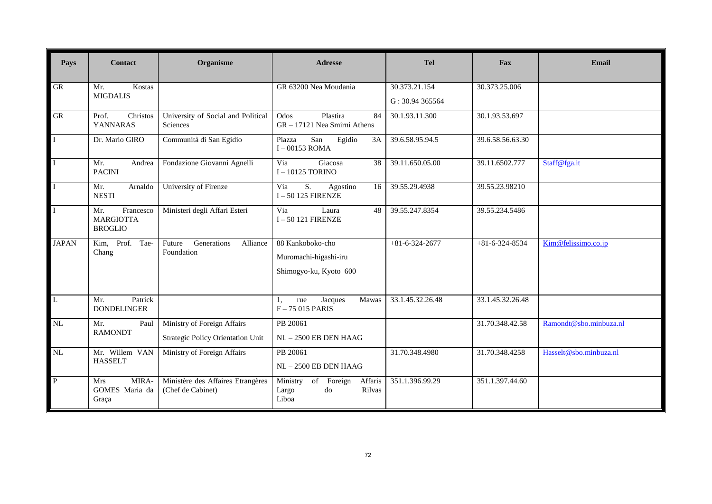| Pays                    | <b>Contact</b>                                         | Organisme                                              | <b>Adresse</b>                                                         | <b>Tel</b>                      | Fax                    | Email                  |
|-------------------------|--------------------------------------------------------|--------------------------------------------------------|------------------------------------------------------------------------|---------------------------------|------------------------|------------------------|
| <b>GR</b>               | Kostas<br>Mr.<br><b>MIGDALIS</b>                       |                                                        | GR 63200 Nea Moudania                                                  | 30.373.21.154<br>G: 30.94365564 | 30.373.25.006          |                        |
|                         |                                                        |                                                        |                                                                        |                                 |                        |                        |
| <b>GR</b>               | Christos<br>Prof.<br><b>YANNARAS</b>                   | University of Social and Political<br>Sciences         | Plastira<br>Odos<br>84<br>GR - 17121 Nea Smirni Athens                 | 30.1.93.11.300                  | 30.1.93.53.697         |                        |
| $\mathbf{I}$            | Dr. Mario GIRO                                         | Communità di San Egidio                                | San<br>Egidio<br>3A<br>Piazza<br>$I - 00153$ ROMA                      | 39.6.58.95.94.5                 | 39.6.58.56.63.30       |                        |
| $\overline{I}$          | Mr.<br>Andrea<br><b>PACINI</b>                         | Fondazione Giovanni Agnelli                            | Giacosa<br>Via<br>38<br>I-10125 TORINO                                 | 39.11.650.05.00                 | 39.11.6502.777         | Staff@fga.it           |
| $\mathbf{I}$            | Arnaldo<br>Mr.<br><b>NESTI</b>                         | University of Firenze                                  | S.<br>Via<br>Agostino<br>16<br>$I - 50$ 125 FIRENZE                    | 39.55.29.4938                   | 39.55.23.98210         |                        |
| $\mathbf I$             | Francesco<br>Mr.<br><b>MARGIOTTA</b><br><b>BROGLIO</b> | Ministeri degli Affari Esteri                          | Via<br>Laura<br>48<br>$I - 50$ 121 FIRENZE                             | 39.55.247.8354                  | 39.55.234.5486         |                        |
| <b>JAPAN</b>            | Prof.<br>Tae-<br>Kim,<br>Chang                         | Generations<br>Future<br>Alliance<br>Foundation        | 88 Kankoboko-cho<br>Muromachi-higashi-iru<br>Shimogyo-ku, Kyoto 600    | $+81-6-324-2677$                | $+81 - 6 - 324 - 8534$ | Kim@felissimo.co.jp    |
| $\overline{\mathbf{L}}$ | Patrick<br>Mr.<br><b>DONDELINGER</b>                   |                                                        | Jacques<br>Mawas<br>rue<br>1.<br>$F - 75015$ PARIS                     | 33.1.45.32.26.48                | 33.1.45.32.26.48       |                        |
| NL                      | Mr.<br>Paul<br><b>RAMONDT</b>                          | Ministry of Foreign Affairs                            | PB 20061                                                               |                                 | 31.70.348.42.58        | Ramondt@sbo.minbuza.nl |
|                         |                                                        | Strategic Policy Orientation Unit                      | NL-2500 EB DEN HAAG                                                    |                                 |                        |                        |
| NL                      | Mr. Willem VAN<br><b>HASSELT</b>                       | Ministry of Foreign Affairs                            | PB 20061<br>$NL - 2500$ EB DEN HAAG                                    | 31.70.348.4980                  | 31.70.348.4258         | Hasselt@sbo.minbuza.nl |
| $\, {\bf P}$            | MIRA-<br><b>Mrs</b><br>GOMES Maria da<br>Graça         | Ministère des Affaires Etrangères<br>(Chef de Cabinet) | Ministry<br>of<br>Affaris<br>Foreign<br>Rilvas<br>Largo<br>do<br>Liboa | 351.1.396.99.29                 | 351.1.397.44.60        |                        |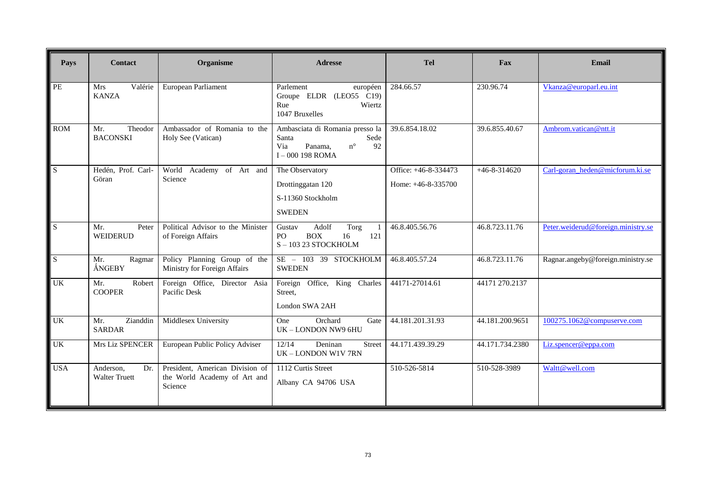| Pays       | <b>Contact</b>                           | Organisme                                                                  | <b>Adresse</b>                                                                                                | <b>Tel</b>           | <b>Fax</b>         | Email                              |
|------------|------------------------------------------|----------------------------------------------------------------------------|---------------------------------------------------------------------------------------------------------------|----------------------|--------------------|------------------------------------|
|            |                                          |                                                                            |                                                                                                               |                      |                    |                                    |
| $\rm PE$   | Valérie<br>Mrs<br><b>KANZA</b>           | European Parliament                                                        | Parlement<br>européen<br>Groupe ELDR (LEO55 C19)<br>Rue<br>Wiertz<br>1047 Bruxelles                           | 284.66.57            | 230.96.74          | Vkanza@europarl.eu.int             |
| <b>ROM</b> | Theodor<br>Mr.<br><b>BACONSKI</b>        | Ambassador of Romania to the<br>Holy See (Vatican)                         | Ambasciata di Romania presso la<br>Santa<br>Sede<br>Panama.<br>$n^{\circ}$<br>92<br>Via<br>$I - 000$ 198 ROMA | 39.6.854.18.02       | 39.6.855.40.67     | Ambrom.vatican@ntt.it              |
| S          | Hedén, Prof. Carl-<br>Göran              | World Academy of Art and<br>Science                                        | The Observatory                                                                                               | Office: +46-8-334473 | $+46 - 8 - 314620$ | Carl-goran heden@micforum.ki.se    |
|            |                                          |                                                                            | Drottinggatan 120                                                                                             | Home: $+46-8-335700$ |                    |                                    |
|            |                                          |                                                                            | S-11360 Stockholm                                                                                             |                      |                    |                                    |
|            |                                          |                                                                            | <b>SWEDEN</b>                                                                                                 |                      |                    |                                    |
| S          | Mr.<br>Peter<br>WEIDERUD                 | Political Advisor to the Minister<br>of Foreign Affairs                    | Adolf<br>Gustav<br>Torg<br>1<br><b>BOX</b><br>16<br>121<br>PO.<br>$S - 103$ 23 STOCKHOLM                      | 46.8.405.56.76       | 46.8.723.11.76     | Peter.weiderud@foreign.ministry.se |
| S          | Mr.<br>Ragmar<br>ÅNGEBY                  | Policy Planning Group of the<br>Ministry for Foreign Affairs               | SE - 103 39 STOCKHOLM<br><b>SWEDEN</b>                                                                        | 46.8.405.57.24       | 46.8.723.11.76     | Ragnar.angeby@foreign.ministry.se  |
| <b>UK</b>  | Mr.<br>Robert<br><b>COOPER</b>           | Foreign Office, Director Asia<br>Pacific Desk                              | Foreign Office, King Charles<br>Street,<br>London SWA 2AH                                                     | 44171-27014.61       | 44171 270.2137     |                                    |
| <b>UK</b>  | Zianddin<br>Mr.<br><b>SARDAR</b>         | Middlesex University                                                       | Orchard<br><b>One</b><br>Gate<br>UK - LONDON NW9 6HU                                                          | 44.181.201.31.93     | 44.181.200.9651    | 100275.1062@compuserve.com         |
| <b>UK</b>  | Mrs Liz SPENCER                          | European Public Policy Adviser                                             | 12/14<br>Deninan<br>Street<br>UK - LONDON W1V 7RN                                                             | 44.171.439.39.29     | 44.171.734.2380    | Liz.spencer@eppa.com               |
| <b>USA</b> | Anderson.<br>Dr.<br><b>Walter Truett</b> | President, American Division of<br>the World Academy of Art and<br>Science | 1112 Curtis Street<br>Albany CA 94706 USA                                                                     | 510-526-5814         | 510-528-3989       | Waltt@well.com                     |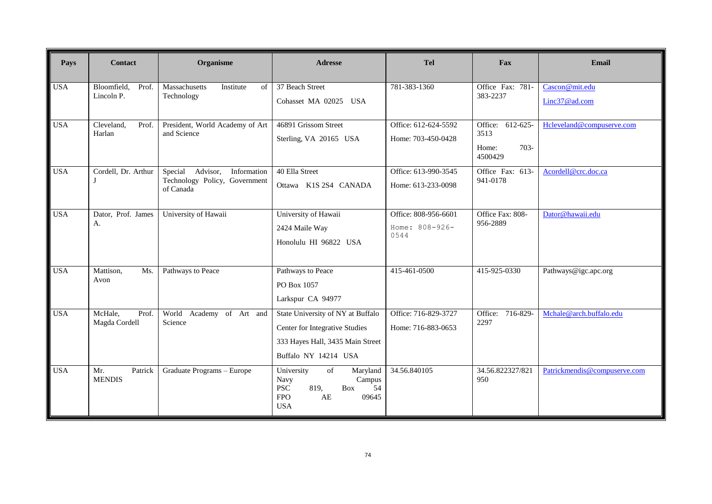| Pays       | <b>Contact</b>                     | Organisme                                                                        | <b>Adresse</b>                                                                                                                  | <b>Tel</b>                                     | Fax                                                     | Email                           |
|------------|------------------------------------|----------------------------------------------------------------------------------|---------------------------------------------------------------------------------------------------------------------------------|------------------------------------------------|---------------------------------------------------------|---------------------------------|
| <b>USA</b> | Bloomfield,<br>Prof.<br>Lincoln P. | Massachusetts<br>Institute<br>of<br>Technology                                   | 37 Beach Street<br>Cohasset MA 02025 USA                                                                                        | 781-383-1360                                   | Office Fax: 781-<br>383-2237                            | Cascon@mit.edu<br>Linc37@ad.com |
| <b>USA</b> | Cleveland,<br>Prof.<br>Harlan      | President, World Academy of Art<br>and Science                                   | 46891 Grissom Street<br>Sterling, VA 20165 USA                                                                                  | Office: 612-624-5592<br>Home: 703-450-0428     | Office: 612-625-<br>3513<br>$703 -$<br>Home:<br>4500429 | Hcleveland@compuserve.com       |
| <b>USA</b> | Cordell, Dr. Arthur                | Special<br>Advisor,<br>Information<br>Technology Policy, Government<br>of Canada | 40 Ella Street<br>Ottawa K1S 2S4 CANADA                                                                                         | Office: 613-990-3545<br>Home: 613-233-0098     | Office Fax: 613-<br>941-0178                            | Acordell@crc.doc.ca             |
| <b>USA</b> | Dator, Prof. James<br>А.           | University of Hawaii                                                             | University of Hawaii<br>2424 Maile Way<br>Honolulu HI 96822 USA                                                                 | Office: 808-956-6601<br>Home: 808-926-<br>0544 | Office Fax: 808-<br>956-2889                            | Dator@hawaii.edu                |
| <b>USA</b> | Mattison,<br>Ms.<br>Avon           | Pathways to Peace                                                                | Pathways to Peace<br>PO Box 1057<br>Larkspur CA 94977                                                                           | 415-461-0500                                   | 415-925-0330                                            | Pathways@igc.apc.org            |
| <b>USA</b> | McHale,<br>Prof.<br>Magda Cordell  | World Academy of Art and<br>Science                                              | State University of NY at Buffalo<br>Center for Integrative Studies<br>333 Hayes Hall, 3435 Main Street<br>Buffalo NY 14214 USA | Office: 716-829-3727<br>Home: 716-883-0653     | Office: 716-829-<br>2297                                | Mchale@arch.buffalo.edu         |
| <b>USA</b> | Patrick<br>Mr.<br><b>MENDIS</b>    | Graduate Programs - Europe                                                       | University<br>of<br>Maryland<br>Campus<br>Navy<br><b>PSC</b><br>819,<br>Box<br>54<br><b>FPO</b><br>AE<br>09645<br><b>USA</b>    | 34.56.840105                                   | 34.56.822327/821<br>950                                 | Patrickmendis@compuserve.com    |